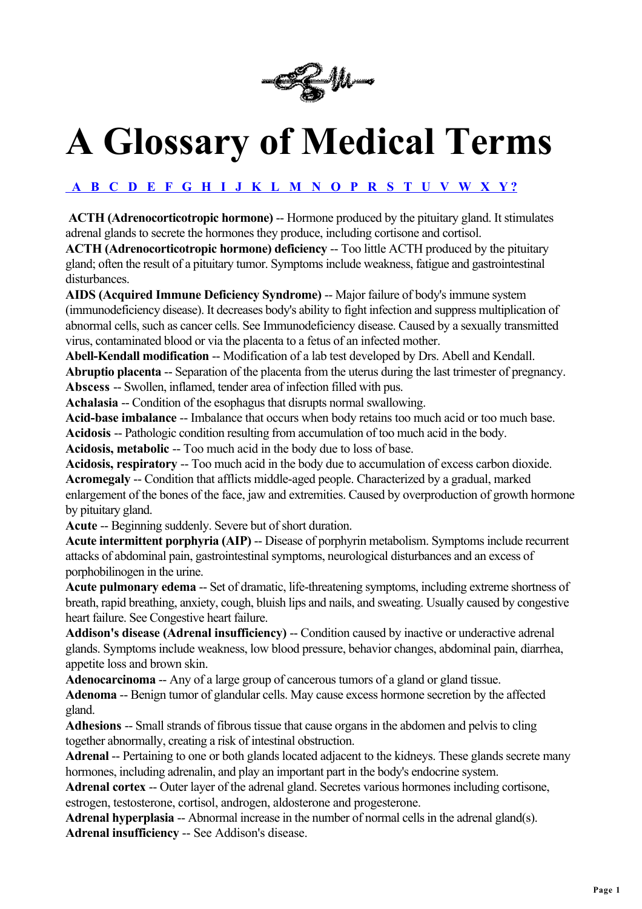

# **A Glossary of Medical Terms**

## **A B C D E F G H I J K L M N O P R S T U V W X Y ?**

**ACTH (Adrenocorticotropic hormone)** -- Hormone produced by the pituitary gland. It stimulates adrenal glands to secrete the hormones they produce, including cortisone and cortisol.

**ACTH (Adrenocorticotropic hormone) deficiency** -- Too little ACTH produced by the pituitary gland; often the result of a pituitary tumor. Symptoms include weakness, fatigue and gastrointestinal disturbances.

**AIDS (Acquired Immune Deficiency Syndrome)** -- Major failure of body's immune system (immunodeficiency disease). It decreases body's ability to fight infection and suppress multiplication of abnormal cells, such as cancer cells. See Immunodeficiency disease. Caused by a sexually transmitted virus, contaminated blood or via the placenta to a fetus of an infected mother.

**Abell-Kendall modification** -- Modification of a lab test developed by Drs. Abell and Kendall. **Abruptio placenta** -- Separation of the placenta from the uterus during the last trimester of pregnancy. **Abscess** -- Swollen, inflamed, tender area of infection filled with pus.

**Achalasia** -- Condition of the esophagus that disrupts normal swallowing.

**Acid-base imbalance** -- Imbalance that occurs when body retains too much acid or too much base.

**Acidosis** -- Pathologic condition resulting from accumulation of too much acid in the body.

**Acidosis, metabolic** -- Too much acid in the body due to loss of base.

**Acidosis, respiratory** -- Too much acid in the body due to accumulation of excess carbon dioxide. **Acromegaly** -- Condition that afflicts middle-aged people. Characterized by a gradual, marked enlargement of the bones of the face, jaw and extremities. Caused by overproduction of growth hormone by pituitary gland.

**Acute** -- Beginning suddenly. Severe but of short duration.

**Acute intermittent porphyria (AIP)** -- Disease of porphyrin metabolism. Symptoms include recurrent attacks of abdominal pain, gastrointestinal symptoms, neurological disturbances and an excess of porphobilinogen in the urine.

**Acute pulmonary edema** -- Set of dramatic, life-threatening symptoms, including extreme shortness of breath, rapid breathing, anxiety, cough, bluish lips and nails, and sweating. Usually caused by congestive heart failure. See Congestive heart failure.

Addison's disease (Adrenal insufficiency) -- Condition caused by inactive or underactive adrenal glands. Symptoms include weakness, low blood pressure, behavior changes, abdominal pain, diarrhea, appetite loss and brown skin.

**Adenocarcinoma** -- Any of a large group of cancerous tumors of a gland or gland tissue.

**Adenoma** -- Benign tumor of glandular cells. May cause excess hormone secretion by the affected gland.

**Adhesions** -- Small strands of fibrous tissue that cause organs in the abdomen and pelvis to cling together abnormally, creating a risk of intestinal obstruction.

**Adrenal** -- Pertaining to one or both glands located adjacent to the kidneys. These glands secrete many hormones, including adrenalin, and play an important part in the body's endocrine system.

**Adrenal cortex** -- Outer layer of the adrenal gland. Secretes various hormones including cortisone, estrogen, testosterone, cortisol, androgen, aldosterone and progesterone.

**Adrenal hyperplasia** -- Abnormal increase in the number of normal cells in the adrenal gland(s). **Adrenal insufficiency** -- See Addison's disease.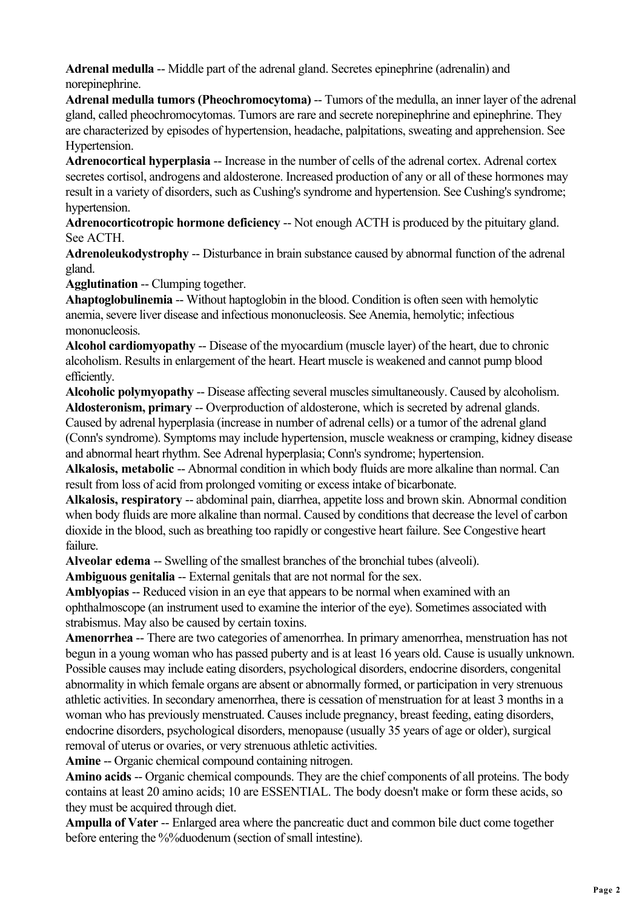**Adrenal medulla** -- Middle part of the adrenal gland. Secretes epinephrine (adrenalin) and norepinephrine.

**Adrenal medulla tumors (Pheochromocytoma)** -- Tumors of the medulla, an inner layer of the adrenal gland, called pheochromocytomas. Tumors are rare and secrete norepinephrine and epinephrine. They are characterized by episodes of hypertension, headache, palpitations, sweating and apprehension. See Hypertension.

**Adrenocortical hyperplasia** -- Increase in the number of cells of the adrenal cortex. Adrenal cortex secretes cortisol, androgens and aldosterone. Increased production of any or all of these hormones may result in a variety of disorders, such as Cushing's syndrome and hypertension. See Cushing's syndrome; hypertension.

**Adrenocorticotropic hormone deficiency** -- Not enough ACTH is produced by the pituitary gland. See ACTH.

**Adrenoleukodystrophy** -- Disturbance in brain substance caused by abnormal function of the adrenal gland.

**Agglutination** -- Clumping together.

**Ahaptoglobulinemia** -- Without haptoglobin in the blood. Condition is often seen with hemolytic anemia, severe liver disease and infectious mononucleosis. See Anemia, hemolytic; infectious mononucleosis.

**Alcohol cardiomyopathy** -- Disease of the myocardium (muscle layer) of the heart, due to chronic alcoholism. Results in enlargement of the heart. Heart muscle is weakened and cannot pump blood efficiently.

**Alcoholic polymyopathy** -- Disease affecting several muscles simultaneously. Caused by alcoholism. **Aldosteronism, primary** -- Overproduction of aldosterone, which is secreted by adrenal glands. Caused by adrenal hyperplasia (increase in number of adrenal cells) or a tumor of the adrenal gland

(Conn's syndrome). Symptoms may include hypertension, muscle weakness or cramping, kidney disease and abnormal heart rhythm. See Adrenal hyperplasia; Conn's syndrome; hypertension.

**Alkalosis, metabolic** -- Abnormal condition in which body fluids are more alkaline than normal. Can result from loss of acid from prolonged vomiting or excess intake of bicarbonate.

**Alkalosis, respiratory** -- abdominal pain, diarrhea, appetite loss and brown skin. Abnormal condition when body fluids are more alkaline than normal. Caused by conditions that decrease the level of carbon dioxide in the blood, such as breathing too rapidly or congestive heart failure. See Congestive heart failure.

**Alveolar edema** -- Swelling of the smallest branches of the bronchial tubes (alveoli).

**Ambiguous genitalia** -- External genitals that are not normal for the sex.

**Amblyopias** -- Reduced vision in an eye that appears to be normal when examined with an ophthalmoscope (an instrument used to examine the interior of the eye). Sometimes associated with strabismus. May also be caused by certain toxins.

**Amenorrhea** -- There are two categories of amenorrhea. In primary amenorrhea, menstruation has not begun in a young woman who has passed puberty and is at least 16 years old. Cause is usually unknown. Possible causes may include eating disorders, psychological disorders, endocrine disorders, congenital abnormality in which female organs are absent or abnormally formed, or participation in very strenuous athletic activities. In secondary amenorrhea, there is cessation of menstruation for at least 3 months in a woman who has previously menstruated. Causes include pregnancy, breast feeding, eating disorders, endocrine disorders, psychological disorders, menopause (usually 35 years of age or older), surgical removal of uterus or ovaries, or very strenuous athletic activities.

**Amine** -- Organic chemical compound containing nitrogen.

Amino acids -- Organic chemical compounds. They are the chief components of all proteins. The body contains at least 20 amino acids; 10 are ESSENTIAL. The body doesn't make or form these acids, so they must be acquired through diet.

**Ampulla of Vater** -- Enlarged area where the pancreatic duct and common bile duct come together before entering the %%duodenum (section of small intestine).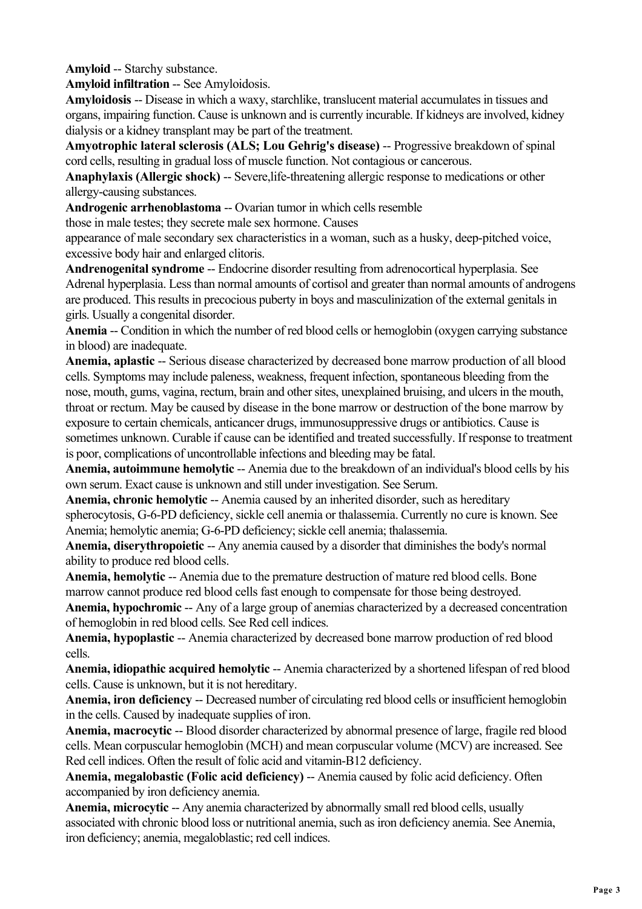**Amyloid** -- Starchy substance.

**Amyloid infiltration** -- See Amyloidosis.

**Amyloidosis** -- Disease in which a waxy, starchlike, translucent material accumulates in tissues and organs, impairing function. Cause is unknown and is currently incurable. If kidneys are involved, kidney dialysis or a kidney transplant may be part of the treatment.

**Amyotrophic lateral sclerosis (ALS; Lou Gehrig's disease)** -- Progressive breakdown of spinal cord cells, resulting in gradual loss of muscle function. Not contagious or cancerous.

**Anaphylaxis (Allergic shock)** -- Severe,life-threatening allergic response to medications or other allergy-causing substances.

**Androgenic arrhenoblastoma** -- Ovarian tumor in which cells resemble

those in male testes; they secrete male sex hormone. Causes

appearance of male secondary sex characteristics in a woman, such as a husky, deep-pitched voice, excessive body hair and enlarged clitoris.

**Andrenogenital syndrome** -- Endocrine disorder resulting from adrenocortical hyperplasia. See Adrenal hyperplasia. Less than normal amounts of cortisol and greater than normal amounts of androgens are produced. This results in precocious puberty in boys and masculinization of the external genitals in girls. Usually a congenital disorder.

**Anemia** -- Condition in which the number of red blood cells or hemoglobin (oxygen carrying substance in blood) are inadequate.

**Anemia, aplastic** -- Serious disease characterized by decreased bone marrow production of all blood cells. Symptoms may include paleness, weakness, frequent infection, spontaneous bleeding from the nose, mouth, gums, vagina, rectum, brain and other sites, unexplained bruising, and ulcers in the mouth, throat or rectum. May be caused by disease in the bone marrow or destruction of the bone marrow by exposure to certain chemicals, anticancer drugs, immunosuppressive drugs or antibiotics. Cause is sometimes unknown. Curable if cause can be identified and treated successfully. If response to treatment is poor, complications of uncontrollable infections and bleeding may be fatal.

**Anemia, autoimmune hemolytic** -- Anemia due to the breakdown of an individual's blood cells by his own serum. Exact cause is unknown and still under investigation. See Serum.

Anemia, chronic hemolytic -- Anemia caused by an inherited disorder, such as hereditary spherocytosis, G-6-PD deficiency, sickle cell anemia or thalassemia. Currently no cure is known. See Anemia; hemolytic anemia; G-6-PD deficiency; sickle cell anemia; thalassemia.

**Anemia, diserythropoietic** -- Any anemia caused by a disorder that diminishes the body's normal ability to produce red blood cells.

**Anemia, hemolytic** -- Anemia due to the premature destruction of mature red blood cells. Bone marrow cannot produce red blood cells fast enough to compensate for those being destroyed.

**Anemia, hypochromic** -- Any of a large group of anemias characterized by a decreased concentration of hemoglobin in red blood cells. See Red cell indices.

**Anemia, hypoplastic** -- Anemia characterized by decreased bone marrow production of red blood cells.

**Anemia, idiopathic acquired hemolytic --** Anemia characterized by a shortened lifespan of red blood cells. Cause is unknown, but it is not hereditary.

**Anemia, iron deficiency** -- Decreased number of circulating red blood cells or insufficient hemoglobin in the cells. Caused by inadequate supplies of iron.

**Anemia, macrocytic** -- Blood disorder characterized by abnormal presence of large, fragile red blood cells. Mean corpuscular hemoglobin (MCH) and mean corpuscular volume (MCV) are increased. See Red cell indices. Often the result of folic acid and vitamin-B12 deficiency.

Anemia, megalobastic (Folic acid deficiency) -- Anemia caused by folic acid deficiency. Often accompanied by iron deficiency anemia.

**Anemia, microcytic** -- Any anemia characterized by abnormally small red blood cells, usually associated with chronic blood loss or nutritional anemia, such as iron deficiency anemia. See Anemia, iron deficiency; anemia, megaloblastic; red cell indices.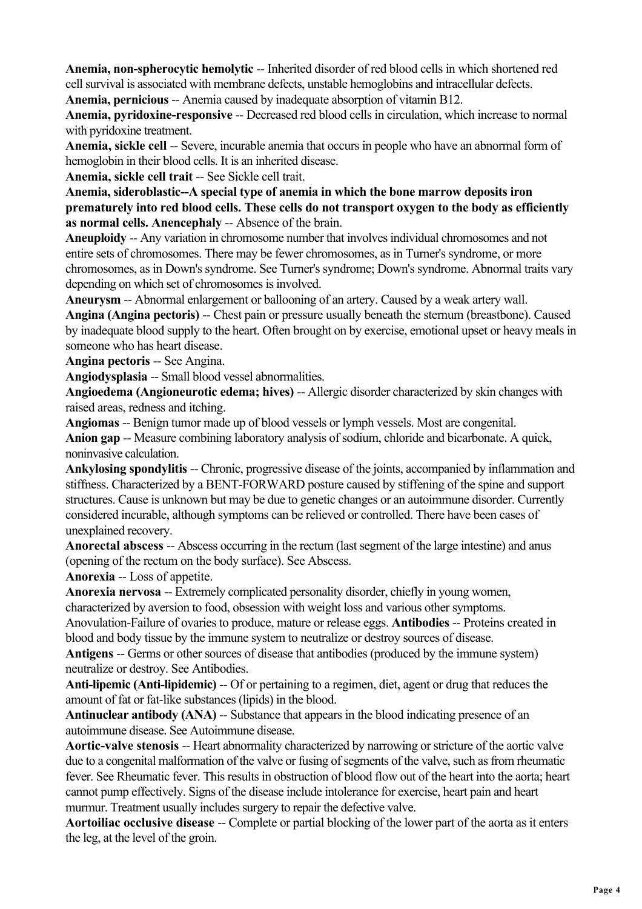**Anemia, non-spherocytic hemolytic** -- Inherited disorder of red blood cells in which shortened red cell survival is associated with membrane defects, unstable hemoglobins and intracellular defects.

**Anemia, pernicious** -- Anemia caused by inadequate absorption of vitamin B12.

**Anemia, pyridoxine-responsive --** Decreased red blood cells in circulation, which increase to normal with pyridoxine treatment.

**Anemia, sickle cell** -- Severe, incurable anemia that occurs in people who have an abnormal form of hemoglobin in their blood cells. It is an inherited disease.

**Anemia, sickle cell trait** -- See Sickle cell trait.

**Anemia, sideroblastic--A special type of anemia in which the bone marrow deposits iron prematurely into red blood cells. These cells do not transport oxygen to the body as efficiently as normal cells. Anencephaly** -- Absence of the brain.

**Aneuploidy** -- Any variation in chromosome number that involves individual chromosomes and not entire sets of chromosomes. There may be fewer chromosomes, as in Turner's syndrome, or more chromosomes, as in Down's syndrome. See Turner's syndrome; Down's syndrome. Abnormal traits vary depending on which set of chromosomes is involved.

**Aneurysm** -- Abnormal enlargement or ballooning of an artery. Caused by a weak artery wall. **Angina (Angina pectoris)** -- Chest pain or pressure usually beneath the sternum (breastbone). Caused by inadequate blood supply to the heart. Often brought on by exercise, emotional upset or heavy meals in someone who has heart disease.

**Angina pectoris** -- See Angina.

**Angiodysplasia** -- Small blood vessel abnormalities.

Angioedema (Angioneurotic edema; hives) -- Allergic disorder characterized by skin changes with raised areas, redness and itching.

**Angiomas** -- Benign tumor made up of blood vessels or lymph vessels. Most are congenital. **Anion gap** -- Measure combining laboratory analysis of sodium, chloride and bicarbonate. A quick, noninvasive calculation.

**Ankylosing spondylitis --** Chronic, progressive disease of the joints, accompanied by inflammation and stiffness. Characterized by a BENT-FORWARD posture caused by stiffening of the spine and support structures. Cause is unknown but may be due to genetic changes or an autoimmune disorder. Currently considered incurable, although symptoms can be relieved or controlled. There have been cases of unexplained recovery.

**Anorectal abscess** -- Abscess occurring in the rectum (last segment of the large intestine) and anus (opening of the rectum on the body surface). See Abscess.

**Anorexia** -- Loss of appetite.

**Anorexia nervosa** -- Extremely complicated personality disorder, chiefly in young women, characterized by aversion to food, obsession with weight loss and various other symptoms.

Anovulation-Failure of ovaries to produce, mature or release eggs. **Antibodies** -- Proteins created in blood and body tissue by the immune system to neutralize or destroy sources of disease.

**Antigens** -- Germs or other sources of disease that antibodies (produced by the immune system) neutralize or destroy. See Antibodies.

**Anti-lipemic (Anti-lipidemic)** -- Of or pertaining to a regimen, diet, agent or drug that reduces the amount of fat or fat-like substances (lipids) in the blood.

**Antinuclear antibody (ANA)** -- Substance that appears in the blood indicating presence of an autoimmune disease. See Autoimmune disease.

**Aortic-valve stenosis** -- Heart abnormality characterized by narrowing or stricture of the aortic valve due to a congenital malformation of the valve or fusing of segments of the valve, such as from rheumatic fever. See Rheumatic fever. This results in obstruction of blood flow out of the heart into the aorta; heart cannot pump effectively. Signs of the disease include intolerance for exercise, heart pain and heart murmur. Treatment usually includes surgery to repair the defective valve.

**Aortoiliac occlusive disease** -- Complete or partial blocking of the lower part of the aorta as it enters the leg, at the level of the groin.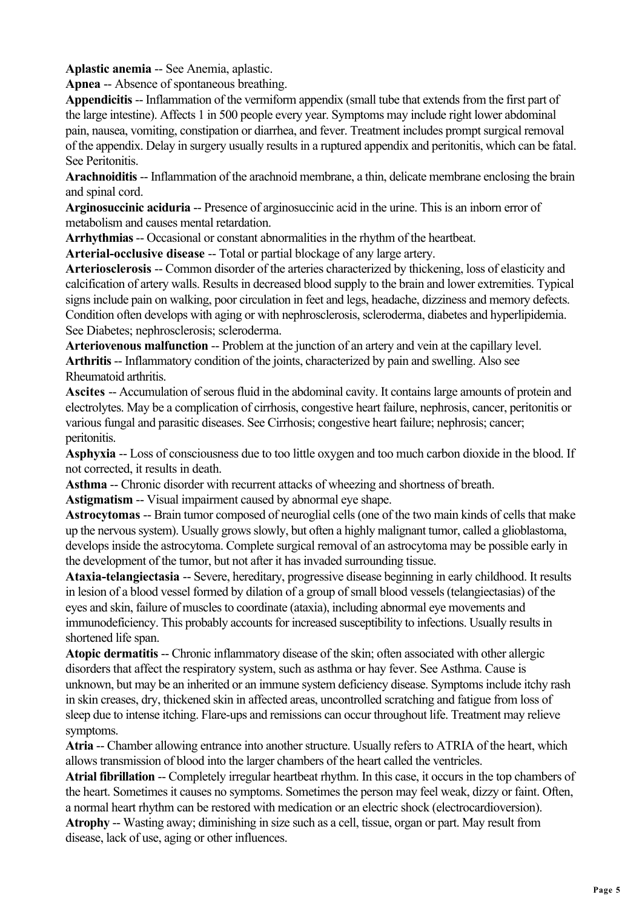**Aplastic anemia** -- See Anemia, aplastic.

**Apnea** -- Absence of spontaneous breathing.

**Appendicitis** -- Inflammation of the vermiform appendix (small tube that extends from the first part of the large intestine). Affects 1 in 500 people every year. Symptoms may include right lower abdominal pain, nausea, vomiting, constipation or diarrhea, and fever. Treatment includes prompt surgical removal of the appendix. Delay in surgery usually results in a ruptured appendix and peritonitis, which can be fatal. See Peritonitis.

**Arachnoiditis** -- Inflammation of the arachnoid membrane, a thin, delicate membrane enclosing the brain and spinal cord.

**Arginosuccinic aciduria** -- Presence of arginosuccinic acid in the urine. This is an inborn error of metabolism and causes mental retardation.

**Arrhythmias** -- Occasional or constant abnormalities in the rhythm of the heartbeat.

**Arterial-occlusive disease** -- Total or partial blockage of any large artery.

**Arteriosclerosis** -- Common disorder of the arteries characterized by thickening, loss of elasticity and calcification of artery walls. Results in decreased blood supply to the brain and lower extremities. Typical signs include pain on walking, poor circulation in feet and legs, headache, dizziness and memory defects. Condition often develops with aging or with nephrosclerosis, scleroderma, diabetes and hyperlipidemia. See Diabetes; nephrosclerosis; scleroderma.

**Arteriovenous malfunction** -- Problem at the junction of an artery and vein at the capillary level. **Arthritis** -- Inflammatory condition of the joints, characterized by pain and swelling. Also see Rheumatoid arthritis.

**Ascites** -- Accumulation of serous fluid in the abdominal cavity. It contains large amounts of protein and electrolytes. May be a complication of cirrhosis, congestive heart failure, nephrosis, cancer, peritonitis or various fungal and parasitic diseases. See Cirrhosis; congestive heart failure; nephrosis; cancer; peritonitis.

**Asphyxia** -- Loss of consciousness due to too little oxygen and too much carbon dioxide in the blood. If not corrected, it results in death.

**Asthma** -- Chronic disorder with recurrent attacks of wheezing and shortness of breath.

**Astigmatism --** Visual impairment caused by abnormal eye shape.

**Astrocytomas** -- Brain tumor composed of neuroglial cells (one of the two main kinds of cells that make up the nervous system). Usually grows slowly, but often a highly malignant tumor, called a glioblastoma, develops inside the astrocytoma. Complete surgical removal of an astrocytoma may be possible early in the development of the tumor, but not after it has invaded surrounding tissue.

**Ataxia-telangiectasia** -- Severe, hereditary, progressive disease beginning in early childhood. It results in lesion of a blood vessel formed by dilation of a group of small blood vessels (telangiectasias) of the eyes and skin, failure of muscles to coordinate (ataxia), including abnormal eye movements and immunodeficiency. This probably accounts for increased susceptibility to infections. Usually results in shortened life span.

**Atopic dermatitis** -- Chronic inflammatory disease of the skin; often associated with other allergic disorders that affect the respiratory system, such as asthma or hay fever. See Asthma. Cause is unknown, but may be an inherited or an immune system deficiency disease. Symptoms include itchy rash in skin creases, dry, thickened skin in affected areas, uncontrolled scratching and fatigue from loss of sleep due to intense itching. Flare-ups and remissions can occur throughout life. Treatment may relieve symptoms.

Atria -- Chamber allowing entrance into another structure. Usually refers to ATRIA of the heart, which allows transmission of blood into the larger chambers of the heart called the ventricles.

**Atrial fibrillation** -- Completely irregular heartbeat rhythm. In this case, it occurs in the top chambers of the heart. Sometimes it causes no symptoms. Sometimes the person may feel weak, dizzy or faint. Often, a normal heart rhythm can be restored with medication or an electric shock (electrocardioversion). **Atrophy** -- Wasting away; diminishing in size such as a cell, tissue, organ or part. May result from disease, lack of use, aging or other influences.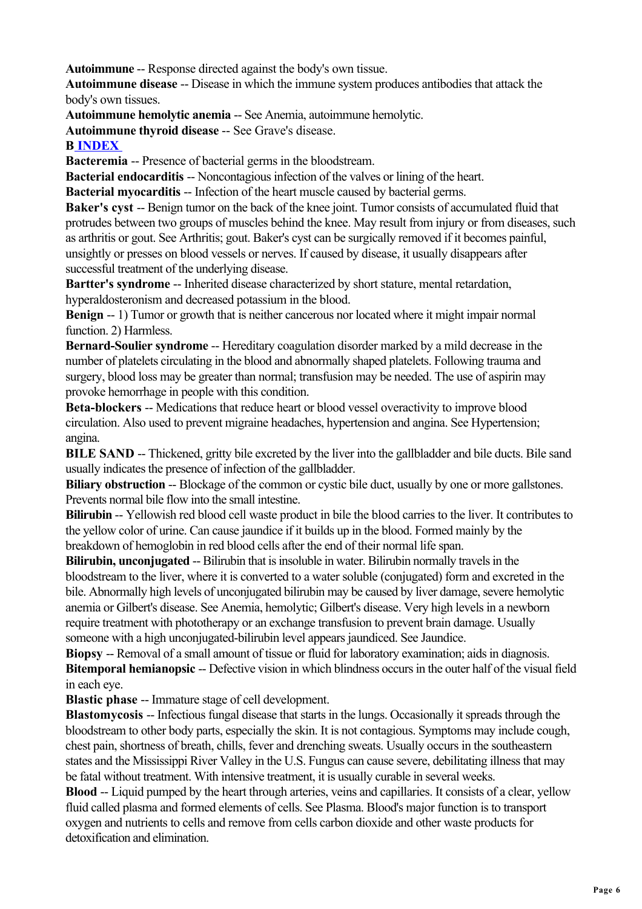**Autoimmune** -- Response directed against the body's own tissue.

**Autoimmune disease** -- Disease in which the immune system produces antibodies that attack the body's own tissues.

**Autoimmune hemolytic anemia** -- See Anemia, autoimmune hemolytic.

**Autoimmune thyroid disease** -- See Grave's disease.

#### **B INDEX**

**Bacteremia** -- Presence of bacterial germs in the bloodstream.

**Bacterial endocarditis** -- Noncontagious infection of the valves or lining of the heart.

**Bacterial myocarditis --** Infection of the heart muscle caused by bacterial germs.

**Baker's cyst** -- Benign tumor on the back of the knee joint. Tumor consists of accumulated fluid that protrudes between two groups of muscles behind the knee. May result from injury or from diseases, such as arthritis or gout. See Arthritis; gout. Baker's cyst can be surgically removed if it becomes painful, unsightly or presses on blood vessels or nerves. If caused by disease, it usually disappears after successful treatment of the underlying disease.

**Bartter's syndrome** -- Inherited disease characterized by short stature, mental retardation, hyperaldosteronism and decreased potassium in the blood.

**Benign** -- 1) Tumor or growth that is neither cancerous nor located where it might impair normal function. 2) Harmless.

**Bernard-Soulier syndrome** -- Hereditary coagulation disorder marked by a mild decrease in the number of platelets circulating in the blood and abnormally shaped platelets. Following trauma and surgery, blood loss may be greater than normal; transfusion may be needed. The use of aspirin may provoke hemorrhage in people with this condition.

**Beta-blockers** -- Medications that reduce heart or blood vessel overactivity to improve blood circulation. Also used to prevent migraine headaches, hypertension and angina. See Hypertension; angina.

**BILE SAND** -- Thickened, gritty bile excreted by the liver into the gallbladder and bile ducts. Bile sand usually indicates the presence of infection of the gallbladder.

**Biliary obstruction --** Blockage of the common or cystic bile duct, usually by one or more gallstones. Prevents normal bile flow into the small intestine.

**Bilirubin** -- Yellowish red blood cell waste product in bile the blood carries to the liver. It contributes to the yellow color of urine. Can cause jaundice if it builds up in the blood. Formed mainly by the breakdown of hemoglobin in red blood cells after the end of their normal life span.

**Bilirubin, unconjugated** -- Bilirubin that is insoluble in water. Bilirubin normally travels in the bloodstream to the liver, where it is converted to a water soluble (conjugated) form and excreted in the bile. Abnormally high levels of unconjugated bilirubin may be caused by liver damage, severe hemolytic anemia or Gilbert's disease. See Anemia, hemolytic; Gilbert's disease. Very high levels in a newborn require treatment with phototherapy or an exchange transfusion to prevent brain damage. Usually someone with a high unconjugated-bilirubin level appears jaundiced. See Jaundice.

**Biopsy** -- Removal of a small amount of tissue or fluid for laboratory examination; aids in diagnosis. **Bitemporal hemianopsic** -- Defective vision in which blindness occurs in the outer half of the visual field in each eye.

**Blastic phase** -- Immature stage of cell development.

**Blastomycosis** -- Infectious fungal disease that starts in the lungs. Occasionally it spreads through the bloodstream to other body parts, especially the skin. It is not contagious. Symptoms may include cough, chest pain, shortness of breath, chills, fever and drenching sweats. Usually occurs in the southeastern states and the Mississippi River Valley in the U.S. Fungus can cause severe, debilitating illness that may be fatal without treatment. With intensive treatment, it is usually curable in several weeks.

**Blood** -- Liquid pumped by the heart through arteries, veins and capillaries. It consists of a clear, yellow fluid called plasma and formed elements of cells. See Plasma. Blood's major function is to transport oxygen and nutrients to cells and remove from cells carbon dioxide and other waste products for detoxification and elimination.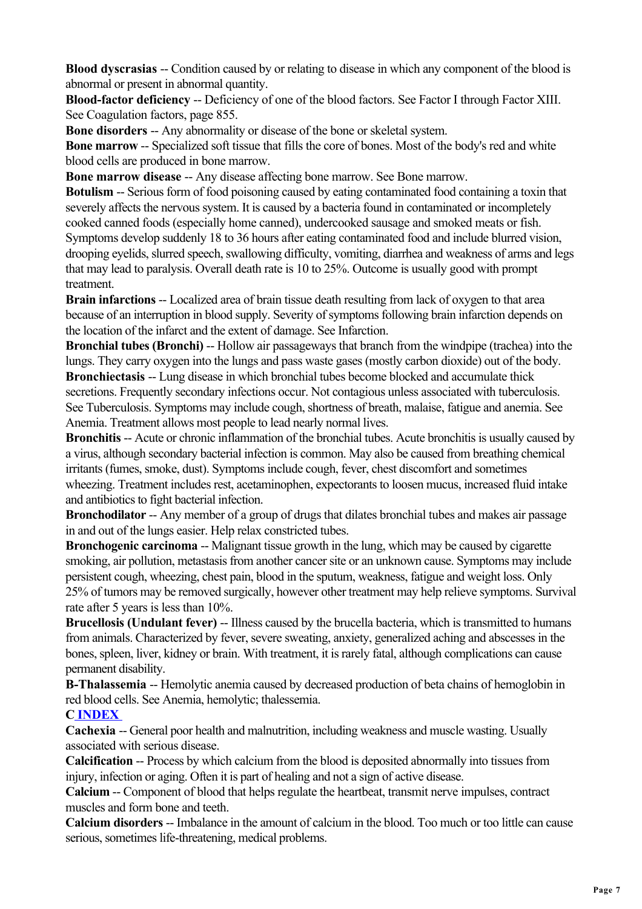**Blood dyscrasias** -- Condition caused by or relating to disease in which any component of the blood is abnormal or present in abnormal quantity.

**Blood-factor deficiency** -- Deficiency of one of the blood factors. See Factor I through Factor XIII. See Coagulation factors, page 855.

**Bone disorders** -- Any abnormality or disease of the bone or skeletal system.

**Bone marrow** -- Specialized soft tissue that fills the core of bones. Most of the body's red and white blood cells are produced in bone marrow.

**Bone marrow disease** -- Any disease affecting bone marrow. See Bone marrow.

**Botulism** -- Serious form of food poisoning caused by eating contaminated food containing a toxin that severely affects the nervous system. It is caused by a bacteria found in contaminated or incompletely cooked canned foods (especially home canned), undercooked sausage and smoked meats or fish. Symptoms develop suddenly 18 to 36 hours after eating contaminated food and include blurred vision, drooping eyelids, slurred speech, swallowing difficulty, vomiting, diarrhea and weakness of arms and legs that may lead to paralysis. Overall death rate is 10 to 25%. Outcome is usually good with prompt treatment.

**Brain infarctions** -- Localized area of brain tissue death resulting from lack of oxygen to that area because of an interruption in blood supply. Severity of symptoms following brain infarction depends on the location of the infarct and the extent of damage. See Infarction.

**Bronchial tubes (Bronchi) --** Hollow air passageways that branch from the windpipe (trachea) into the lungs. They carry oxygen into the lungs and pass waste gases (mostly carbon dioxide) out of the body. **Bronchiectasis** -- Lung disease in which bronchial tubes become blocked and accumulate thick secretions. Frequently secondary infections occur. Not contagious unless associated with tuberculosis. See Tuberculosis. Symptoms may include cough, shortness of breath, malaise, fatigue and anemia. See Anemia. Treatment allows most people to lead nearly normal lives.

**Bronchitis** -- Acute or chronic inflammation of the bronchial tubes. Acute bronchitis is usually caused by a virus, although secondary bacterial infection is common. May also be caused from breathing chemical irritants (fumes, smoke, dust). Symptoms include cough, fever, chest discomfort and sometimes wheezing. Treatment includes rest, acetaminophen, expectorants to loosen mucus, increased fluid intake and antibiotics to fight bacterial infection.

**Bronchodilator** -- Any member of a group of drugs that dilates bronchial tubes and makes air passage in and out of the lungs easier. Help relax constricted tubes.

**Bronchogenic carcinoma** -- Malignant tissue growth in the lung, which may be caused by cigarette smoking, air pollution, metastasis from another cancer site or an unknown cause. Symptoms may include persistent cough, wheezing, chest pain, blood in the sputum, weakness, fatigue and weight loss. Only 25% of tumors may be removed surgically, however other treatment may help relieve symptoms. Survival rate after 5 years is less than 10%.

**Brucellosis (Undulant fever) -- Illness caused by the brucella bacteria, which is transmitted to humans** from animals. Characterized by fever, severe sweating, anxiety, generalized aching and abscesses in the bones, spleen, liver, kidney or brain. With treatment, it is rarely fatal, although complications can cause permanent disability.

**B-Thalassemia** -- Hemolytic anemia caused by decreased production of beta chains of hemoglobin in red blood cells. See Anemia, hemolytic; thalessemia.

## **C INDEX**

**Cachexia** -- General poor health and malnutrition, including weakness and muscle wasting. Usually associated with serious disease.

**Calcification** -- Process by which calcium from the blood is deposited abnormally into tissues from injury, infection or aging. Often it is part of healing and not a sign of active disease.

**Calcium** -- Component of blood that helps regulate the heartbeat, transmit nerve impulses, contract muscles and form bone and teeth.

**Calcium disorders** -- Imbalance in the amount of calcium in the blood. Too much or too little can cause serious, sometimes life-threatening, medical problems.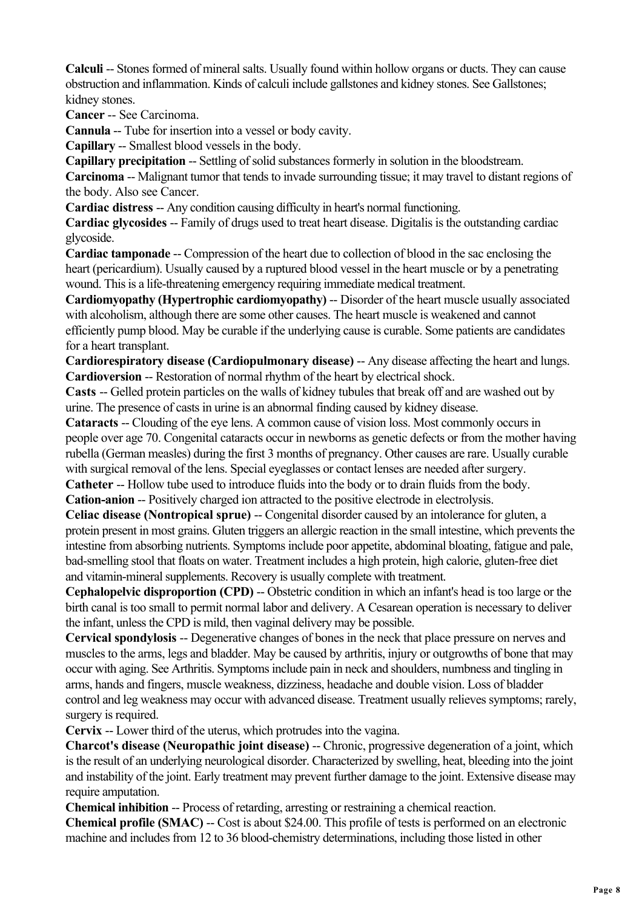**Calculi** -- Stones formed of mineral salts. Usually found within hollow organs or ducts. They can cause obstruction and inflammation. Kinds of calculi include gallstones and kidney stones. See Gallstones; kidney stones.

**Cancer** -- See Carcinoma.

**Cannula** -- Tube for insertion into a vessel or body cavity.

**Capillary** -- Smallest blood vessels in the body.

**Capillary precipitation** -- Settling of solid substances formerly in solution in the bloodstream.

**Carcinoma** -- Malignant tumor that tends to invade surrounding tissue; it may travel to distant regions of the body. Also see Cancer.

**Cardiac distress** -- Any condition causing difficulty in heart's normal functioning.

**Cardiac glycosides** -- Family of drugs used to treat heart disease. Digitalis is the outstanding cardiac glycoside.

**Cardiac tamponade** -- Compression of the heart due to collection of blood in the sac enclosing the heart (pericardium). Usually caused by a ruptured blood vessel in the heart muscle or by a penetrating wound. This is a life-threatening emergency requiring immediate medical treatment.

**Cardiomyopathy (Hypertrophic cardiomyopathy)** -- Disorder of the heart muscle usually associated with alcoholism, although there are some other causes. The heart muscle is weakened and cannot efficiently pump blood. May be curable if the underlying cause is curable. Some patients are candidates for a heart transplant.

**Cardiorespiratory disease (Cardiopulmonary disease)** -- Any disease affecting the heart and lungs. **Cardioversion** -- Restoration of normal rhythm of the heart by electrical shock.

**Casts** -- Gelled protein particles on the walls of kidney tubules that break off and are washed out by urine. The presence of casts in urine is an abnormal finding caused by kidney disease.

**Cataracts** -- Clouding of the eye lens. A common cause of vision loss. Most commonly occurs in people over age 70. Congenital cataracts occur in newborns as genetic defects or from the mother having rubella (German measles) during the first 3 months of pregnancy. Other causes are rare. Usually curable with surgical removal of the lens. Special eyeglasses or contact lenses are needed after surgery.

**Catheter** -- Hollow tube used to introduce fluids into the body or to drain fluids from the body. **Cation-anion** -- Positively charged ion attracted to the positive electrode in electrolysis.

**Celiac disease (Nontropical sprue)** -- Congenital disorder caused by an intolerance for gluten, a protein present in most grains. Gluten triggers an allergic reaction in the small intestine, which prevents the intestine from absorbing nutrients. Symptoms include poor appetite, abdominal bloating, fatigue and pale, bad-smelling stool that floats on water. Treatment includes a high protein, high calorie, gluten-free diet and vitamin-mineral supplements. Recovery is usually complete with treatment.

**Cephalopelvic disproportion (CPD) --** Obstetric condition in which an infant's head is too large or the birth canal is too small to permit normal labor and delivery. A Cesarean operation is necessary to deliver the infant, unless the CPD is mild, then vaginal delivery may be possible.

**Cervical spondylosis** -- Degenerative changes of bones in the neck that place pressure on nerves and muscles to the arms, legs and bladder. May be caused by arthritis, injury or outgrowths of bone that may occur with aging. See Arthritis. Symptoms include pain in neck and shoulders, numbness and tingling in arms, hands and fingers, muscle weakness, dizziness, headache and double vision. Loss of bladder control and leg weakness may occur with advanced disease. Treatment usually relieves symptoms; rarely, surgery is required.

**Cervix** -- Lower third of the uterus, which protrudes into the vagina.

**Charcot's disease (Neuropathic joint disease) -- Chronic, progressive degeneration of a joint, which** is the result of an underlying neurological disorder. Characterized by swelling, heat, bleeding into the joint and instability of the joint. Early treatment may prevent further damage to the joint. Extensive disease may require amputation.

**Chemical inhibition** -- Process of retarding, arresting or restraining a chemical reaction.

**Chemical profile (SMAC) --** Cost is about \$24.00. This profile of tests is performed on an electronic machine and includes from 12 to 36 blood-chemistry determinations, including those listed in other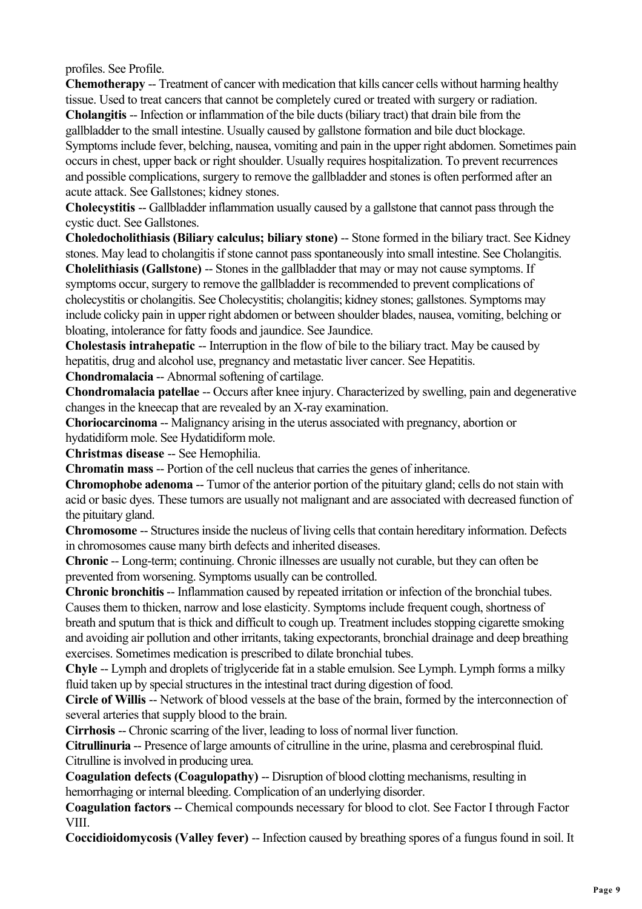profiles. See Profile.

**Chemotherapy** -- Treatment of cancer with medication that kills cancer cells without harming healthy tissue. Used to treat cancers that cannot be completely cured or treated with surgery or radiation. **Cholangitis** -- Infection or inflammation of the bile ducts (biliary tract) that drain bile from the gallbladder to the small intestine. Usually caused by gallstone formation and bile duct blockage. Symptoms include fever, belching, nausea, vomiting and pain in the upper right abdomen. Sometimes pain occurs in chest, upper back or right shoulder. Usually requires hospitalization. To prevent recurrences and possible complications, surgery to remove the gallbladder and stones is often performed after an acute attack. See Gallstones; kidney stones.

**Cholecystitis** -- Gallbladder inflammation usually caused by a gallstone that cannot pass through the cystic duct. See Gallstones.

**Choledocholithiasis (Biliary calculus; biliary stone)** -- Stone formed in the biliary tract. See Kidney stones. May lead to cholangitis if stone cannot pass spontaneously into small intestine. See Cholangitis.

**Cholelithiasis (Gallstone)** -- Stones in the gallbladder that may or may not cause symptoms. If symptoms occur, surgery to remove the gallbladder is recommended to prevent complications of cholecystitis or cholangitis. See Cholecystitis; cholangitis; kidney stones; gallstones. Symptoms may include colicky pain in upper right abdomen or between shoulder blades, nausea, vomiting, belching or bloating, intolerance for fatty foods and jaundice. See Jaundice.

**Cholestasis intrahepatic** -- Interruption in the flow of bile to the biliary tract. May be caused by hepatitis, drug and alcohol use, pregnancy and metastatic liver cancer. See Hepatitis.

**Chondromalacia** -- Abnormal softening of cartilage.

**Chondromalacia patellae** -- Occurs after knee injury. Characterized by swelling, pain and degenerative changes in the kneecap that are revealed by an X-ray examination.

**Choriocarcinoma** -- Malignancy arising in the uterus associated with pregnancy, abortion or hydatidiform mole. See Hydatidiform mole.

**Christmas disease** -- See Hemophilia.

**Chromatin mass** -- Portion of the cell nucleus that carries the genes of inheritance.

**Chromophobe adenoma** -- Tumor of the anterior portion of the pituitary gland; cells do not stain with acid or basic dyes. These tumors are usually not malignant and are associated with decreased function of the pituitary gland.

**Chromosome** -- Structures inside the nucleus of living cells that contain hereditary information. Defects in chromosomes cause many birth defects and inherited diseases.

**Chronic** -- Long-term; continuing. Chronic illnesses are usually not curable, but they can often be prevented from worsening. Symptoms usually can be controlled.

**Chronic bronchitis** -- Inflammation caused by repeated irritation or infection of the bronchial tubes. Causes them to thicken, narrow and lose elasticity. Symptoms include frequent cough, shortness of breath and sputum that is thick and difficult to cough up. Treatment includes stopping cigarette smoking and avoiding air pollution and other irritants, taking expectorants, bronchial drainage and deep breathing exercises. Sometimes medication is prescribed to dilate bronchial tubes.

**Chyle** -- Lymph and droplets of triglyceride fat in a stable emulsion. See Lymph. Lymph forms a milky fluid taken up by special structures in the intestinal tract during digestion of food.

**Circle of Willis** -- Network of blood vessels at the base of the brain, formed by the interconnection of several arteries that supply blood to the brain.

**Cirrhosis** -- Chronic scarring of the liver, leading to loss of normal liver function.

**Citrullinuria** -- Presence of large amounts of citrulline in the urine, plasma and cerebrospinal fluid. Citrulline is involved in producing urea.

**Coagulation defects (Coagulopathy) -- Disruption of blood clotting mechanisms, resulting in** hemorrhaging or internal bleeding. Complication of an underlying disorder.

**Coagulation factors** -- Chemical compounds necessary for blood to clot. See Factor I through Factor VIII.

**Coccidioidomycosis (Valley fever)** -- Infection caused by breathing spores of a fungus found in soil. It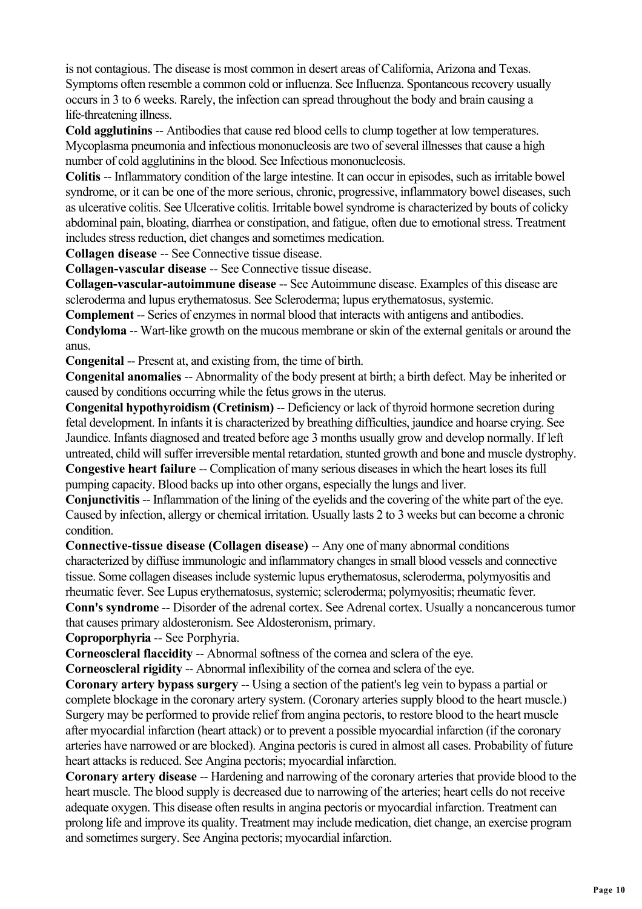is not contagious. The disease is most common in desert areas of California, Arizona and Texas. Symptoms often resemble a common cold or influenza. See Influenza. Spontaneous recovery usually occurs in 3 to 6 weeks. Rarely, the infection can spread throughout the body and brain causing a life-threatening illness.

**Cold agglutinins** -- Antibodies that cause red blood cells to clump together at low temperatures. Mycoplasma pneumonia and infectious mononucleosis are two of several illnesses that cause a high number of cold agglutinins in the blood. See Infectious mononucleosis.

**Colitis** -- Inflammatory condition of the large intestine. It can occur in episodes, such as irritable bowel syndrome, or it can be one of the more serious, chronic, progressive, inflammatory bowel diseases, such as ulcerative colitis. See Ulcerative colitis. Irritable bowel syndrome is characterized by bouts of colicky abdominal pain, bloating, diarrhea or constipation, and fatigue, often due to emotional stress. Treatment includes stress reduction, diet changes and sometimes medication.

**Collagen disease** -- See Connective tissue disease.

**Collagen-vascular disease** -- See Connective tissue disease.

**Collagen-vascular-autoimmune disease** -- See Autoimmune disease. Examples of this disease are scleroderma and lupus erythematosus. See Scleroderma; lupus erythematosus, systemic.

**Complement** -- Series of enzymes in normal blood that interacts with antigens and antibodies.

**Condyloma** -- Wart-like growth on the mucous membrane or skin of the external genitals or around the anus.

**Congenital** -- Present at, and existing from, the time of birth.

**Congenital anomalies** -- Abnormality of the body present at birth; a birth defect. May be inherited or caused by conditions occurring while the fetus grows in the uterus.

**Congenital hypothyroidism (Cretinism)** -- Deficiency or lack of thyroid hormone secretion during fetal development. In infants it is characterized by breathing difficulties, jaundice and hoarse crying. See Jaundice. Infants diagnosed and treated before age 3 months usually grow and develop normally. If left untreated, child will suffer irreversible mental retardation, stunted growth and bone and muscle dystrophy. **Congestive heart failure** -- Complication of many serious diseases in which the heart loses its full pumping capacity. Blood backs up into other organs, especially the lungs and liver.

**Conjunctivitis** -- Inflammation of the lining of the eyelids and the covering of the white part of the eye. Caused by infection, allergy or chemical irritation. Usually lasts 2 to 3 weeks but can become a chronic condition.

**Connective-tissue disease (Collagen disease)** -- Any one of many abnormal conditions characterized by diffuse immunologic and inflammatory changes in small blood vessels and connective tissue. Some collagen diseases include systemic lupus erythematosus, scleroderma, polymyositis and rheumatic fever. See Lupus erythematosus, systemic; scleroderma; polymyositis; rheumatic fever.

**Conn's syndrome** -- Disorder of the adrenal cortex. See Adrenal cortex. Usually a noncancerous tumor that causes primary aldosteronism. See Aldosteronism, primary.

**Coproporphyria** -- See Porphyria.

**Corneoscleral flaccidity** -- Abnormal softness of the cornea and sclera of the eye.

**Corneoscleral rigidity** -- Abnormal inflexibility of the cornea and sclera of the eye.

**Coronary artery bypass surgery** -- Using a section of the patient's leg vein to bypass a partial or complete blockage in the coronary artery system. (Coronary arteries supply blood to the heart muscle.) Surgery may be performed to provide relief from angina pectoris, to restore blood to the heart muscle after myocardial infarction (heart attack) or to prevent a possible myocardial infarction (if the coronary arteries have narrowed or are blocked). Angina pectoris is cured in almost all cases. Probability of future heart attacks is reduced. See Angina pectoris; myocardial infarction.

**Coronary artery disease** -- Hardening and narrowing of the coronary arteries that provide blood to the heart muscle. The blood supply is decreased due to narrowing of the arteries; heart cells do not receive adequate oxygen. This disease often results in angina pectoris or myocardial infarction. Treatment can prolong life and improve its quality. Treatment may include medication, diet change, an exercise program and sometimes surgery. See Angina pectoris; myocardial infarction.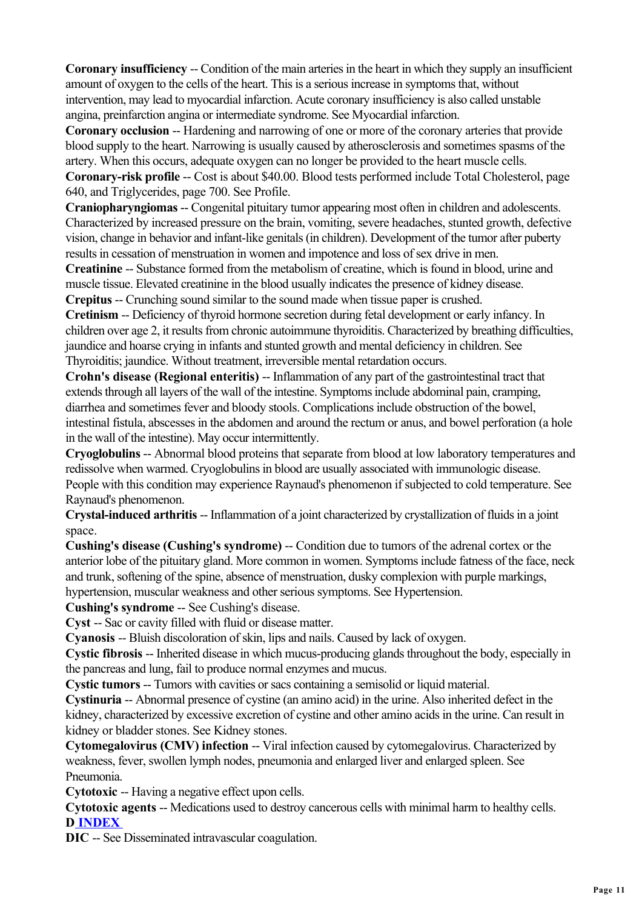**Coronary insufficiency** -- Condition of the main arteries in the heart in which they supply an insufficient amount of oxygen to the cells of the heart. This is a serious increase in symptoms that, without intervention, may lead to myocardial infarction. Acute coronary insufficiency is also called unstable angina, preinfarction angina or intermediate syndrome. See Myocardial infarction.

**Coronary occlusion** -- Hardening and narrowing of one or more of the coronary arteries that provide blood supply to the heart. Narrowing is usually caused by atherosclerosis and sometimes spasms of the artery. When this occurs, adequate oxygen can no longer be provided to the heart muscle cells.

**Coronary-risk profile** -- Cost is about \$40.00. Blood tests performed include Total Cholesterol, page 640, and Triglycerides, page 700. See Profile.

**Craniopharyngiomas** -- Congenital pituitary tumor appearing most often in children and adolescents. Characterized by increased pressure on the brain, vomiting, severe headaches, stunted growth, defective vision, change in behavior and infant-like genitals (in children). Development of the tumor after puberty results in cessation of menstruation in women and impotence and loss of sex drive in men.

**Creatinine** -- Substance formed from the metabolism of creatine, which is found in blood, urine and muscle tissue. Elevated creatinine in the blood usually indicates the presence of kidney disease.

**Crepitus** -- Crunching sound similar to the sound made when tissue paper is crushed.

**Cretinism** -- Deficiency of thyroid hormone secretion during fetal development or early infancy. In children over age 2, it results from chronic autoimmune thyroiditis. Characterized by breathing difficulties, jaundice and hoarse crying in infants and stunted growth and mental deficiency in children. See Thyroiditis; jaundice. Without treatment, irreversible mental retardation occurs.

**Crohn's disease (Regional enteritis)** -- Inflammation of any part of the gastrointestinal tract that extends through all layers of the wall of the intestine. Symptoms include abdominal pain, cramping, diarrhea and sometimes fever and bloody stools. Complications include obstruction of the bowel, intestinal fistula, abscesses in the abdomen and around the rectum or anus, and bowel perforation (a hole in the wall of the intestine). May occur intermittently.

**Cryoglobulins** -- Abnormal blood proteins that separate from blood at low laboratory temperatures and redissolve when warmed. Cryoglobulins in blood are usually associated with immunologic disease. People with this condition may experience Raynaud's phenomenon if subjected to cold temperature. See Raynaud's phenomenon.

**Crystal-induced arthritis** -- Inflammation of a joint characterized by crystallization of fluids in a joint space.

**Cushing's disease (Cushing's syndrome)** -- Condition due to tumors of the adrenal cortex or the anterior lobe of the pituitary gland. More common in women. Symptoms include fatness of the face, neck and trunk, softening of the spine, absence of menstruation, dusky complexion with purple markings, hypertension, muscular weakness and other serious symptoms. See Hypertension.

**Cushing's syndrome** -- See Cushing's disease.

**Cyst** -- Sac or cavity filled with fluid or disease matter.

**Cyanosis** -- Bluish discoloration of skin, lips and nails. Caused by lack of oxygen.

**Cystic fibrosis** -- Inherited disease in which mucus-producing glands throughout the body, especially in the pancreas and lung, fail to produce normal enzymes and mucus.

**Cystic tumors** -- Tumors with cavities or sacs containing a semisolid or liquid material.

**Cystinuria** -- Abnormal presence of cystine (an amino acid) in the urine. Also inherited defect in the kidney, characterized by excessive excretion of cystine and other amino acids in the urine. Can result in kidney or bladder stones. See Kidney stones.

**Cytomegalovirus (CMV) infection -- Viral infection caused by cytomegalovirus. Characterized by** weakness, fever, swollen lymph nodes, pneumonia and enlarged liver and enlarged spleen. See Pneumonia.

**Cytotoxic** -- Having a negative effect upon cells.

**Cytotoxic agents** -- Medications used to destroy cancerous cells with minimal harm to healthy cells. **D INDEX** 

**DIC** -- See Disseminated intravascular coagulation.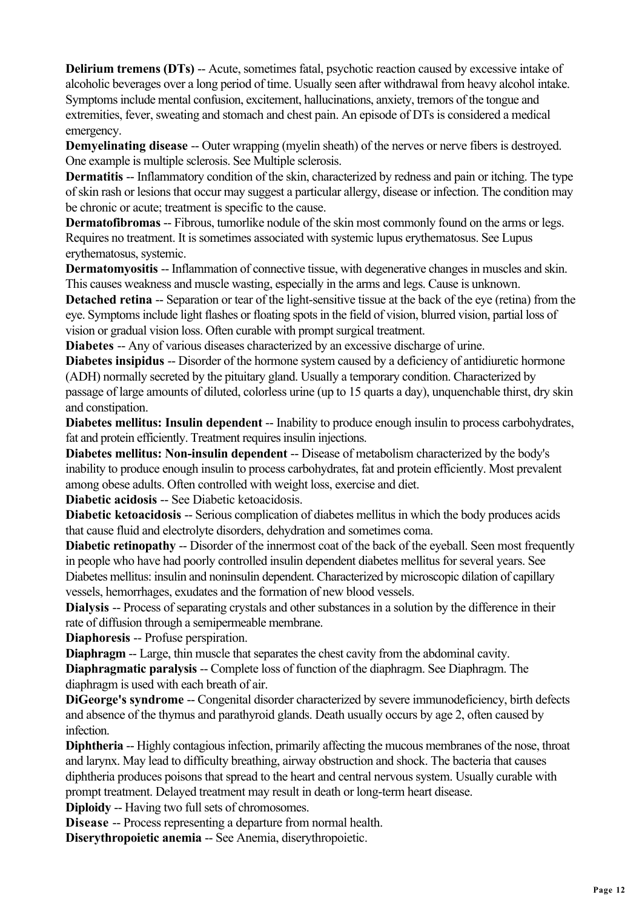**Delirium tremens (DTs) -- Acute, sometimes fatal, psychotic reaction caused by excessive intake of** alcoholic beverages over a long period of time. Usually seen after withdrawal from heavy alcohol intake. Symptoms include mental confusion, excitement, hallucinations, anxiety, tremors of the tongue and extremities, fever, sweating and stomach and chest pain. An episode of DTs is considered a medical emergency.

**Demyelinating disease** -- Outer wrapping (myelin sheath) of the nerves or nerve fibers is destroyed. One example is multiple sclerosis. See Multiple sclerosis.

**Dermatitis** -- Inflammatory condition of the skin, characterized by redness and pain or itching. The type of skin rash or lesions that occur may suggest a particular allergy, disease or infection. The condition may be chronic or acute; treatment is specific to the cause.

**Dermatofibromas** -- Fibrous, tumorlike nodule of the skin most commonly found on the arms or legs. Requires no treatment. It is sometimes associated with systemic lupus erythematosus. See Lupus erythematosus, systemic.

**Dermatomyositis** -- Inflammation of connective tissue, with degenerative changes in muscles and skin. This causes weakness and muscle wasting, especially in the arms and legs. Cause is unknown.

**Detached retina** -- Separation or tear of the light-sensitive tissue at the back of the eye (retina) from the eye. Symptoms include light flashes or floating spots in the field of vision, blurred vision, partial loss of vision or gradual vision loss. Often curable with prompt surgical treatment.

**Diabetes** -- Any of various diseases characterized by an excessive discharge of urine.

**Diabetes insipidus** -- Disorder of the hormone system caused by a deficiency of antidiuretic hormone (ADH) normally secreted by the pituitary gland. Usually a temporary condition. Characterized by passage of large amounts of diluted, colorless urine (up to 15 quarts a day), unquenchable thirst, dry skin and constipation.

**Diabetes mellitus: Insulin dependent** -- Inability to produce enough insulin to process carbohydrates, fat and protein efficiently. Treatment requires insulin injections.

**Diabetes mellitus: Non-insulin dependent** -- Disease of metabolism characterized by the body's inability to produce enough insulin to process carbohydrates, fat and protein efficiently. Most prevalent among obese adults. Often controlled with weight loss, exercise and diet.

**Diabetic acidosis** -- See Diabetic ketoacidosis.

**Diabetic ketoacidosis** -- Serious complication of diabetes mellitus in which the body produces acids that cause fluid and electrolyte disorders, dehydration and sometimes coma.

**Diabetic retinopathy** -- Disorder of the innermost coat of the back of the eyeball. Seen most frequently in people who have had poorly controlled insulin dependent diabetes mellitus for several years. See Diabetes mellitus: insulin and noninsulin dependent. Characterized by microscopic dilation of capillary vessels, hemorrhages, exudates and the formation of new blood vessels.

**Dialysis** -- Process of separating crystals and other substances in a solution by the difference in their rate of diffusion through a semipermeable membrane.

**Diaphoresis** -- Profuse perspiration.

**Diaphragm --** Large, thin muscle that separates the chest cavity from the abdominal cavity.

**Diaphragmatic paralysis --** Complete loss of function of the diaphragm. See Diaphragm. The diaphragm is used with each breath of air.

**DiGeorge's syndrome** -- Congenital disorder characterized by severe immunodeficiency, birth defects and absence of the thymus and parathyroid glands. Death usually occurs by age 2, often caused by infection.

**Diphtheria** -- Highly contagious infection, primarily affecting the mucous membranes of the nose, throat and larynx. May lead to difficulty breathing, airway obstruction and shock. The bacteria that causes diphtheria produces poisons that spread to the heart and central nervous system. Usually curable with prompt treatment. Delayed treatment may result in death or long-term heart disease.

**Diploidy** -- Having two full sets of chromosomes.

**Disease** -- Process representing a departure from normal health.

**Diserythropoietic anemia** -- See Anemia, diserythropoietic.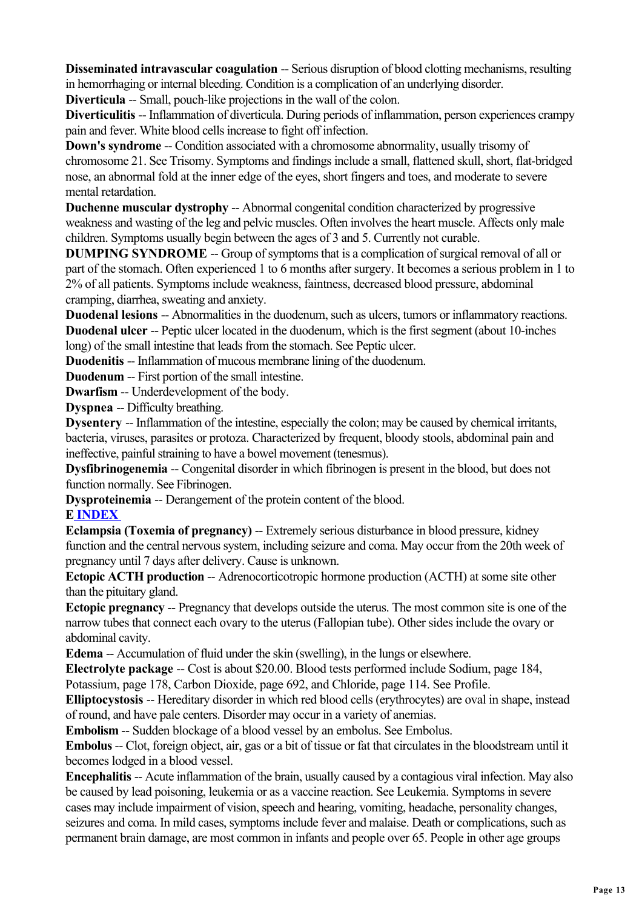**Disseminated intravascular coagulation --** Serious disruption of blood clotting mechanisms, resulting in hemorrhaging or internal bleeding. Condition is a complication of an underlying disorder.

**Diverticula** -- Small, pouch-like projections in the wall of the colon.

**Diverticulitis** -- Inflammation of diverticula. During periods of inflammation, person experiences crampy pain and fever. White blood cells increase to fight off infection.

**Down's syndrome --** Condition associated with a chromosome abnormality, usually trisomy of chromosome 21. See Trisomy. Symptoms and findings include a small, flattened skull, short, flat-bridged nose, an abnormal fold at the inner edge of the eyes, short fingers and toes, and moderate to severe mental retardation.

**Duchenne muscular dystrophy** -- Abnormal congenital condition characterized by progressive weakness and wasting of the leg and pelvic muscles. Often involves the heart muscle. Affects only male children. Symptoms usually begin between the ages of 3 and 5. Currently not curable.

**DUMPING SYNDROME** -- Group of symptoms that is a complication of surgical removal of all or part of the stomach. Often experienced 1 to 6 months after surgery. It becomes a serious problem in 1 to 2% of all patients. Symptoms include weakness, faintness, decreased blood pressure, abdominal cramping, diarrhea, sweating and anxiety.

**Duodenal lesions** -- Abnormalities in the duodenum, such as ulcers, tumors or inflammatory reactions. **Duodenal ulcer** -- Peptic ulcer located in the duodenum, which is the first segment (about 10-inches long) of the small intestine that leads from the stomach. See Peptic ulcer.

**Duodenitis** -- Inflammation of mucous membrane lining of the duodenum.

**Duodenum** -- First portion of the small intestine.

**Dwarfism** -- Underdevelopment of the body.

**Dyspnea** -- Difficulty breathing.

**Dysentery** -- Inflammation of the intestine, especially the colon; may be caused by chemical irritants, bacteria, viruses, parasites or protoza. Characterized by frequent, bloody stools, abdominal pain and ineffective, painful straining to have a bowel movement (tenesmus).

**Dysfibrinogenemia** -- Congenital disorder in which fibrinogen is present in the blood, but does not function normally. See Fibrinogen.

**Dysproteinemia** -- Derangement of the protein content of the blood.

#### **E INDEX**

**Eclampsia (Toxemia of pregnancy)** -- Extremely serious disturbance in blood pressure, kidney function and the central nervous system, including seizure and coma. May occur from the 20th week of pregnancy until 7 days after delivery. Cause is unknown.

**Ectopic ACTH production --** Adrenocorticotropic hormone production (ACTH) at some site other than the pituitary gland.

**Ectopic pregnancy** -- Pregnancy that develops outside the uterus. The most common site is one of the narrow tubes that connect each ovary to the uterus (Fallopian tube). Other sides include the ovary or abdominal cavity.

**Edema** -- Accumulation of fluid under the skin (swelling), in the lungs or elsewhere.

**Electrolyte package** -- Cost is about \$20.00. Blood tests performed include Sodium, page 184, Potassium, page 178, Carbon Dioxide, page 692, and Chloride, page 114. See Profile.

**Elliptocystosis** -- Hereditary disorder in which red blood cells (erythrocytes) are oval in shape, instead of round, and have pale centers. Disorder may occur in a variety of anemias.

**Embolism** -- Sudden blockage of a blood vessel by an embolus. See Embolus.

**Embolus** -- Clot, foreign object, air, gas or a bit of tissue or fat that circulates in the bloodstream until it becomes lodged in a blood vessel.

**Encephalitis** -- Acute inflammation of the brain, usually caused by a contagious viral infection. May also be caused by lead poisoning, leukemia or as a vaccine reaction. See Leukemia. Symptoms in severe cases may include impairment of vision, speech and hearing, vomiting, headache, personality changes, seizures and coma. In mild cases, symptoms include fever and malaise. Death or complications, such as permanent brain damage, are most common in infants and people over 65. People in other age groups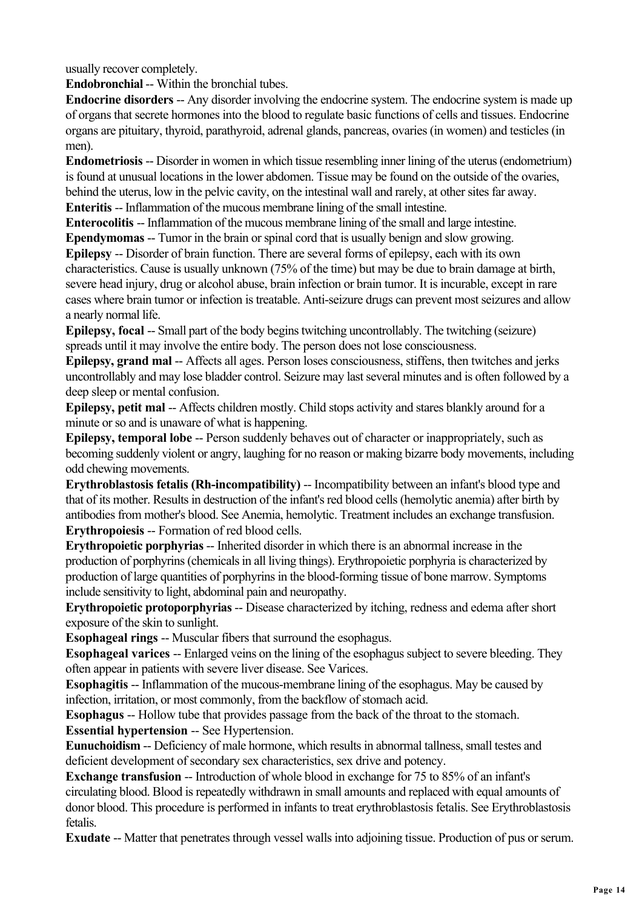usually recover completely.

**Endobronchial** -- Within the bronchial tubes.

**Endocrine disorders** -- Any disorder involving the endocrine system. The endocrine system is made up of organs that secrete hormones into the blood to regulate basic functions of cells and tissues. Endocrine organs are pituitary, thyroid, parathyroid, adrenal glands, pancreas, ovaries (in women) and testicles (in men).

**Endometriosis** -- Disorder in women in which tissue resembling inner lining of the uterus (endometrium) is found at unusual locations in the lower abdomen. Tissue may be found on the outside of the ovaries, behind the uterus, low in the pelvic cavity, on the intestinal wall and rarely, at other sites far away. **Enteritis --** Inflammation of the mucous membrane lining of the small intestine.

**Enterocolitis** -- Inflammation of the mucous membrane lining of the small and large intestine. **Ependymomas** -- Tumor in the brain or spinal cord that is usually benign and slow growing.

**Epilepsy** -- Disorder of brain function. There are several forms of epilepsy, each with its own characteristics. Cause is usually unknown (75% of the time) but may be due to brain damage at birth, severe head injury, drug or alcohol abuse, brain infection or brain tumor. It is incurable, except in rare cases where brain tumor or infection is treatable. Anti-seizure drugs can prevent most seizures and allow a nearly normal life.

**Epilepsy, focal** -- Small part of the body begins twitching uncontrollably. The twitching (seizure) spreads until it may involve the entire body. The person does not lose consciousness.

**Epilepsy, grand mal** -- Affects all ages. Person loses consciousness, stiffens, then twitches and jerks uncontrollably and may lose bladder control. Seizure may last several minutes and is often followed by a deep sleep or mental confusion.

**Epilepsy, petit mal** -- Affects children mostly. Child stops activity and stares blankly around for a minute or so and is unaware of what is happening.

**Epilepsy, temporal lobe** -- Person suddenly behaves out of character or inappropriately, such as becoming suddenly violent or angry, laughing for no reason or making bizarre body movements, including odd chewing movements.

**Erythroblastosis fetalis (Rh-incompatibility)** -- Incompatibility between an infant's blood type and that of its mother. Results in destruction of the infant's red blood cells (hemolytic anemia) after birth by antibodies from mother's blood. See Anemia, hemolytic. Treatment includes an exchange transfusion. **Erythropoiesis** -- Formation of red blood cells.

**Erythropoietic porphyrias** -- Inherited disorder in which there is an abnormal increase in the production of porphyrins (chemicals in all living things). Erythropoietic porphyria is characterized by production of large quantities of porphyrins in the blood-forming tissue of bone marrow. Symptoms include sensitivity to light, abdominal pain and neuropathy.

**Erythropoietic protoporphyrias** -- Disease characterized by itching, redness and edema after short exposure of the skin to sunlight.

**Esophageal rings** -- Muscular fibers that surround the esophagus.

**Esophageal varices** -- Enlarged veins on the lining of the esophagus subject to severe bleeding. They often appear in patients with severe liver disease. See Varices.

**Esophagitis** -- Inflammation of the mucous-membrane lining of the esophagus. May be caused by infection, irritation, or most commonly, from the backflow of stomach acid.

**Esophagus** -- Hollow tube that provides passage from the back of the throat to the stomach. **Essential hypertension** -- See Hypertension.

**Eunuchoidism** -- Deficiency of male hormone, which results in abnormal tallness, small testes and deficient development of secondary sex characteristics, sex drive and potency.

**Exchange transfusion --** Introduction of whole blood in exchange for 75 to 85% of an infant's circulating blood. Blood is repeatedly withdrawn in small amounts and replaced with equal amounts of donor blood. This procedure is performed in infants to treat erythroblastosis fetalis. See Erythroblastosis fetalis.

**Exudate** -- Matter that penetrates through vessel walls into adjoining tissue. Production of pus or serum.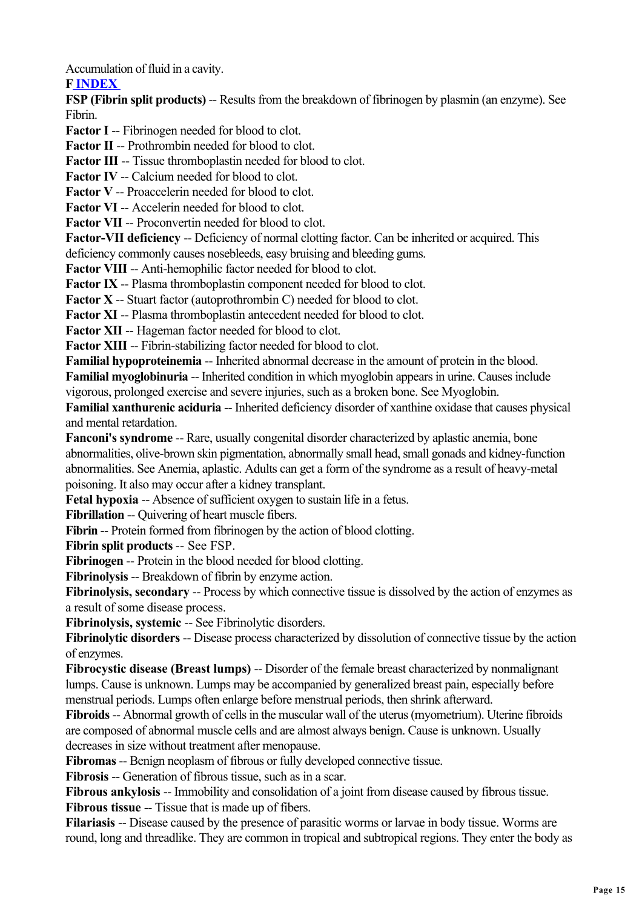Accumulation of fluid in a cavity.

## **F INDEX**

**FSP (Fibrin split products)** -- Results from the breakdown of fibrinogen by plasmin (an enzyme). See Fibrin.

**Factor I** -- Fibrinogen needed for blood to clot.

**Factor II -- Prothrombin needed for blood to clot.** 

**Factor III -- Tissue thromboplastin needed for blood to clot.** 

**Factor IV** -- Calcium needed for blood to clot.

**Factor V** -- Proaccelerin needed for blood to clot.

**Factor VI** -- Accelerin needed for blood to clot.

Factor VII -- Proconvertin needed for blood to clot.

**Factor-VII deficiency** -- Deficiency of normal clotting factor. Can be inherited or acquired. This deficiency commonly causes nosebleeds, easy bruising and bleeding gums.

**Factor VIII -- Anti-hemophilic factor needed for blood to clot.** 

**Factor IX** -- Plasma thromboplastin component needed for blood to clot.

**Factor X** -- Stuart factor (autoprothrombin C) needed for blood to clot.

**Factor XI** -- Plasma thromboplastin antecedent needed for blood to clot.

**Factor XII -- Hageman factor needed for blood to clot.** 

**Factor XIII** -- Fibrin-stabilizing factor needed for blood to clot.

**Familial hypoproteinemia** -- Inherited abnormal decrease in the amount of protein in the blood. **Familial myoglobinuria --** Inherited condition in which myoglobin appears in urine. Causes include vigorous, prolonged exercise and severe injuries, such as a broken bone. See Myoglobin.

**Familial xanthurenic aciduria --** Inherited deficiency disorder of xanthine oxidase that causes physical and mental retardation.

**Fanconi's syndrome --** Rare, usually congenital disorder characterized by aplastic anemia, bone abnormalities, olive-brown skin pigmentation, abnormally small head, small gonads and kidney-function abnormalities. See Anemia, aplastic. Adults can get a form of the syndrome as a result of heavy-metal poisoning. It also may occur after a kidney transplant.

**Fetal hypoxia** -- Absence of sufficient oxygen to sustain life in a fetus.

**Fibrillation** -- Quivering of heart muscle fibers.

**Fibrin --** Protein formed from fibrinogen by the action of blood clotting.

**Fibrin split products** -- See FSP.

**Fibrinogen** -- Protein in the blood needed for blood clotting.

**Fibrinolysis** -- Breakdown of fibrin by enzyme action.

**Fibrinolysis, secondary --** Process by which connective tissue is dissolved by the action of enzymes as a result of some disease process.

**Fibrinolysis, systemic** -- See Fibrinolytic disorders.

**Fibrinolytic disorders** -- Disease process characterized by dissolution of connective tissue by the action of enzymes.

**Fibrocystic disease (Breast lumps) -- Disorder of the female breast characterized by nonmalignant** lumps. Cause is unknown. Lumps may be accompanied by generalized breast pain, especially before menstrual periods. Lumps often enlarge before menstrual periods, then shrink afterward.

**Fibroids** -- Abnormal growth of cells in the muscular wall of the uterus (myometrium). Uterine fibroids are composed of abnormal muscle cells and are almost always benign. Cause is unknown. Usually decreases in size without treatment after menopause.

**Fibromas** -- Benign neoplasm of fibrous or fully developed connective tissue.

**Fibrosis --** Generation of fibrous tissue, such as in a scar.

**Fibrous ankylosis** -- Immobility and consolidation of a joint from disease caused by fibrous tissue. **Fibrous tissue -- Tissue that is made up of fibers.** 

**Filariasis** -- Disease caused by the presence of parasitic worms or larvae in body tissue. Worms are round, long and threadlike. They are common in tropical and subtropical regions. They enter the body as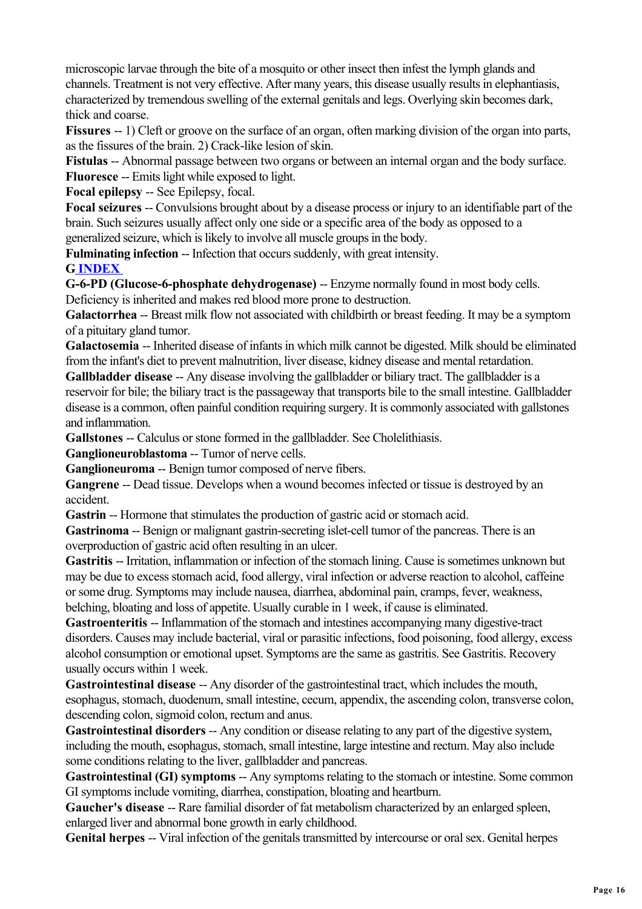microscopic larvae through the bite of a mosquito or other insect then infest the lymph glands and channels. Treatment is not very effective. After many years, this disease usually results in elephantiasis, characterized by tremendous swelling of the external genitals and legs. Overlying skin becomes dark, thick and coarse.

**Fissures** -- 1) Cleft or groove on the surface of an organ, often marking division of the organ into parts, as the fissures of the brain. 2) Crack-like lesion of skin.

**Fistulas** -- Abnormal passage between two organs or between an internal organ and the body surface. **Fluoresce** -- Emits light while exposed to light.

**Focal epilepsy** -- See Epilepsy, focal.

**Focal seizures** -- Convulsions brought about by a disease process or injury to an identifiable part of the brain. Such seizures usually affect only one side or a specific area of the body as opposed to a generalized seizure, which is likely to involve all muscle groups in the body.

**Fulminating infection --** Infection that occurs suddenly, with great intensity.

**G INDEX** 

**G-6-PD (Glucose-6-phosphate dehydrogenase)** -- Enzyme normally found in most body cells.

Deficiency is inherited and makes red blood more prone to destruction.

**Galactorrhea** -- Breast milk flow not associated with childbirth or breast feeding. It may be a symptom of a pituitary gland tumor.

**Galactosemia** -- Inherited disease of infants in which milk cannot be digested. Milk should be eliminated from the infant's diet to prevent malnutrition, liver disease, kidney disease and mental retardation.

**Gallbladder disease** -- Any disease involving the gallbladder or biliary tract. The gallbladder is a reservoir for bile; the biliary tract is the passageway that transports bile to the small intestine. Gallbladder disease is a common, often painful condition requiring surgery. It is commonly associated with gallstones and inflammation.

**Gallstones** -- Calculus or stone formed in the gallbladder. See Cholelithiasis.

**Ganglioneuroblastoma** -- Tumor of nerve cells.

**Ganglioneuroma** -- Benign tumor composed of nerve fibers.

**Gangrene** -- Dead tissue. Develops when a wound becomes infected or tissue is destroyed by an accident.

**Gastrin** -- Hormone that stimulates the production of gastric acid or stomach acid.

**Gastrinoma** -- Benign or malignant gastrin-secreting islet-cell tumor of the pancreas. There is an overproduction of gastric acid often resulting in an ulcer.

Gastritis -- Irritation, inflammation or infection of the stomach lining. Cause is sometimes unknown but may be due to excess stomach acid, food allergy, viral infection or adverse reaction to alcohol, caffeine or some drug. Symptoms may include nausea, diarrhea, abdominal pain, cramps, fever, weakness, belching, bloating and loss of appetite. Usually curable in 1 week, if cause is eliminated.

**Gastroenteritis** -- Inflammation of the stomach and intestines accompanying many digestive-tract disorders. Causes may include bacterial, viral or parasitic infections, food poisoning, food allergy, excess alcohol consumption or emotional upset. Symptoms are the same as gastritis. See Gastritis. Recovery usually occurs within 1 week.

**Gastrointestinal disease** -- Any disorder of the gastrointestinal tract, which includes the mouth, esophagus, stomach, duodenum, small intestine, cecum, appendix, the ascending colon, transverse colon, descending colon, sigmoid colon, rectum and anus.

**Gastrointestinal disorders** -- Any condition or disease relating to any part of the digestive system, including the mouth, esophagus, stomach, small intestine, large intestine and rectum. May also include some conditions relating to the liver, gallbladder and pancreas.

**Gastrointestinal (GI) symptoms** -- Any symptoms relating to the stomach or intestine. Some common GI symptoms include vomiting, diarrhea, constipation, bloating and heartburn.

**Gaucher's disease** -- Rare familial disorder of fat metabolism characterized by an enlarged spleen, enlarged liver and abnormal bone growth in early childhood.

**Genital herpes** -- Viral infection of the genitals transmitted by intercourse or oral sex. Genital herpes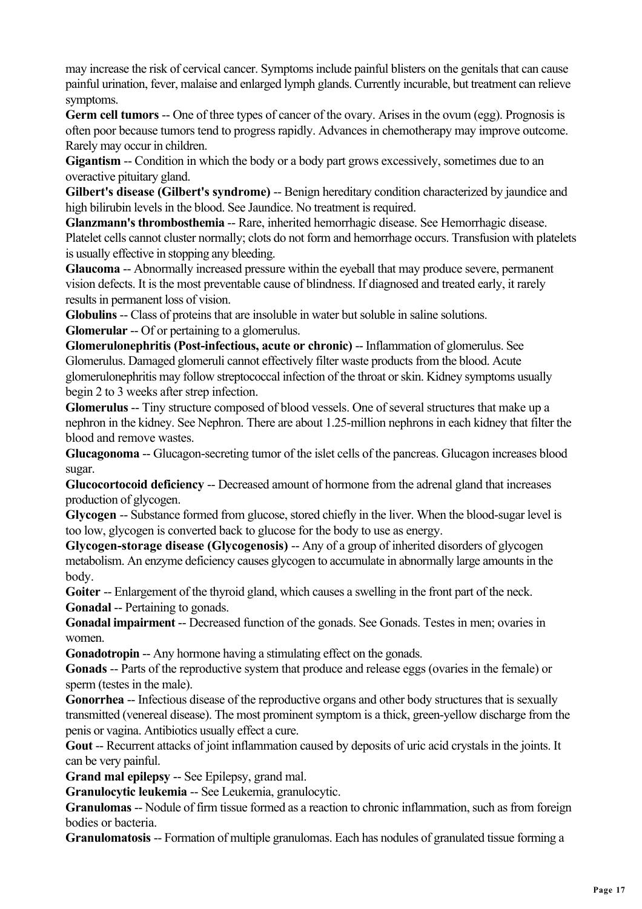may increase the risk of cervical cancer. Symptoms include painful blisters on the genitals that can cause painful urination, fever, malaise and enlarged lymph glands. Currently incurable, but treatment can relieve symptoms.

**Germ cell tumors** -- One of three types of cancer of the ovary. Arises in the ovum (egg). Prognosis is often poor because tumors tend to progress rapidly. Advances in chemotherapy may improve outcome. Rarely may occur in children.

**Gigantism** -- Condition in which the body or a body part grows excessively, sometimes due to an overactive pituitary gland.

Gilbert's disease (Gilbert's syndrome) -- Benign hereditary condition characterized by jaundice and high bilirubin levels in the blood. See Jaundice. No treatment is required.

**Glanzmann's thrombosthemia** -- Rare, inherited hemorrhagic disease. See Hemorrhagic disease. Platelet cells cannot cluster normally; clots do not form and hemorrhage occurs. Transfusion with platelets is usually effective in stopping any bleeding.

**Glaucoma** -- Abnormally increased pressure within the eyeball that may produce severe, permanent vision defects. It is the most preventable cause of blindness. If diagnosed and treated early, it rarely results in permanent loss of vision.

**Globulins** -- Class of proteins that are insoluble in water but soluble in saline solutions.

**Glomerular** -- Of or pertaining to a glomerulus.

**Glomerulonephritis (Post-infectious, acute or chronic)** -- Inflammation of glomerulus. See Glomerulus. Damaged glomeruli cannot effectively filter waste products from the blood. Acute glomerulonephritis may follow streptococcal infection of the throat or skin. Kidney symptoms usually begin 2 to 3 weeks after strep infection.

**Glomerulus** -- Tiny structure composed of blood vessels. One of several structures that make up a nephron in the kidney. See Nephron. There are about 1.25-million nephrons in each kidney that filter the blood and remove wastes

**Glucagonoma** -- Glucagon-secreting tumor of the islet cells of the pancreas. Glucagon increases blood sugar.

**Glucocortocoid deficiency** -- Decreased amount of hormone from the adrenal gland that increases production of glycogen.

**Glycogen** -- Substance formed from glucose, stored chiefly in the liver. When the blood-sugar level is too low, glycogen is converted back to glucose for the body to use as energy.

**Glycogen-storage disease (Glycogenosis)** -- Any of a group of inherited disorders of glycogen metabolism. An enzyme deficiency causes glycogen to accumulate in abnormally large amounts in the body.

**Goiter** -- Enlargement of the thyroid gland, which causes a swelling in the front part of the neck. **Gonadal** -- Pertaining to gonads.

**Gonadal impairment** -- Decreased function of the gonads. See Gonads. Testes in men; ovaries in women.

**Gonadotropin** -- Any hormone having a stimulating effect on the gonads.

**Gonads** -- Parts of the reproductive system that produce and release eggs (ovaries in the female) or sperm (testes in the male).

**Gonorrhea** -- Infectious disease of the reproductive organs and other body structures that is sexually transmitted (venereal disease). The most prominent symptom is a thick, green-yellow discharge from the penis or vagina. Antibiotics usually effect a cure.

**Gout** -- Recurrent attacks of joint inflammation caused by deposits of uric acid crystals in the joints. It can be very painful.

**Grand mal epilepsy** -- See Epilepsy, grand mal.

**Granulocytic leukemia -- See Leukemia, granulocytic.** 

**Granulomas** -- Nodule of firm tissue formed as a reaction to chronic inflammation, such as from foreign bodies or bacteria.

**Granulomatosis** -- Formation of multiple granulomas. Each has nodules of granulated tissue forming a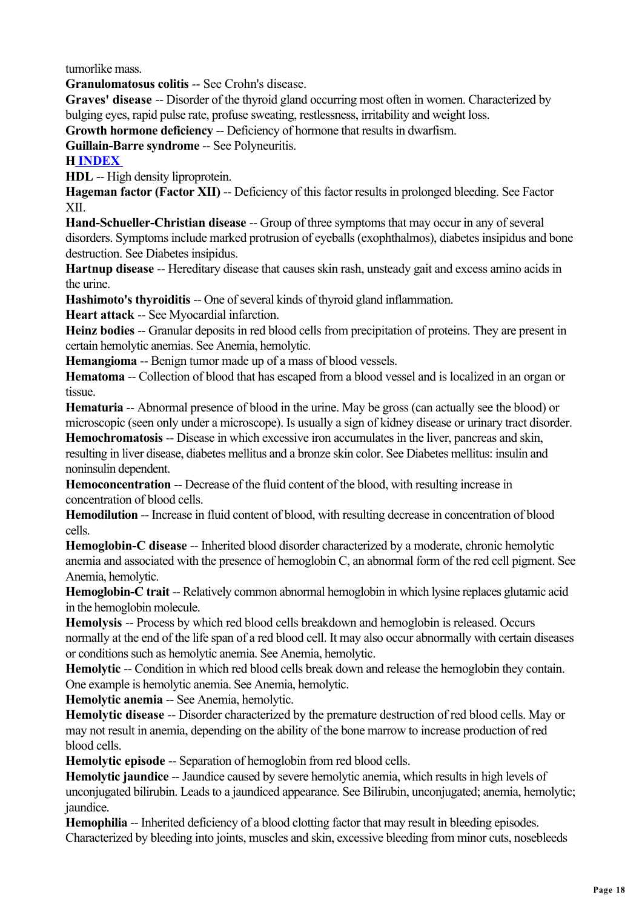tumorlike mass.

**Granulomatosus colitis** -- See Crohn's disease.

**Graves' disease** -- Disorder of the thyroid gland occurring most often in women. Characterized by bulging eyes, rapid pulse rate, profuse sweating, restlessness, irritability and weight loss.

**Growth hormone deficiency --** Deficiency of hormone that results in dwarfism.

**Guillain-Barre syndrome** -- See Polyneuritis.

## **H INDEX**

**HDL** -- High density liproprotein.

**Hageman factor (Factor XII) -- Deficiency of this factor results in prolonged bleeding. See Factor** XII.

**Hand-Schueller-Christian disease** -- Group of three symptoms that may occur in any of several disorders. Symptoms include marked protrusion of eyeballs (exophthalmos), diabetes insipidus and bone destruction. See Diabetes insipidus.

**Hartnup disease** -- Hereditary disease that causes skin rash, unsteady gait and excess amino acids in the urine.

**Hashimoto's thyroiditis --** One of several kinds of thyroid gland inflammation.

**Heart attack** -- See Myocardial infarction.

**Heinz bodies** -- Granular deposits in red blood cells from precipitation of proteins. They are present in certain hemolytic anemias. See Anemia, hemolytic.

**Hemangioma** -- Benign tumor made up of a mass of blood vessels.

**Hematoma** -- Collection of blood that has escaped from a blood vessel and is localized in an organ or tissue.

**Hematuria** -- Abnormal presence of blood in the urine. May be gross (can actually see the blood) or microscopic (seen only under a microscope). Is usually a sign of kidney disease or urinary tract disorder.

**Hemochromatosis** -- Disease in which excessive iron accumulates in the liver, pancreas and skin, resulting in liver disease, diabetes mellitus and a bronze skin color. See Diabetes mellitus: insulin and noninsulin dependent.

**Hemoconcentration --** Decrease of the fluid content of the blood, with resulting increase in concentration of blood cells.

**Hemodilution** -- Increase in fluid content of blood, with resulting decrease in concentration of blood cells.

**Hemoglobin-C disease** -- Inherited blood disorder characterized by a moderate, chronic hemolytic anemia and associated with the presence of hemoglobin C, an abnormal form of the red cell pigment. See Anemia, hemolytic.

**Hemoglobin-C trait -- Relatively common abnormal hemoglobin in which lysine replaces glutamic acid** in the hemoglobin molecule.

**Hemolysis** -- Process by which red blood cells breakdown and hemoglobin is released. Occurs normally at the end of the life span of a red blood cell. It may also occur abnormally with certain diseases or conditions such as hemolytic anemia. See Anemia, hemolytic.

**Hemolytic --** Condition in which red blood cells break down and release the hemoglobin they contain. One example is hemolytic anemia. See Anemia, hemolytic.

**Hemolytic anemia -- See Anemia, hemolytic.** 

**Hemolytic disease** -- Disorder characterized by the premature destruction of red blood cells. May or may not result in anemia, depending on the ability of the bone marrow to increase production of red blood cells.

**Hemolytic episode** -- Separation of hemoglobin from red blood cells.

**Hemolytic jaundice** -- Jaundice caused by severe hemolytic anemia, which results in high levels of unconjugated bilirubin. Leads to a jaundiced appearance. See Bilirubin, unconjugated; anemia, hemolytic; jaundice.

**Hemophilia** -- Inherited deficiency of a blood clotting factor that may result in bleeding episodes. Characterized by bleeding into joints, muscles and skin, excessive bleeding from minor cuts, nosebleeds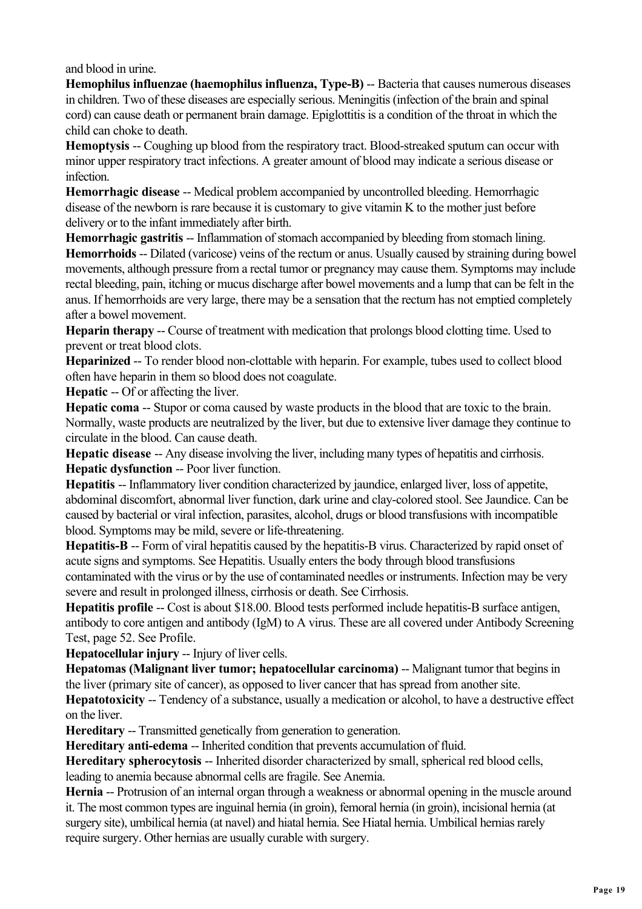and blood in urine.

**Hemophilus influenzae (haemophilus influenza, Type-B)** -- Bacteria that causes numerous diseases in children. Two of these diseases are especially serious. Meningitis (infection of the brain and spinal cord) can cause death or permanent brain damage. Epiglottitis is a condition of the throat in which the child can choke to death.

**Hemoptysis** -- Coughing up blood from the respiratory tract. Blood-streaked sputum can occur with minor upper respiratory tract infections. A greater amount of blood may indicate a serious disease or infection.

**Hemorrhagic disease --** Medical problem accompanied by uncontrolled bleeding. Hemorrhagic disease of the newborn is rare because it is customary to give vitamin K to the mother just before delivery or to the infant immediately after birth.

**Hemorrhagic gastritis** -- Inflammation of stomach accompanied by bleeding from stomach lining. **Hemorrhoids** -- Dilated (varicose) veins of the rectum or anus. Usually caused by straining during bowel movements, although pressure from a rectal tumor or pregnancy may cause them. Symptoms may include rectal bleeding, pain, itching or mucus discharge after bowel movements and a lump that can be felt in the anus. If hemorrhoids are very large, there may be a sensation that the rectum has not emptied completely after a bowel movement.

**Heparin therapy** -- Course of treatment with medication that prolongs blood clotting time. Used to prevent or treat blood clots.

**Heparinized** -- To render blood non-clottable with heparin. For example, tubes used to collect blood often have heparin in them so blood does not coagulate.

**Hepatic --** Of or affecting the liver.

**Hepatic coma** -- Stupor or coma caused by waste products in the blood that are toxic to the brain. Normally, waste products are neutralized by the liver, but due to extensive liver damage they continue to circulate in the blood. Can cause death.

**Hepatic disease** -- Any disease involving the liver, including many types of hepatitis and cirrhosis. **Hepatic dysfunction** -- Poor liver function.

**Hepatitis** -- Inflammatory liver condition characterized by jaundice, enlarged liver, loss of appetite, abdominal discomfort, abnormal liver function, dark urine and clay-colored stool. See Jaundice. Can be caused by bacterial or viral infection, parasites, alcohol, drugs or blood transfusions with incompatible blood. Symptoms may be mild, severe or life-threatening.

**Hepatitis-B** -- Form of viral hepatitis caused by the hepatitis-B virus. Characterized by rapid onset of acute signs and symptoms. See Hepatitis. Usually enters the body through blood transfusions contaminated with the virus or by the use of contaminated needles or instruments. Infection may be very severe and result in prolonged illness, cirrhosis or death. See Cirrhosis.

**Hepatitis profile** -- Cost is about \$18.00. Blood tests performed include hepatitis-B surface antigen, antibody to core antigen and antibody (IgM) to A virus. These are all covered under Antibody Screening Test, page 52. See Profile.

**Hepatocellular injury -- Injury of liver cells.** 

**Hepatomas (Malignant liver tumor; hepatocellular carcinoma) -- Malignant tumor that begins in** the liver (primary site of cancer), as opposed to liver cancer that has spread from another site.

**Hepatotoxicity** -- Tendency of a substance, usually a medication or alcohol, to have a destructive effect on the liver.

**Hereditary** -- Transmitted genetically from generation to generation.

**Hereditary anti-edema** -- Inherited condition that prevents accumulation of fluid.

**Hereditary spherocytosis** -- Inherited disorder characterized by small, spherical red blood cells, leading to anemia because abnormal cells are fragile. See Anemia.

**Hernia** -- Protrusion of an internal organ through a weakness or abnormal opening in the muscle around it. The most common types are inguinal hernia (in groin), femoral hernia (in groin), incisional hernia (at surgery site), umbilical hernia (at navel) and hiatal hernia. See Hiatal hernia. Umbilical hernias rarely require surgery. Other hernias are usually curable with surgery.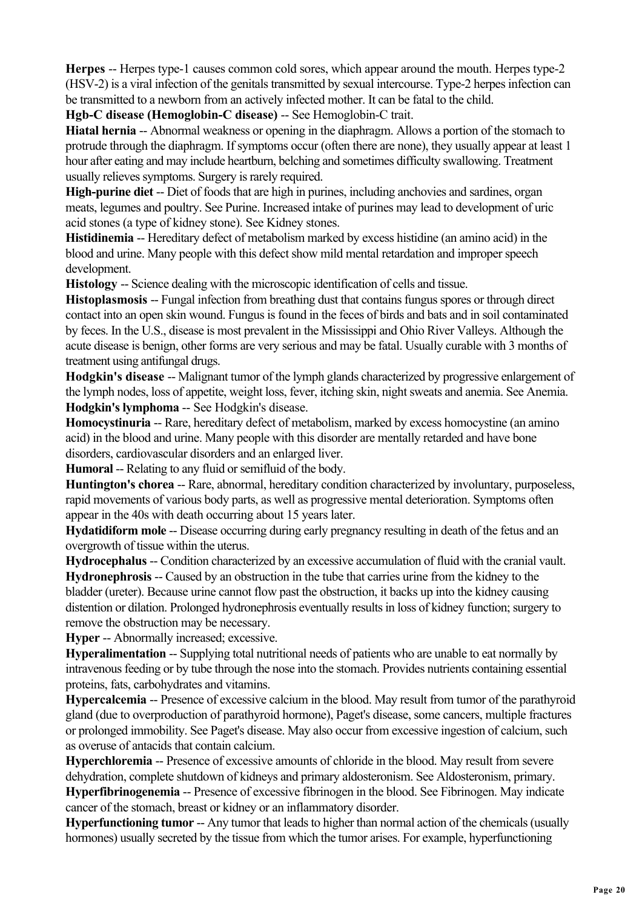**Herpes** -- Herpes type-1 causes common cold sores, which appear around the mouth. Herpes type-2 (HSV-2) is a viral infection of the genitals transmitted by sexual intercourse. Type-2 herpes infection can be transmitted to a newborn from an actively infected mother. It can be fatal to the child.

**Hgb-C disease (Hemoglobin-C disease)** -- See Hemoglobin-C trait.

**Hiatal hernia** -- Abnormal weakness or opening in the diaphragm. Allows a portion of the stomach to protrude through the diaphragm. If symptoms occur (often there are none), they usually appear at least 1 hour after eating and may include heartburn, belching and sometimes difficulty swallowing. Treatment usually relieves symptoms. Surgery is rarely required.

**High-purine diet** -- Diet of foods that are high in purines, including anchovies and sardines, organ meats, legumes and poultry. See Purine. Increased intake of purines may lead to development of uric acid stones (a type of kidney stone). See Kidney stones.

**Histidinemia** -- Hereditary defect of metabolism marked by excess histidine (an amino acid) in the blood and urine. Many people with this defect show mild mental retardation and improper speech development.

**Histology** -- Science dealing with the microscopic identification of cells and tissue.

**Histoplasmosis** -- Fungal infection from breathing dust that contains fungus spores or through direct contact into an open skin wound. Fungus is found in the feces of birds and bats and in soil contaminated by feces. In the U.S., disease is most prevalent in the Mississippi and Ohio River Valleys. Although the acute disease is benign, other forms are very serious and may be fatal. Usually curable with 3 months of treatment using antifungal drugs.

**Hodgkin's disease** -- Malignant tumor of the lymph glands characterized by progressive enlargement of the lymph nodes, loss of appetite, weight loss, fever, itching skin, night sweats and anemia. See Anemia. **Hodgkin's lymphoma** -- See Hodgkin's disease.

**Homocystinuria** -- Rare, hereditary defect of metabolism, marked by excess homocystine (an amino acid) in the blood and urine. Many people with this disorder are mentally retarded and have bone disorders, cardiovascular disorders and an enlarged liver.

**Humoral** -- Relating to any fluid or semifluid of the body.

**Huntington's chorea** -- Rare, abnormal, hereditary condition characterized by involuntary, purposeless, rapid movements of various body parts, as well as progressive mental deterioration. Symptoms often appear in the 40s with death occurring about 15 years later.

**Hydatidiform mole** -- Disease occurring during early pregnancy resulting in death of the fetus and an overgrowth of tissue within the uterus.

**Hydrocephalus** -- Condition characterized by an excessive accumulation of fluid with the cranial vault. **Hydronephrosis** -- Caused by an obstruction in the tube that carries urine from the kidney to the bladder (ureter). Because urine cannot flow past the obstruction, it backs up into the kidney causing distention or dilation. Prolonged hydronephrosis eventually results in loss of kidney function; surgery to remove the obstruction may be necessary.

**Hyper** -- Abnormally increased; excessive.

**Hyperalimentation** -- Supplying total nutritional needs of patients who are unable to eat normally by intravenous feeding or by tube through the nose into the stomach. Provides nutrients containing essential proteins, fats, carbohydrates and vitamins.

**Hypercalcemia** -- Presence of excessive calcium in the blood. May result from tumor of the parathyroid gland (due to overproduction of parathyroid hormone), Paget's disease, some cancers, multiple fractures or prolonged immobility. See Paget's disease. May also occur from excessive ingestion of calcium, such as overuse of antacids that contain calcium.

**Hyperchloremia** -- Presence of excessive amounts of chloride in the blood. May result from severe dehydration, complete shutdown of kidneys and primary aldosteronism. See Aldosteronism, primary. **Hyperfibrinogenemia** -- Presence of excessive fibrinogen in the blood. See Fibrinogen. May indicate cancer of the stomach, breast or kidney or an inflammatory disorder.

**Hyperfunctioning tumor** -- Any tumor that leads to higher than normal action of the chemicals (usually hormones) usually secreted by the tissue from which the tumor arises. For example, hyperfunctioning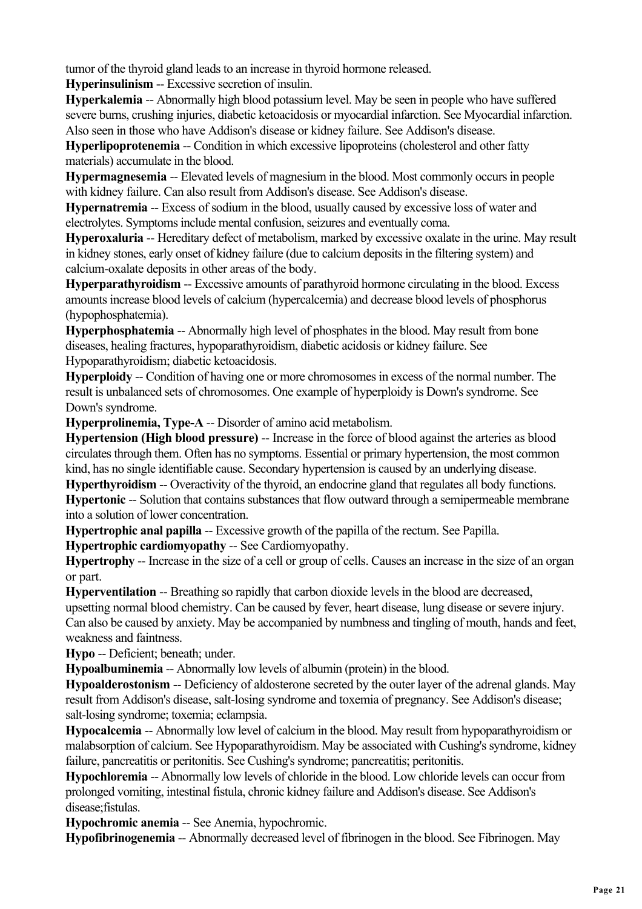tumor of the thyroid gland leads to an increase in thyroid hormone released.

**Hyperinsulinism** -- Excessive secretion of insulin.

**Hyperkalemia** -- Abnormally high blood potassium level. May be seen in people who have suffered severe burns, crushing injuries, diabetic ketoacidosis or myocardial infarction. See Myocardial infarction. Also seen in those who have Addison's disease or kidney failure. See Addison's disease.

**Hyperlipoprotenemia --** Condition in which excessive lipoproteins (cholesterol and other fatty materials) accumulate in the blood.

**Hypermagnesemia** -- Elevated levels of magnesium in the blood. Most commonly occurs in people with kidney failure. Can also result from Addison's disease. See Addison's disease.

**Hypernatremia** -- Excess of sodium in the blood, usually caused by excessive loss of water and electrolytes. Symptoms include mental confusion, seizures and eventually coma.

**Hyperoxaluria** -- Hereditary defect of metabolism, marked by excessive oxalate in the urine. May result in kidney stones, early onset of kidney failure (due to calcium deposits in the filtering system) and calcium-oxalate deposits in other areas of the body.

**Hyperparathyroidism** -- Excessive amounts of parathyroid hormone circulating in the blood. Excess amounts increase blood levels of calcium (hypercalcemia) and decrease blood levels of phosphorus (hypophosphatemia).

**Hyperphosphatemia** -- Abnormally high level of phosphates in the blood. May result from bone diseases, healing fractures, hypoparathyroidism, diabetic acidosis or kidney failure. See Hypoparathyroidism; diabetic ketoacidosis.

**Hyperploidy** -- Condition of having one or more chromosomes in excess of the normal number. The result is unbalanced sets of chromosomes. One example of hyperploidy is Down's syndrome. See Down's syndrome.

**Hyperprolinemia, Type-A** -- Disorder of amino acid metabolism.

**Hypertension (High blood pressure)** -- Increase in the force of blood against the arteries as blood circulates through them. Often has no symptoms. Essential or primary hypertension, the most common kind, has no single identifiable cause. Secondary hypertension is caused by an underlying disease.

**Hyperthyroidism** -- Overactivity of the thyroid, an endocrine gland that regulates all body functions. **Hypertonic --** Solution that contains substances that flow outward through a semipermeable membrane into a solution of lower concentration.

**Hypertrophic anal papilla** -- Excessive growth of the papilla of the rectum. See Papilla.

**Hypertrophic cardiomyopathy** -- See Cardiomyopathy.

**Hypertrophy** -- Increase in the size of a cell or group of cells. Causes an increase in the size of an organ or part.

**Hyperventilation** -- Breathing so rapidly that carbon dioxide levels in the blood are decreased,

upsetting normal blood chemistry. Can be caused by fever, heart disease, lung disease or severe injury. Can also be caused by anxiety. May be accompanied by numbness and tingling of mouth, hands and feet, weakness and faintness.

**Hypo** -- Deficient; beneath; under.

**Hypoalbuminemia** -- Abnormally low levels of albumin (protein) in the blood.

**Hypoalderostonism** -- Deficiency of aldosterone secreted by the outer layer of the adrenal glands. May result from Addison's disease, salt-losing syndrome and toxemia of pregnancy. See Addison's disease; salt-losing syndrome; toxemia; eclampsia.

**Hypocalcemia** -- Abnormally low level of calcium in the blood. May result from hypoparathyroidism or malabsorption of calcium. See Hypoparathyroidism. May be associated with Cushing's syndrome, kidney failure, pancreatitis or peritonitis. See Cushing's syndrome; pancreatitis; peritonitis.

**Hypochloremia** -- Abnormally low levels of chloride in the blood. Low chloride levels can occur from prolonged vomiting, intestinal fistula, chronic kidney failure and Addison's disease. See Addison's disease;fistulas.

**Hypochromic anemia** -- See Anemia, hypochromic.

**Hypofibrinogenemia** -- Abnormally decreased level of fibrinogen in the blood. See Fibrinogen. May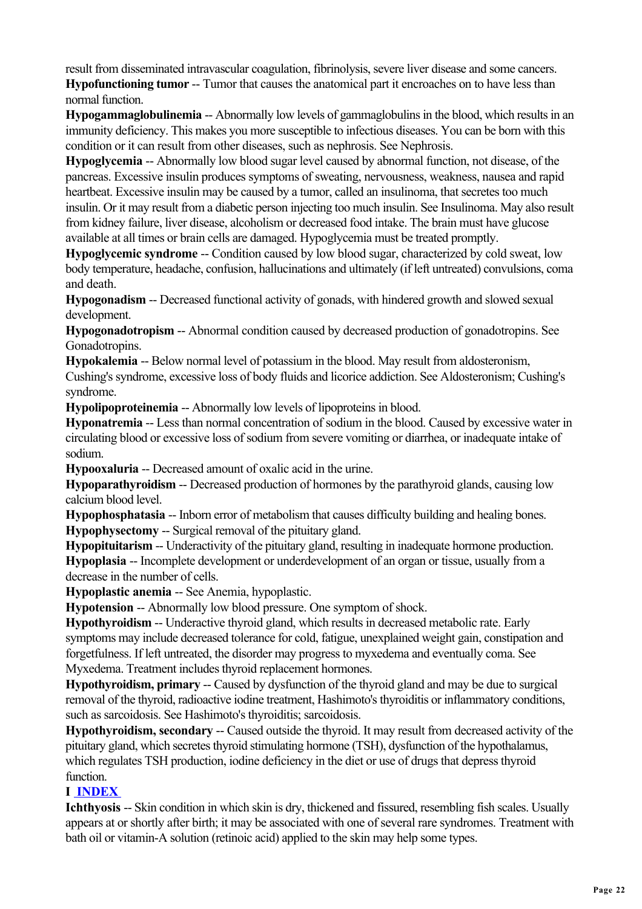result from disseminated intravascular coagulation, fibrinolysis, severe liver disease and some cancers. **Hypofunctioning tumor** -- Tumor that causes the anatomical part it encroaches on to have less than normal function.

**Hypogammaglobulinemia** -- Abnormally low levels of gammaglobulins in the blood, which results in an immunity deficiency. This makes you more susceptible to infectious diseases. You can be born with this condition or it can result from other diseases, such as nephrosis. See Nephrosis.

**Hypoglycemia** -- Abnormally low blood sugar level caused by abnormal function, not disease, of the pancreas. Excessive insulin produces symptoms of sweating, nervousness, weakness, nausea and rapid heartbeat. Excessive insulin may be caused by a tumor, called an insulinoma, that secretes too much insulin. Or it may result from a diabetic person injecting too much insulin. See Insulinoma. May also result from kidney failure, liver disease, alcoholism or decreased food intake. The brain must have glucose available at all times or brain cells are damaged. Hypoglycemia must be treated promptly.

**Hypoglycemic syndrome --** Condition caused by low blood sugar, characterized by cold sweat, low body temperature, headache, confusion, hallucinations and ultimately (if left untreated) convulsions, coma and death.

**Hypogonadism** -- Decreased functional activity of gonads, with hindered growth and slowed sexual development.

**Hypogonadotropism** -- Abnormal condition caused by decreased production of gonadotropins. See Gonadotropins.

**Hypokalemia** -- Below normal level of potassium in the blood. May result from aldosteronism,

Cushing's syndrome, excessive loss of body fluids and licorice addiction. See Aldosteronism; Cushing's syndrome.

**Hypolipoproteinemia** -- Abnormally low levels of lipoproteins in blood.

**Hyponatremia** -- Less than normal concentration of sodium in the blood. Caused by excessive water in circulating blood or excessive loss of sodium from severe vomiting or diarrhea, or inadequate intake of sodium.

**Hypooxaluria** -- Decreased amount of oxalic acid in the urine.

**Hypoparathyroidism --** Decreased production of hormones by the parathyroid glands, causing low calcium blood level.

**Hypophosphatasia** -- Inborn error of metabolism that causes difficulty building and healing bones. **Hypophysectomy** -- Surgical removal of the pituitary gland.

**Hypopituitarism** -- Underactivity of the pituitary gland, resulting in inadequate hormone production. **Hypoplasia** -- Incomplete development or underdevelopment of an organ or tissue, usually from a decrease in the number of cells.

**Hypoplastic anemia** -- See Anemia, hypoplastic.

**Hypotension** -- Abnormally low blood pressure. One symptom of shock.

**Hypothyroidism** -- Underactive thyroid gland, which results in decreased metabolic rate. Early symptoms may include decreased tolerance for cold, fatigue, unexplained weight gain, constipation and forgetfulness. If left untreated, the disorder may progress to myxedema and eventually coma. See Myxedema. Treatment includes thyroid replacement hormones.

**Hypothyroidism, primary** -- Caused by dysfunction of the thyroid gland and may be due to surgical removal of the thyroid, radioactive iodine treatment, Hashimoto's thyroiditis or inflammatory conditions, such as sarcoidosis. See Hashimoto's thyroiditis; sarcoidosis.

**Hypothyroidism, secondary --** Caused outside the thyroid. It may result from decreased activity of the pituitary gland, which secretes thyroid stimulating hormone (TSH), dysfunction of the hypothalamus, which regulates TSH production, iodine deficiency in the diet or use of drugs that depress thyroid function.

## **I INDEX**

**Ichthyosis** -- Skin condition in which skin is dry, thickened and fissured, resembling fish scales. Usually appears at or shortly after birth; it may be associated with one of several rare syndromes. Treatment with bath oil or vitamin-A solution (retinoic acid) applied to the skin may help some types.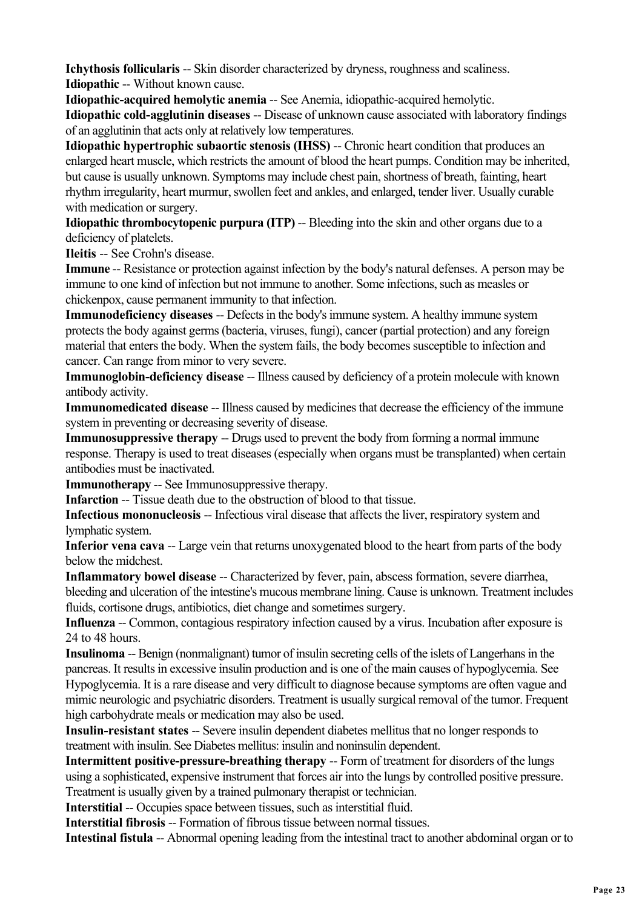**Ichythosis follicularis --** Skin disorder characterized by dryness, roughness and scaliness. **Idiopathic** -- Without known cause.

**Idiopathic-acquired hemolytic anemia** -- See Anemia, idiopathic-acquired hemolytic. **Idiopathic cold-agglutinin diseases** -- Disease of unknown cause associated with laboratory findings of an agglutinin that acts only at relatively low temperatures.

**Idiopathic hypertrophic subaortic stenosis (IHSS)** -- Chronic heart condition that produces an enlarged heart muscle, which restricts the amount of blood the heart pumps. Condition may be inherited, but cause is usually unknown. Symptoms may include chest pain, shortness of breath, fainting, heart rhythm irregularity, heart murmur, swollen feet and ankles, and enlarged, tender liver. Usually curable with medication or surgery.

**Idiopathic thrombocytopenic purpura (ITP)** -- Bleeding into the skin and other organs due to a deficiency of platelets.

**Ileitis** -- See Crohn's disease.

**Immune** -- Resistance or protection against infection by the body's natural defenses. A person may be immune to one kind of infection but not immune to another. Some infections, such as measles or chickenpox, cause permanent immunity to that infection.

**Immunodeficiency diseases** -- Defects in the body's immune system. A healthy immune system protects the body against germs (bacteria, viruses, fungi), cancer (partial protection) and any foreign material that enters the body. When the system fails, the body becomes susceptible to infection and cancer. Can range from minor to very severe.

**Immunoglobin-deficiency disease** -- Illness caused by deficiency of a protein molecule with known antibody activity.

**Immunomedicated disease** -- Illness caused by medicines that decrease the efficiency of the immune system in preventing or decreasing severity of disease.

**Immunosuppressive therapy** -- Drugs used to prevent the body from forming a normal immune response. Therapy is used to treat diseases (especially when organs must be transplanted) when certain antibodies must be inactivated.

**Immunotherapy** -- See Immunosuppressive therapy.

**Infarction** -- Tissue death due to the obstruction of blood to that tissue.

**Infectious mononucleosis** -- Infectious viral disease that affects the liver, respiratory system and lymphatic system.

**Inferior vena cava** -- Large vein that returns unoxygenated blood to the heart from parts of the body below the midchest.

**Inflammatory bowel disease --** Characterized by fever, pain, abscess formation, severe diarrhea, bleeding and ulceration of the intestine's mucous membrane lining. Cause is unknown. Treatment includes fluids, cortisone drugs, antibiotics, diet change and sometimes surgery.

**Influenza** -- Common, contagious respiratory infection caused by a virus. Incubation after exposure is 24 to 48 hours.

**Insulinoma** -- Benign (nonmalignant) tumor of insulin secreting cells of the islets of Langerhans in the pancreas. It results in excessive insulin production and is one of the main causes of hypoglycemia. See Hypoglycemia. It is a rare disease and very difficult to diagnose because symptoms are often vague and mimic neurologic and psychiatric disorders. Treatment is usually surgical removal of the tumor. Frequent high carbohydrate meals or medication may also be used.

**Insulin-resistant states** -- Severe insulin dependent diabetes mellitus that no longer responds to treatment with insulin. See Diabetes mellitus: insulin and noninsulin dependent.

**Intermittent positive-pressure-breathing therapy** -- Form of treatment for disorders of the lungs using a sophisticated, expensive instrument that forces air into the lungs by controlled positive pressure. Treatment is usually given by a trained pulmonary therapist or technician.

**Interstitial** -- Occupies space between tissues, such as interstitial fluid.

**Interstitial fibrosis** -- Formation of fibrous tissue between normal tissues.

**Intestinal fistula** -- Abnormal opening leading from the intestinal tract to another abdominal organ or to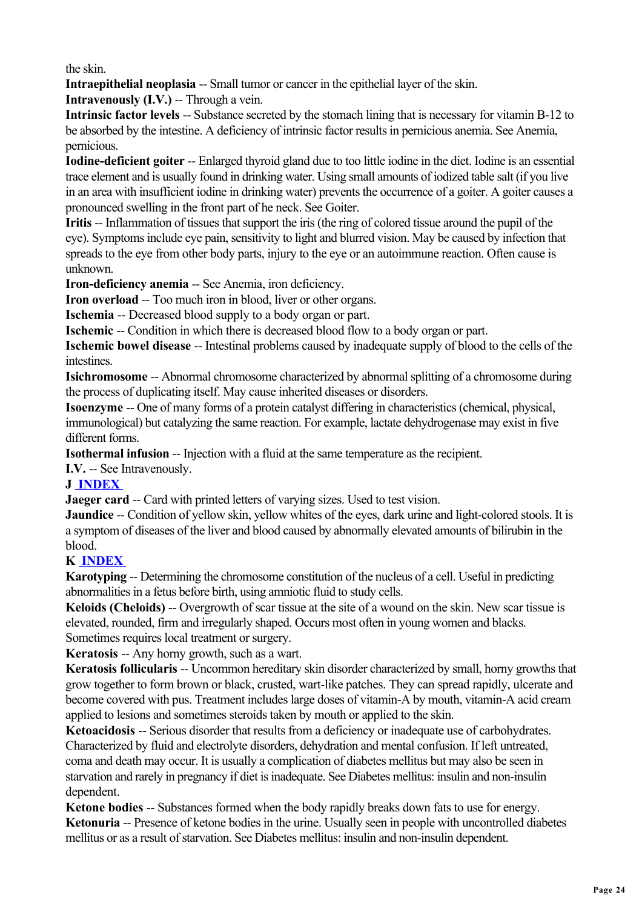the skin.

**Intraepithelial neoplasia** -- Small tumor or cancer in the epithelial layer of the skin.

**Intravenously (I.V.)** -- Through a vein.

**Intrinsic factor levels --** Substance secreted by the stomach lining that is necessary for vitamin B-12 to be absorbed by the intestine. A deficiency of intrinsic factor results in pernicious anemia. See Anemia, pernicious.

**Iodine-deficient goiter** -- Enlarged thyroid gland due to too little iodine in the diet. Iodine is an essential trace element and is usually found in drinking water. Using small amounts of iodized table salt (if you live in an area with insufficient iodine in drinking water) prevents the occurrence of a goiter. A goiter causes a pronounced swelling in the front part of he neck. See Goiter.

**Iritis** -- Inflammation of tissues that support the iris (the ring of colored tissue around the pupil of the eye). Symptoms include eye pain, sensitivity to light and blurred vision. May be caused by infection that spreads to the eye from other body parts, injury to the eye or an autoimmune reaction. Often cause is unknown.

**Iron-deficiency anemia -- See Anemia, iron deficiency.** 

**Iron overload --** Too much iron in blood, liver or other organs.

**Ischemia** -- Decreased blood supply to a body organ or part.

**Ischemic** -- Condition in which there is decreased blood flow to a body organ or part.

**Ischemic bowel disease** -- Intestinal problems caused by inadequate supply of blood to the cells of the **intestines** 

**Isichromosome** -- Abnormal chromosome characterized by abnormal splitting of a chromosome during the process of duplicating itself. May cause inherited diseases or disorders.

**Isoenzyme** -- One of many forms of a protein catalyst differing in characteristics (chemical, physical, immunological) but catalyzing the same reaction. For example, lactate dehydrogenase may exist in five different forms.

**Isothermal infusion –-** Injection with a fluid at the same temperature as the recipient.

**I.V.** -- See Intravenously.

## **J INDEX**

**Jaeger card --** Card with printed letters of varying sizes. Used to test vision.

**Jaundice** -- Condition of yellow skin, yellow whites of the eyes, dark urine and light-colored stools. It is a symptom of diseases of the liver and blood caused by abnormally elevated amounts of bilirubin in the blood.

## **K INDEX**

**Karotyping** -- Determining the chromosome constitution of the nucleus of a cell. Useful in predicting abnormalities in a fetus before birth, using amniotic fluid to study cells.

**Keloids (Cheloids)** -- Overgrowth of scar tissue at the site of a wound on the skin. New scar tissue is elevated, rounded, firm and irregularly shaped. Occurs most often in young women and blacks. Sometimes requires local treatment or surgery.

**Keratosis** -- Any horny growth, such as a wart.

**Keratosis follicularis --** Uncommon hereditary skin disorder characterized by small, horny growths that grow together to form brown or black, crusted, wart-like patches. They can spread rapidly, ulcerate and become covered with pus. Treatment includes large doses of vitamin-A by mouth, vitamin-A acid cream applied to lesions and sometimes steroids taken by mouth or applied to the skin.

**Ketoacidosis** -- Serious disorder that results from a deficiency or inadequate use of carbohydrates. Characterized by fluid and electrolyte disorders, dehydration and mental confusion. If left untreated, coma and death may occur. It is usually a complication of diabetes mellitus but may also be seen in starvation and rarely in pregnancy if diet is inadequate. See Diabetes mellitus: insulin and non-insulin dependent.

**Ketone bodies** -- Substances formed when the body rapidly breaks down fats to use for energy. **Ketonuria** -- Presence of ketone bodies in the urine. Usually seen in people with uncontrolled diabetes mellitus or as a result of starvation. See Diabetes mellitus: insulin and non-insulin dependent.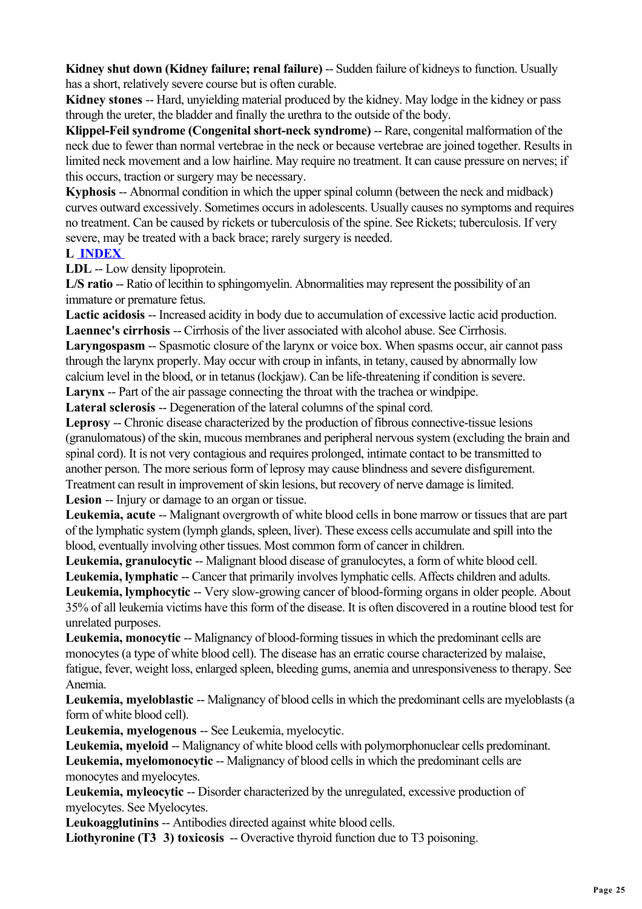**Kidney shut down (Kidney failure: renal failure) -- Sudden failure of kidneys to function. Usually** has a short, relatively severe course but is often curable.

**Kidney stones** -- Hard, unyielding material produced by the kidney. May lodge in the kidney or pass through the ureter, the bladder and finally the urethra to the outside of the body.

**Klippel-Feil syndrome (Congenital short-neck syndrome) -- Rare, congenital malformation of the** neck due to fewer than normal vertebrae in the neck or because vertebrae are joined together. Results in limited neck movement and a low hairline. May require no treatment. It can cause pressure on nerves; if this occurs, traction or surgery may be necessary.

**Kyphosis** -- Abnormal condition in which the upper spinal column (between the neck and midback) curves outward excessively. Sometimes occurs in adolescents. Usually causes no symptoms and requires no treatment. Can be caused by rickets or tuberculosis of the spine. See Rickets; tuberculosis. If very severe, may be treated with a back brace; rarely surgery is needed.

#### **L INDEX**

**LDL** -- Low density lipoprotein.

L/S ratio -- Ratio of lecithin to sphingomyelin. Abnormalities may represent the possibility of an immature or premature fetus.

**Lactic acidosis** -- Increased acidity in body due to accumulation of excessive lactic acid production. Laennec's cirrhosis -- Cirrhosis of the liver associated with alcohol abuse. See Cirrhosis.

**Laryngospasm** -- Spasmotic closure of the larynx or voice box. When spasms occur, air cannot pass through the larynx properly. May occur with croup in infants, in tetany, caused by abnormally low calcium level in the blood, or in tetanus (lockjaw). Can be life-threatening if condition is severe.

**Larynx** -- Part of the air passage connecting the throat with the trachea or windpipe.

Lateral sclerosis -- Degeneration of the lateral columns of the spinal cord.

**Leprosy** -- Chronic disease characterized by the production of fibrous connective-tissue lesions (granulomatous) of the skin, mucous membranes and peripheral nervous system (excluding the brain and spinal cord). It is not very contagious and requires prolonged, intimate contact to be transmitted to another person. The more serious form of leprosy may cause blindness and severe disfigurement. Treatment can result in improvement of skin lesions, but recovery of nerve damage is limited. **Lesion** -- Injury or damage to an organ or tissue.

**Leukemia, acute** -- Malignant overgrowth of white blood cells in bone marrow or tissues that are part of the lymphatic system (lymph glands, spleen, liver). These excess cells accumulate and spill into the blood, eventually involving other tissues. Most common form of cancer in children.

Leukemia, granulocytic -- Malignant blood disease of granulocytes, a form of white blood cell.

Leukemia, lymphatic -- Cancer that primarily involves lymphatic cells. Affects children and adults. Leukemia, lymphocytic -- Very slow-growing cancer of blood-forming organs in older people. About 35% of all leukemia victims have this form of the disease. It is often discovered in a routine blood test for unrelated purposes.

**Leukemia, monocytic --** Malignancy of blood-forming tissues in which the predominant cells are monocytes (a type of white blood cell). The disease has an erratic course characterized by malaise, fatigue, fever, weight loss, enlarged spleen, bleeding gums, anemia and unresponsiveness to therapy. See Anemia.

**Leukemia, myeloblastic** -- Malignancy of blood cells in which the predominant cells are myeloblasts (a form of white blood cell).

**Leukemia, myelogenous** -- See Leukemia, myelocytic.

**Leukemia, myeloid** -- Malignancy of white blood cells with polymorphonuclear cells predominant. Leukemia, myelomonocytic -- Malignancy of blood cells in which the predominant cells are monocytes and myelocytes.

**Leukemia, myleocytic** -- Disorder characterized by the unregulated, excessive production of myelocytes. See Myelocytes.

**Leukoagglutinins** -- Antibodies directed against white blood cells.

Liothyronine (T3 3) toxicosis -- Overactive thyroid function due to T3 poisoning.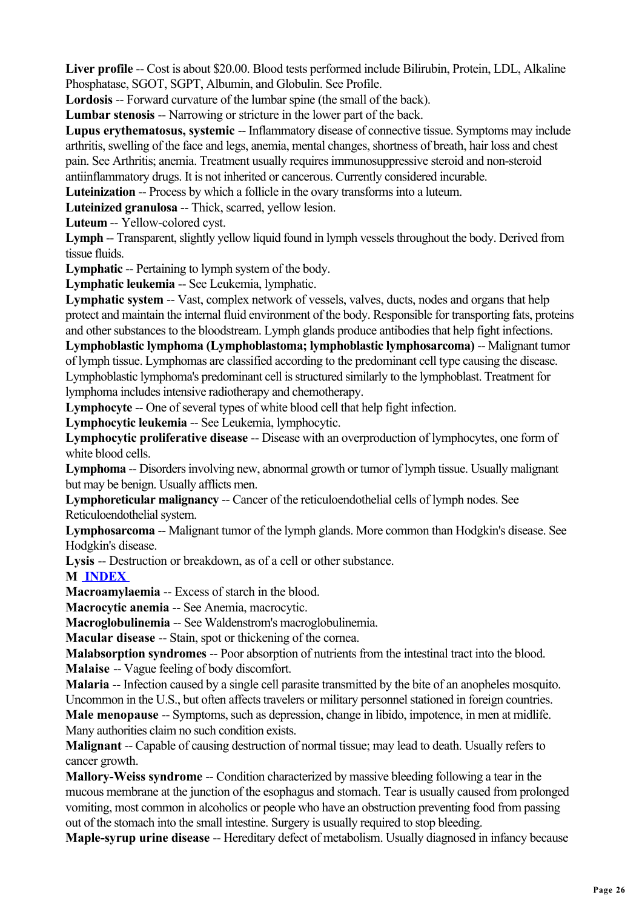Liver profile -- Cost is about \$20.00. Blood tests performed include Bilirubin, Protein, LDL, Alkaline Phosphatase, SGOT, SGPT, Albumin, and Globulin. See Profile.

Lordosis -- Forward curvature of the lumbar spine (the small of the back).

**Lumbar stenosis** -- Narrowing or stricture in the lower part of the back.

**Lupus erythematosus, systemic** -- Inflammatory disease of connective tissue. Symptoms may include arthritis, swelling of the face and legs, anemia, mental changes, shortness of breath, hair loss and chest pain. See Arthritis; anemia. Treatment usually requires immunosuppressive steroid and non-steroid antiinflammatory drugs. It is not inherited or cancerous. Currently considered incurable.

**Luteinization** -- Process by which a follicle in the ovary transforms into a luteum.

**Luteinized granulosa** -- Thick, scarred, yellow lesion.

**Luteum** -- Yellow-colored cyst.

**Lymph** -- Transparent, slightly yellow liquid found in lymph vessels throughout the body. Derived from tissue fluids.

**Lymphatic -- Pertaining to lymph system of the body.** 

**Lymphatic leukemia** -- See Leukemia, lymphatic.

**Lymphatic system --** Vast, complex network of vessels, valves, ducts, nodes and organs that help protect and maintain the internal fluid environment of the body. Responsible for transporting fats, proteins and other substances to the bloodstream. Lymph glands produce antibodies that help fight infections.

**Lymphoblastic lymphoma (Lymphoblastoma; lymphoblastic lymphosarcoma)** -- Malignant tumor of lymph tissue. Lymphomas are classified according to the predominant cell type causing the disease. Lymphoblastic lymphoma's predominant cell is structured similarly to the lymphoblast. Treatment for lymphoma includes intensive radiotherapy and chemotherapy.

**Lymphocyte** -- One of several types of white blood cell that help fight infection.

**Lymphocytic leukemia** -- See Leukemia, lymphocytic.

**Lymphocytic proliferative disease** -- Disease with an overproduction of lymphocytes, one form of white blood cells.

**Lymphoma** -- Disorders involving new, abnormal growth or tumor of lymph tissue. Usually malignant but may be benign. Usually afflicts men.

**Lymphoreticular malignancy** -- Cancer of the reticuloendothelial cells of lymph nodes. See Reticuloendothelial system.

**Lymphosarcoma** -- Malignant tumor of the lymph glands. More common than Hodgkin's disease. See Hodgkin's disease.

**Lysis** -- Destruction or breakdown, as of a cell or other substance.

**M INDEX** 

**Macroamylaemia** -- Excess of starch in the blood.

**Macrocytic anemia** -- See Anemia, macrocytic.

**Macroglobulinemia** -- See Waldenstrom's macroglobulinemia.

**Macular disease** -- Stain, spot or thickening of the cornea.

**Malabsorption syndromes** -- Poor absorption of nutrients from the intestinal tract into the blood.

**Malaise** -- Vague feeling of body discomfort.

**Malaria** -- Infection caused by a single cell parasite transmitted by the bite of an anopheles mosquito. Uncommon in the U.S., but often affects travelers or military personnel stationed in foreign countries. **Male menopause** -- Symptoms, such as depression, change in libido, impotence, in men at midlife.

Many authorities claim no such condition exists.

**Malignant** -- Capable of causing destruction of normal tissue; may lead to death. Usually refers to cancer growth.

**Mallory-Weiss syndrome** -- Condition characterized by massive bleeding following a tear in the mucous membrane at the junction of the esophagus and stomach. Tear is usually caused from prolonged vomiting, most common in alcoholics or people who have an obstruction preventing food from passing out of the stomach into the small intestine. Surgery is usually required to stop bleeding.

**Maple-syrup urine disease** -- Hereditary defect of metabolism. Usually diagnosed in infancy because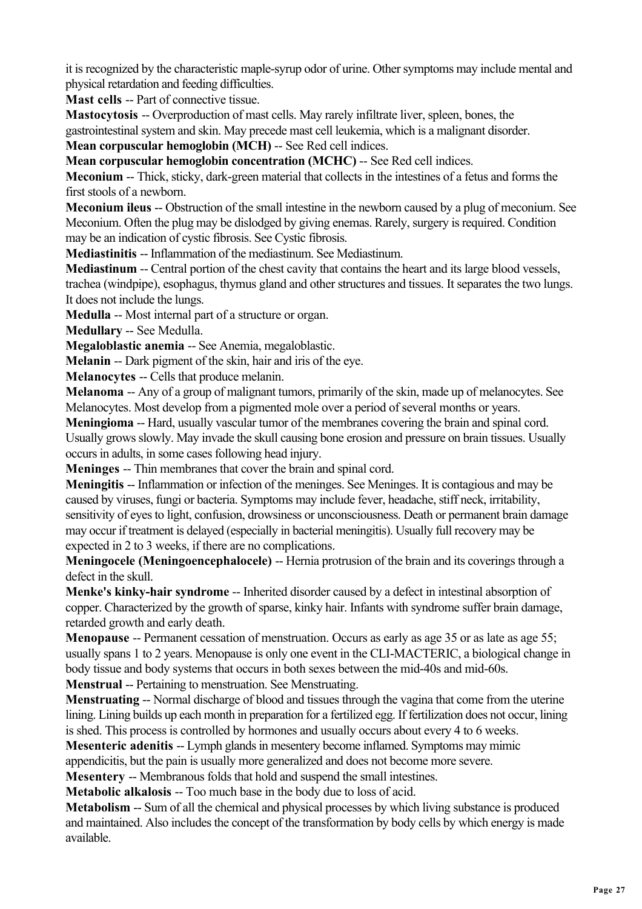it is recognized by the characteristic maple-syrup odor of urine. Other symptoms may include mental and physical retardation and feeding difficulties.

**Mast cells** -- Part of connective tissue.

**Mastocytosis** -- Overproduction of mast cells. May rarely infiltrate liver, spleen, bones, the gastrointestinal system and skin. May precede mast cell leukemia, which is a malignant disorder.

**Mean corpuscular hemoglobin (MCH) -- See Red cell indices.** 

**Mean corpuscular hemoglobin concentration (MCHC)** -- See Red cell indices.

**Meconium** -- Thick, sticky, dark-green material that collects in the intestines of a fetus and forms the first stools of a newborn.

**Meconium ileus** -- Obstruction of the small intestine in the newborn caused by a plug of meconium. See Meconium. Often the plug may be dislodged by giving enemas. Rarely, surgery is required. Condition may be an indication of cystic fibrosis. See Cystic fibrosis.

**Mediastinitis** -- Inflammation of the mediastinum. See Mediastinum.

**Mediastinum** -- Central portion of the chest cavity that contains the heart and its large blood vessels, trachea (windpipe), esophagus, thymus gland and other structures and tissues. It separates the two lungs. It does not include the lungs.

**Medulla** -- Most internal part of a structure or organ.

**Medullary** -- See Medulla.

**Megaloblastic anemia** -- See Anemia, megaloblastic.

**Melanin** -- Dark pigment of the skin, hair and iris of the eye.

**Melanocytes** -- Cells that produce melanin.

**Melanoma** -- Any of a group of malignant tumors, primarily of the skin, made up of melanocytes. See Melanocytes. Most develop from a pigmented mole over a period of several months or years.

**Meningioma** -- Hard, usually vascular tumor of the membranes covering the brain and spinal cord. Usually grows slowly. May invade the skull causing bone erosion and pressure on brain tissues. Usually occurs in adults, in some cases following head injury.

**Meninges** -- Thin membranes that cover the brain and spinal cord.

**Meningitis** -- Inflammation or infection of the meninges. See Meninges. It is contagious and may be caused by viruses, fungi or bacteria. Symptoms may include fever, headache, stiff neck, irritability, sensitivity of eyes to light, confusion, drowsiness or unconsciousness. Death or permanent brain damage may occur if treatment is delayed (especially in bacterial meningitis). Usually full recovery may be expected in 2 to 3 weeks, if there are no complications.

**Meningocele (Meningoencephalocele) -- Hernia protrusion of the brain and its coverings through a** defect in the skull.

Menke's kinky-hair syndrome -- Inherited disorder caused by a defect in intestinal absorption of copper. Characterized by the growth of sparse, kinky hair. Infants with syndrome suffer brain damage, retarded growth and early death.

**Menopause** -- Permanent cessation of menstruation. Occurs as early as age 35 or as late as age 55; usually spans 1 to 2 years. Menopause is only one event in the CLI-MACTERIC, a biological change in body tissue and body systems that occurs in both sexes between the mid-40s and mid-60s.

**Menstrual** -- Pertaining to menstruation. See Menstruating.

**Menstruating** -- Normal discharge of blood and tissues through the vagina that come from the uterine lining. Lining builds up each month in preparation for a fertilized egg. If fertilization does not occur, lining is shed. This process is controlled by hormones and usually occurs about every 4 to 6 weeks.

**Mesenteric adenitis -- Lymph glands in mesentery become inflamed. Symptoms may mimic** appendicitis, but the pain is usually more generalized and does not become more severe.

**Mesentery** -- Membranous folds that hold and suspend the small intestines.

**Metabolic alkalosis --** Too much base in the body due to loss of acid.

**Metabolism --** Sum of all the chemical and physical processes by which living substance is produced and maintained. Also includes the concept of the transformation by body cells by which energy is made available.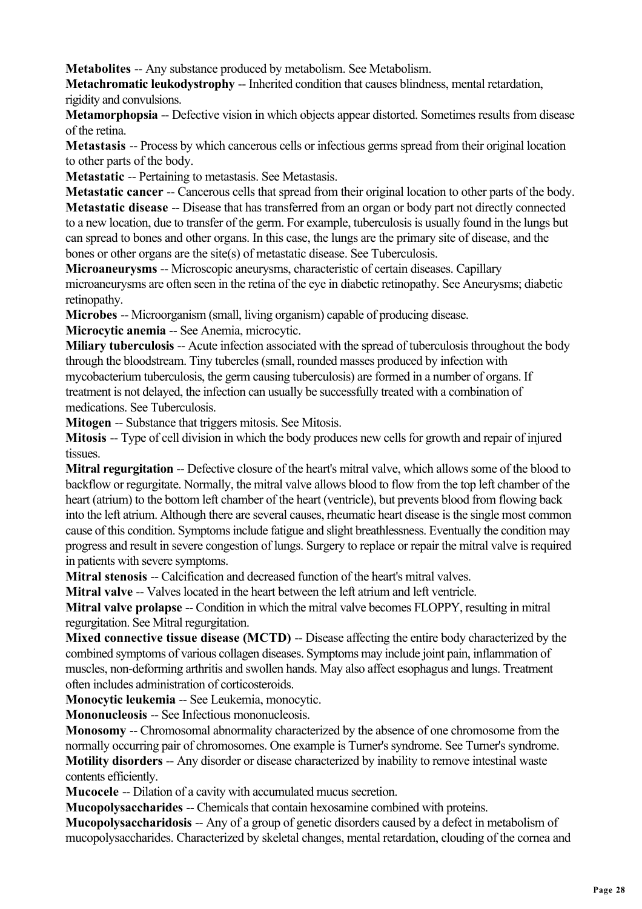**Metabolites** -- Any substance produced by metabolism. See Metabolism.

**Metachromatic leukodystrophy** -- Inherited condition that causes blindness, mental retardation, rigidity and convulsions.

**Metamorphopsia** -- Defective vision in which objects appear distorted. Sometimes results from disease of the retina.

**Metastasis** -- Process by which cancerous cells or infectious germs spread from their original location to other parts of the body.

**Metastatic** -- Pertaining to metastasis. See Metastasis.

**Metastatic cancer** -- Cancerous cells that spread from their original location to other parts of the body. **Metastatic disease** -- Disease that has transferred from an organ or body part not directly connected to a new location, due to transfer of the germ. For example, tuberculosis is usually found in the lungs but can spread to bones and other organs. In this case, the lungs are the primary site of disease, and the bones or other organs are the site(s) of metastatic disease. See Tuberculosis.

**Microaneurysms** -- Microscopic aneurysms, characteristic of certain diseases. Capillary microaneurysms are often seen in the retina of the eye in diabetic retinopathy. See Aneurysms; diabetic retinopathy.

**Microbes** -- Microorganism (small, living organism) capable of producing disease.

**Microcytic anemia** -- See Anemia, microcytic.

**Miliary tuberculosis** -- Acute infection associated with the spread of tuberculosis throughout the body through the bloodstream. Tiny tubercles (small, rounded masses produced by infection with mycobacterium tuberculosis, the germ causing tuberculosis) are formed in a number of organs. If treatment is not delayed, the infection can usually be successfully treated with a combination of medications. See Tuberculosis.

**Mitogen** -- Substance that triggers mitosis. See Mitosis.

**Mitosis** -- Type of cell division in which the body produces new cells for growth and repair of injured tissues.

**Mitral regurgitation** -- Defective closure of the heart's mitral valve, which allows some of the blood to backflow or regurgitate. Normally, the mitral valve allows blood to flow from the top left chamber of the heart (atrium) to the bottom left chamber of the heart (ventricle), but prevents blood from flowing back into the left atrium. Although there are several causes, rheumatic heart disease is the single most common cause of this condition. Symptoms include fatigue and slight breathlessness. Eventually the condition may progress and result in severe congestion of lungs. Surgery to replace or repair the mitral valve is required in patients with severe symptoms.

**Mitral stenosis --** Calcification and decreased function of the heart's mitral valves.

**Mitral valve** -- Valves located in the heart between the left atrium and left ventricle.

**Mitral valve prolapse --** Condition in which the mitral valve becomes FLOPPY, resulting in mitral regurgitation. See Mitral regurgitation.

**Mixed connective tissue disease (MCTD)** -- Disease affecting the entire body characterized by the combined symptoms of various collagen diseases. Symptoms may include joint pain, inflammation of muscles, non-deforming arthritis and swollen hands. May also affect esophagus and lungs. Treatment often includes administration of corticosteroids.

**Monocytic leukemia** -- See Leukemia, monocytic.

**Mononucleosis** -- See Infectious mononucleosis.

**Monosomy** -- Chromosomal abnormality characterized by the absence of one chromosome from the normally occurring pair of chromosomes. One example is Turner's syndrome. See Turner's syndrome. **Motility disorders** -- Any disorder or disease characterized by inability to remove intestinal waste contents efficiently.

**Mucocele** -- Dilation of a cavity with accumulated mucus secretion.

**Mucopolysaccharides** -- Chemicals that contain hexosamine combined with proteins.

**Mucopolysaccharidosis** -- Any of a group of genetic disorders caused by a defect in metabolism of mucopolysaccharides. Characterized by skeletal changes, mental retardation, clouding of the cornea and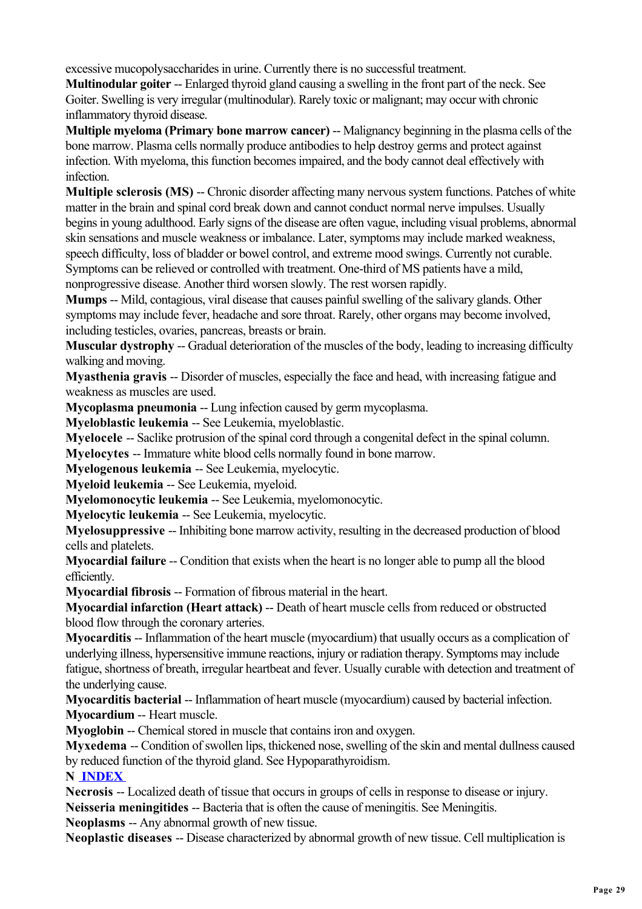excessive mucopolysaccharides in urine. Currently there is no successful treatment.

**Multinodular goiter** -- Enlarged thyroid gland causing a swelling in the front part of the neck. See Goiter. Swelling is very irregular (multinodular). Rarely toxic or malignant; may occur with chronic inflammatory thyroid disease.

**Multiple myeloma (Primary bone marrow cancer)** -- Malignancy beginning in the plasma cells of the bone marrow. Plasma cells normally produce antibodies to help destroy germs and protect against infection. With myeloma, this function becomes impaired, and the body cannot deal effectively with infection.

**Multiple sclerosis (MS) -- Chronic disorder affecting many nervous system functions. Patches of white** matter in the brain and spinal cord break down and cannot conduct normal nerve impulses. Usually begins in young adulthood. Early signs of the disease are often vague, including visual problems, abnormal skin sensations and muscle weakness or imbalance. Later, symptoms may include marked weakness, speech difficulty, loss of bladder or bowel control, and extreme mood swings. Currently not curable. Symptoms can be relieved or controlled with treatment. One-third of MS patients have a mild, nonprogressive disease. Another third worsen slowly. The rest worsen rapidly.

**Mumps** -- Mild, contagious, viral disease that causes painful swelling of the salivary glands. Other symptoms may include fever, headache and sore throat. Rarely, other organs may become involved, including testicles, ovaries, pancreas, breasts or brain.

**Muscular dystrophy** -- Gradual deterioration of the muscles of the body, leading to increasing difficulty walking and moving.

**Myasthenia gravis** -- Disorder of muscles, especially the face and head, with increasing fatigue and weakness as muscles are used.

**Mycoplasma pneumonia** -- Lung infection caused by germ mycoplasma.

**Myeloblastic leukemia** -- See Leukemia, myeloblastic.

**Myelocele** -- Saclike protrusion of the spinal cord through a congenital defect in the spinal column.

**Myelocytes** -- Immature white blood cells normally found in bone marrow.

**Myelogenous leukemia** -- See Leukemia, myelocytic.

**Myeloid leukemia** -- See Leukemia, myeloid.

**Myelomonocytic leukemia** -- See Leukemia, myelomonocytic.

**Myelocytic leukemia** -- See Leukemia, myelocytic.

**Myelosuppressive** -- Inhibiting bone marrow activity, resulting in the decreased production of blood cells and platelets.

**Myocardial failure --** Condition that exists when the heart is no longer able to pump all the blood efficiently.

**Myocardial fibrosis** -- Formation of fibrous material in the heart.

**Myocardial infarction (Heart attack) -- Death of heart muscle cells from reduced or obstructed** blood flow through the coronary arteries.

**Myocarditis** -- Inflammation of the heart muscle (myocardium) that usually occurs as a complication of underlying illness, hypersensitive immune reactions, injury or radiation therapy. Symptoms may include fatigue, shortness of breath, irregular heartbeat and fever. Usually curable with detection and treatment of the underlying cause.

**Myocarditis bacterial** -- Inflammation of heart muscle (myocardium) caused by bacterial infection. **Myocardium** -- Heart muscle.

**Myoglobin** -- Chemical stored in muscle that contains iron and oxygen.

**Myxedema** -- Condition of swollen lips, thickened nose, swelling of the skin and mental dullness caused by reduced function of the thyroid gland. See Hypoparathyroidism.

#### **N INDEX**

**Necrosis** -- Localized death of tissue that occurs in groups of cells in response to disease or injury. **Neisseria meningitides** -- Bacteria that is often the cause of meningitis. See Meningitis.

**Neoplasms** -- Any abnormal growth of new tissue.

**Neoplastic diseases** -- Disease characterized by abnormal growth of new tissue. Cell multiplication is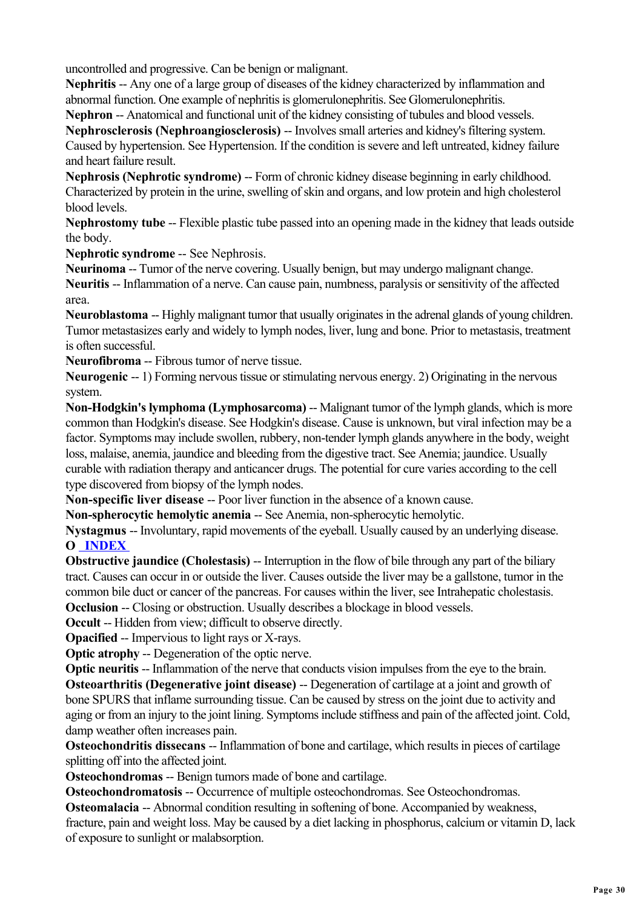uncontrolled and progressive. Can be benign or malignant.

**Nephritis** -- Any one of a large group of diseases of the kidney characterized by inflammation and abnormal function. One example of nephritis is glomerulonephritis. See Glomerulonephritis.

**Nephron** -- Anatomical and functional unit of the kidney consisting of tubules and blood vessels.

**Nephrosclerosis (Nephroangiosclerosis)** -- Involves small arteries and kidney's filtering system. Caused by hypertension. See Hypertension. If the condition is severe and left untreated, kidney failure and heart failure result.

**Nephrosis (Nephrotic syndrome)** -- Form of chronic kidney disease beginning in early childhood. Characterized by protein in the urine, swelling of skin and organs, and low protein and high cholesterol blood levels.

**Nephrostomy tube** -- Flexible plastic tube passed into an opening made in the kidney that leads outside the body.

**Nephrotic syndrome** -- See Nephrosis.

**Neurinoma** -- Tumor of the nerve covering. Usually benign, but may undergo malignant change. **Neuritis** -- Inflammation of a nerve. Can cause pain, numbness, paralysis or sensitivity of the affected area.

**Neuroblastoma** -- Highly malignant tumor that usually originates in the adrenal glands of young children. Tumor metastasizes early and widely to lymph nodes, liver, lung and bone. Prior to metastasis, treatment is often successful.

**Neurofibroma** -- Fibrous tumor of nerve tissue.

**Neurogenic** -- 1) Forming nervous tissue or stimulating nervous energy. 2) Originating in the nervous system.

**Non-Hodgkin's lymphoma (Lymphosarcoma)** -- Malignant tumor of the lymph glands, which is more common than Hodgkin's disease. See Hodgkin's disease. Cause is unknown, but viral infection may be a factor. Symptoms may include swollen, rubbery, non-tender lymph glands anywhere in the body, weight loss, malaise, anemia, jaundice and bleeding from the digestive tract. See Anemia; jaundice. Usually curable with radiation therapy and anticancer drugs. The potential for cure varies according to the cell type discovered from biopsy of the lymph nodes.

**Non-specific liver disease** -- Poor liver function in the absence of a known cause.

**Non-spherocytic hemolytic anemia** -- See Anemia, non-spherocytic hemolytic.

**Nystagmus** -- Involuntary, rapid movements of the eyeball. Usually caused by an underlying disease. **O INDEX** 

**Obstructive jaundice (Cholestasis) --** Interruption in the flow of bile through any part of the biliary tract. Causes can occur in or outside the liver. Causes outside the liver may be a gallstone, tumor in the common bile duct or cancer of the pancreas. For causes within the liver, see Intrahepatic cholestasis. **Occlusion --** Closing or obstruction. Usually describes a blockage in blood vessels.

**Occult** -- Hidden from view; difficult to observe directly.

**Opacified** -- Impervious to light rays or X-rays.

**Optic atrophy** -- Degeneration of the optic nerve.

**Optic neuritis --** Inflammation of the nerve that conducts vision impulses from the eye to the brain. **Osteoarthritis (Degenerative joint disease)** -- Degeneration of cartilage at a joint and growth of bone SPURS that inflame surrounding tissue. Can be caused by stress on the joint due to activity and aging or from an injury to the joint lining. Symptoms include stiffness and pain of the affected joint. Cold, damp weather often increases pain.

**Osteochondritis dissecans** -- Inflammation of bone and cartilage, which results in pieces of cartilage splitting off into the affected joint.

**Osteochondromas** -- Benign tumors made of bone and cartilage.

**Osteochondromatosis** -- Occurrence of multiple osteochondromas. See Osteochondromas. **Osteomalacia** -- Abnormal condition resulting in softening of bone. Accompanied by weakness, fracture, pain and weight loss. May be caused by a diet lacking in phosphorus, calcium or vitamin D, lack of exposure to sunlight or malabsorption.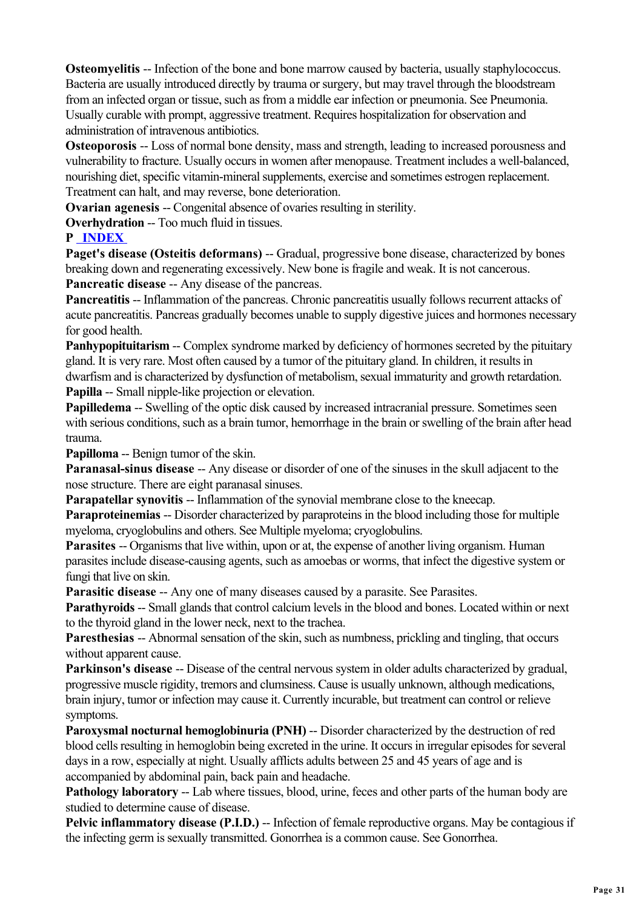**Osteomyelitis --** Infection of the bone and bone marrow caused by bacteria, usually staphylococcus. Bacteria are usually introduced directly by trauma or surgery, but may travel through the bloodstream from an infected organ or tissue, such as from a middle ear infection or pneumonia. See Pneumonia. Usually curable with prompt, aggressive treatment. Requires hospitalization for observation and administration of intravenous antibiotics.

**Osteoporosis --** Loss of normal bone density, mass and strength, leading to increased porousness and vulnerability to fracture. Usually occurs in women after menopause. Treatment includes a well-balanced, nourishing diet, specific vitamin-mineral supplements, exercise and sometimes estrogen replacement. Treatment can halt, and may reverse, bone deterioration.

**Ovarian agenesis --** Congenital absence of ovaries resulting in sterility.

**Overhydration -- Too much fluid in tissues.** 

#### **P INDEX**

**Paget's disease (Osteitis deformans) --** Gradual, progressive bone disease, characterized by bones breaking down and regenerating excessively. New bone is fragile and weak. It is not cancerous. **Pancreatic disease** -- Any disease of the pancreas.

**Pancreatitis --** Inflammation of the pancreas. Chronic pancreatitis usually follows recurrent attacks of acute pancreatitis. Pancreas gradually becomes unable to supply digestive juices and hormones necessary for good health.

**Panhypopituitarism --** Complex syndrome marked by deficiency of hormones secreted by the pituitary gland. It is very rare. Most often caused by a tumor of the pituitary gland. In children, it results in dwarfism and is characterized by dysfunction of metabolism, sexual immaturity and growth retardation. **Papilla** -- Small nipple-like projection or elevation.

**Papilledema** -- Swelling of the optic disk caused by increased intracranial pressure. Sometimes seen with serious conditions, such as a brain tumor, hemorrhage in the brain or swelling of the brain after head trauma.

**Papilloma** -- Benign tumor of the skin.

**Paranasal-sinus disease** -- Any disease or disorder of one of the sinuses in the skull adjacent to the nose structure. There are eight paranasal sinuses.

**Parapatellar synovitis -- Inflammation of the synovial membrane close to the kneecap.** 

**Paraproteinemias** -- Disorder characterized by paraproteins in the blood including those for multiple myeloma, cryoglobulins and others. See Multiple myeloma; cryoglobulins.

**Parasites --** Organisms that live within, upon or at, the expense of another living organism. Human parasites include disease-causing agents, such as amoebas or worms, that infect the digestive system or fungi that live on skin.

**Parasitic disease** -- Any one of many diseases caused by a parasite. See Parasites.

**Parathyroids** -- Small glands that control calcium levels in the blood and bones. Located within or next to the thyroid gland in the lower neck, next to the trachea.

**Paresthesias** -- Abnormal sensation of the skin, such as numbness, prickling and tingling, that occurs without apparent cause.

Parkinson's disease -- Disease of the central nervous system in older adults characterized by gradual, progressive muscle rigidity, tremors and clumsiness. Cause is usually unknown, although medications, brain injury, tumor or infection may cause it. Currently incurable, but treatment can control or relieve symptoms.

**Paroxysmal nocturnal hemoglobinuria (PNH)** -- Disorder characterized by the destruction of red blood cells resulting in hemoglobin being excreted in the urine. It occurs in irregular episodes for several days in a row, especially at night. Usually afflicts adults between 25 and 45 years of age and is accompanied by abdominal pain, back pain and headache.

**Pathology laboratory** -- Lab where tissues, blood, urine, feces and other parts of the human body are studied to determine cause of disease.

**Pelvic inflammatory disease (P.I.D.) --** Infection of female reproductive organs. May be contagious if the infecting germ is sexually transmitted. Gonorrhea is a common cause. See Gonorrhea.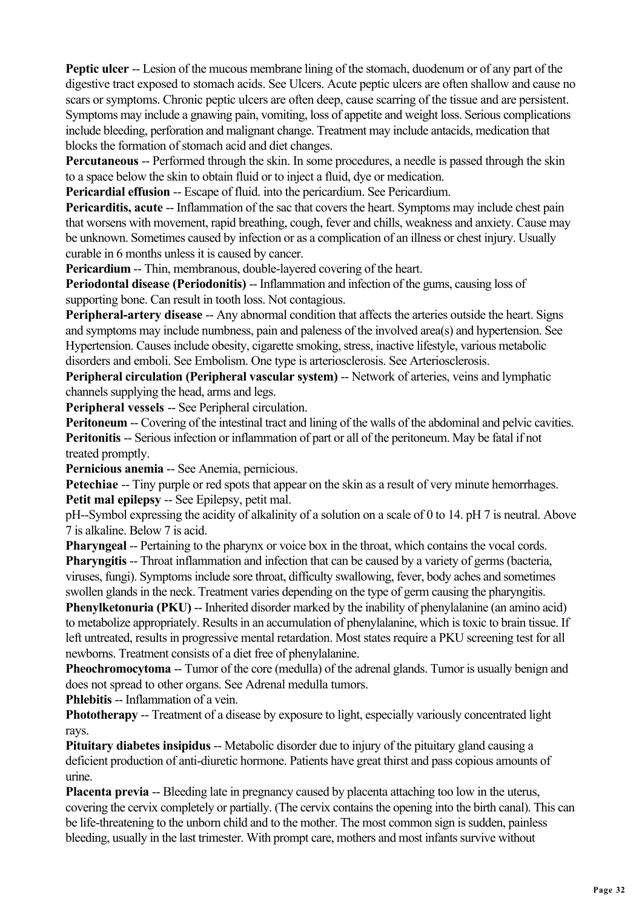**Peptic ulcer** -- Lesion of the mucous membrane lining of the stomach, duodenum or of any part of the digestive tract exposed to stomach acids. See Ulcers. Acute peptic ulcers are often shallow and cause no scars or symptoms. Chronic peptic ulcers are often deep, cause scarring of the tissue and are persistent. Symptoms may include a gnawing pain, vomiting, loss of appetite and weight loss. Serious complications include bleeding, perforation and malignant change. Treatment may include antacids, medication that blocks the formation of stomach acid and diet changes.

**Percutaneous** -- Performed through the skin. In some procedures, a needle is passed through the skin to a space below the skin to obtain fluid or to inject a fluid, dye or medication.

**Pericardial effusion --** Escape of fluid. into the pericardium. See Pericardium.

**Pericarditis, acute** -- Inflammation of the sac that covers the heart. Symptoms may include chest pain that worsens with movement, rapid breathing, cough, fever and chills, weakness and anxiety. Cause may be unknown. Sometimes caused by infection or as a complication of an illness or chest injury. Usually curable in 6 months unless it is caused by cancer.

**Pericardium --** Thin, membranous, double-layered covering of the heart.

**Periodontal disease (Periodonitis) -- Inflammation and infection of the gums, causing loss of** supporting bone. Can result in tooth loss. Not contagious.

**Peripheral-artery disease** -- Any abnormal condition that affects the arteries outside the heart. Signs and symptoms may include numbness, pain and paleness of the involved area(s) and hypertension. See Hypertension. Causes include obesity, cigarette smoking, stress, inactive lifestyle, various metabolic disorders and emboli. See Embolism. One type is arteriosclerosis. See Arteriosclerosis.

**Peripheral circulation (Peripheral vascular system) -- Network of arteries, veins and lymphatic** channels supplying the head, arms and legs.

**Peripheral vessels** -- See Peripheral circulation.

**Peritoneum --** Covering of the intestinal tract and lining of the walls of the abdominal and pelvic cavities. **Peritonitis** -- Serious infection or inflammation of part or all of the peritoneum. May be fatal if not treated promptly.

**Pernicious anemia** -- See Anemia, pernicious.

**Petechiae** -- Tiny purple or red spots that appear on the skin as a result of very minute hemorrhages. **Petit mal epilepsy -- See Epilepsy, petit mal.** 

pH--Symbol expressing the acidity of alkalinity of a solution on a scale of 0 to 14. pH 7 is neutral. Above 7 is alkaline. Below 7 is acid.

**Pharyngeal -- Pertaining to the pharynx or voice box in the throat, which contains the vocal cords. Pharyngitis --** Throat inflammation and infection that can be caused by a variety of germs (bacteria, viruses, fungi). Symptoms include sore throat, difficulty swallowing, fever, body aches and sometimes swollen glands in the neck. Treatment varies depending on the type of germ causing the pharyngitis.

**Phenylketonuria (PKU)** -- Inherited disorder marked by the inability of phenylalanine (an amino acid) to metabolize appropriately. Results in an accumulation of phenylalanine, which is toxic to brain tissue. If left untreated, results in progressive mental retardation. Most states require a PKU screening test for all newborns. Treatment consists of a diet free of phenylalanine.

**Pheochromocytoma** -- Tumor of the core (medulla) of the adrenal glands. Tumor is usually benign and does not spread to other organs. See Adrenal medulla tumors.

**Phlebitis -- Inflammation of a vein.** 

**Phototherapy** -- Treatment of a disease by exposure to light, especially variously concentrated light rays.

**Pituitary diabetes insipidus --** Metabolic disorder due to injury of the pituitary gland causing a deficient production of anti-diuretic hormone. Patients have great thirst and pass copious amounts of urine.

**Placenta previa** -- Bleeding late in pregnancy caused by placenta attaching too low in the uterus, covering the cervix completely or partially. (The cervix contains the opening into the birth canal). This can be life-threatening to the unborn child and to the mother. The most common sign is sudden, painless bleeding, usually in the last trimester. With prompt care, mothers and most infants survive without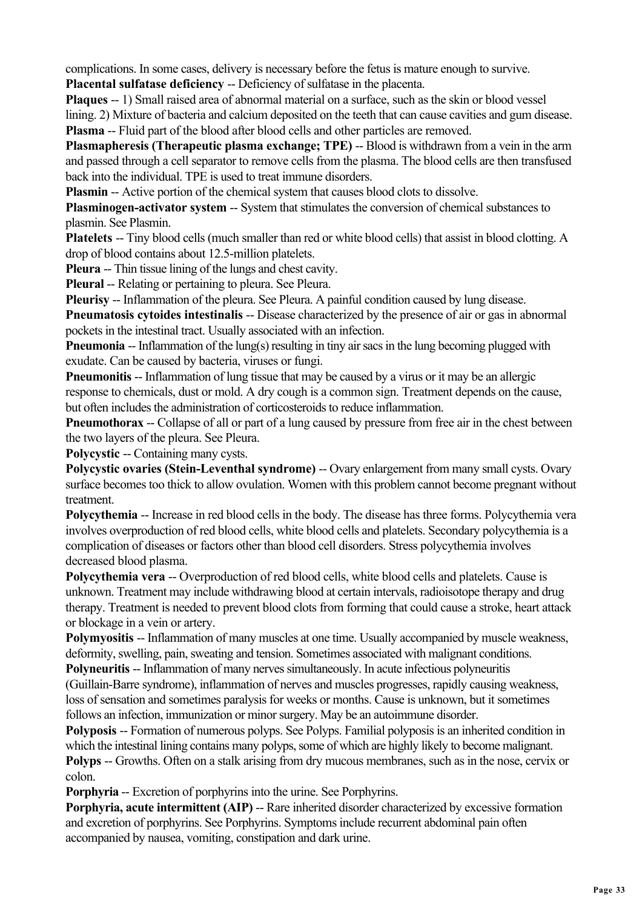complications. In some cases, delivery is necessary before the fetus is mature enough to survive.

**Placental sulfatase deficiency -- Deficiency of sulfatase in the placenta.** 

**Plaques** -- 1) Small raised area of abnormal material on a surface, such as the skin or blood vessel lining. 2) Mixture of bacteria and calcium deposited on the teeth that can cause cavities and gum disease. **Plasma** -- Fluid part of the blood after blood cells and other particles are removed.

**Plasmapheresis (Therapeutic plasma exchange; TPE) -- Blood is withdrawn from a vein in the arm** and passed through a cell separator to remove cells from the plasma. The blood cells are then transfused back into the individual. TPE is used to treat immune disorders.

**Plasmin --** Active portion of the chemical system that causes blood clots to dissolve.

**Plasminogen-activator system --** System that stimulates the conversion of chemical substances to plasmin. See Plasmin.

**Platelets** -- Tiny blood cells (much smaller than red or white blood cells) that assist in blood clotting. A drop of blood contains about 12.5-million platelets.

**Pleura** -- Thin tissue lining of the lungs and chest cavity.

**Pleural** -- Relating or pertaining to pleura. See Pleura.

**Pleurisy** -- Inflammation of the pleura. See Pleura. A painful condition caused by lung disease.

**Pneumatosis cytoides intestinalis** -- Disease characterized by the presence of air or gas in abnormal pockets in the intestinal tract. Usually associated with an infection.

**Pneumonia** -- Inflammation of the lung(s) resulting in tiny air sacs in the lung becoming plugged with exudate. Can be caused by bacteria, viruses or fungi.

**Pneumonitis** -- Inflammation of lung tissue that may be caused by a virus or it may be an allergic response to chemicals, dust or mold. A dry cough is a common sign. Treatment depends on the cause, but often includes the administration of corticosteroids to reduce inflammation.

**Pneumothorax** -- Collapse of all or part of a lung caused by pressure from free air in the chest between the two layers of the pleura. See Pleura.

**Polycystic -- Containing many cysts.** 

**Polycystic ovaries (Stein-Leventhal syndrome) -- Ovary enlargement from many small cysts. Ovary** surface becomes too thick to allow ovulation. Women with this problem cannot become pregnant without treatment.

**Polycythemia** -- Increase in red blood cells in the body. The disease has three forms. Polycythemia vera involves overproduction of red blood cells, white blood cells and platelets. Secondary polycythemia is a complication of diseases or factors other than blood cell disorders. Stress polycythemia involves decreased blood plasma.

**Polycythemia vera** -- Overproduction of red blood cells, white blood cells and platelets. Cause is unknown. Treatment may include withdrawing blood at certain intervals, radioisotope therapy and drug therapy. Treatment is needed to prevent blood clots from forming that could cause a stroke, heart attack or blockage in a vein or artery.

**Polymyositis --** Inflammation of many muscles at one time. Usually accompanied by muscle weakness, deformity, swelling, pain, sweating and tension. Sometimes associated with malignant conditions.

**Polyneuritis** -- Inflammation of many nerves simultaneously. In acute infectious polyneuritis (Guillain-Barre syndrome), inflammation of nerves and muscles progresses, rapidly causing weakness, loss of sensation and sometimes paralysis for weeks or months. Cause is unknown, but it sometimes follows an infection, immunization or minor surgery. May be an autoimmune disorder.

**Polyposis** -- Formation of numerous polyps. See Polyps. Familial polyposis is an inherited condition in which the intestinal lining contains many polyps, some of which are highly likely to become malignant. **Polyps --** Growths. Often on a stalk arising from dry mucous membranes, such as in the nose, cervix or colon.

**Porphyria** -- Excretion of porphyrins into the urine. See Porphyrins.

**Porphyria, acute intermittent (AIP) -- Rare inherited disorder characterized by excessive formation** and excretion of porphyrins. See Porphyrins. Symptoms include recurrent abdominal pain often accompanied by nausea, vomiting, constipation and dark urine.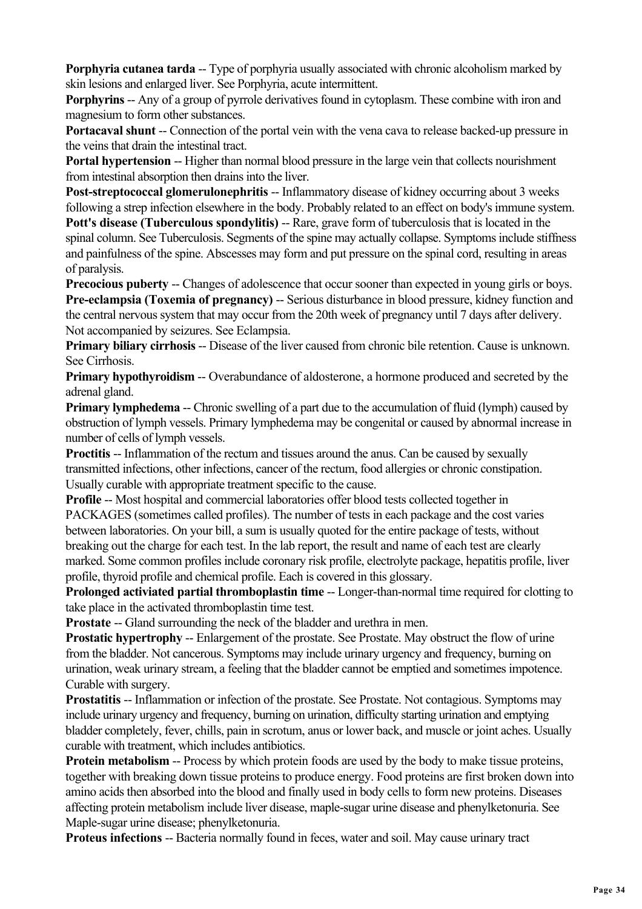**Porphyria cutanea tarda** -- Type of porphyria usually associated with chronic alcoholism marked by skin lesions and enlarged liver. See Porphyria, acute intermittent.

**Porphyrins --** Any of a group of pyrrole derivatives found in cytoplasm. These combine with iron and magnesium to form other substances.

**Portacaval shunt --** Connection of the portal vein with the vena cava to release backed-up pressure in the veins that drain the intestinal tract.

**Portal hypertension -- Higher than normal blood pressure in the large vein that collects nourishment** from intestinal absorption then drains into the liver.

Post-streptococcal glomerulonephritis -- Inflammatory disease of kidney occurring about 3 weeks following a strep infection elsewhere in the body. Probably related to an effect on body's immune system. **Pott's disease (Tuberculous spondylitis) -- Rare, grave form of tuberculosis that is located in the** spinal column. See Tuberculosis. Segments of the spine may actually collapse. Symptoms include stiffness and painfulness of the spine. Abscesses may form and put pressure on the spinal cord, resulting in areas of paralysis.

**Precocious puberty** -- Changes of adolescence that occur sooner than expected in young girls or boys. **Pre-eclampsia (Toxemia of pregnancy) -- Serious disturbance in blood pressure, kidney function and** the central nervous system that may occur from the 20th week of pregnancy until 7 days after delivery. Not accompanied by seizures. See Eclampsia.

**Primary biliary cirrhosis --** Disease of the liver caused from chronic bile retention. Cause is unknown. See Cirrhosis.

**Primary hypothyroidism** -- Overabundance of aldosterone, a hormone produced and secreted by the adrenal gland.

**Primary lymphedema** -- Chronic swelling of a part due to the accumulation of fluid (lymph) caused by obstruction of lymph vessels. Primary lymphedema may be congenital or caused by abnormal increase in number of cells of lymph vessels.

**Proctitis --** Inflammation of the rectum and tissues around the anus. Can be caused by sexually transmitted infections, other infections, cancer of the rectum, food allergies or chronic constipation. Usually curable with appropriate treatment specific to the cause.

**Profile** -- Most hospital and commercial laboratories offer blood tests collected together in PACKAGES (sometimes called profiles). The number of tests in each package and the cost varies between laboratories. On your bill, a sum is usually quoted for the entire package of tests, without breaking out the charge for each test. In the lab report, the result and name of each test are clearly marked. Some common profiles include coronary risk profile, electrolyte package, hepatitis profile, liver profile, thyroid profile and chemical profile. Each is covered in this glossary.

**Prolonged activiated partial thromboplastin time --** Longer-than-normal time required for clotting to take place in the activated thromboplastin time test.

**Prostate** -- Gland surrounding the neck of the bladder and urethra in men.

**Prostatic hypertrophy** -- Enlargement of the prostate. See Prostate. May obstruct the flow of urine from the bladder. Not cancerous. Symptoms may include urinary urgency and frequency, burning on urination, weak urinary stream, a feeling that the bladder cannot be emptied and sometimes impotence. Curable with surgery.

**Prostatitis -- Inflammation or infection of the prostate. See Prostate. Not contagious. Symptoms may** include urinary urgency and frequency, burning on urination, difficulty starting urination and emptying bladder completely, fever, chills, pain in scrotum, anus or lower back, and muscle or joint aches. Usually curable with treatment, which includes antibiotics.

**Protein metabolism --** Process by which protein foods are used by the body to make tissue proteins, together with breaking down tissue proteins to produce energy. Food proteins are first broken down into amino acids then absorbed into the blood and finally used in body cells to form new proteins. Diseases affecting protein metabolism include liver disease, maple-sugar urine disease and phenylketonuria. See Maple-sugar urine disease; phenylketonuria.

**Proteus infections** -- Bacteria normally found in feces, water and soil. May cause urinary tract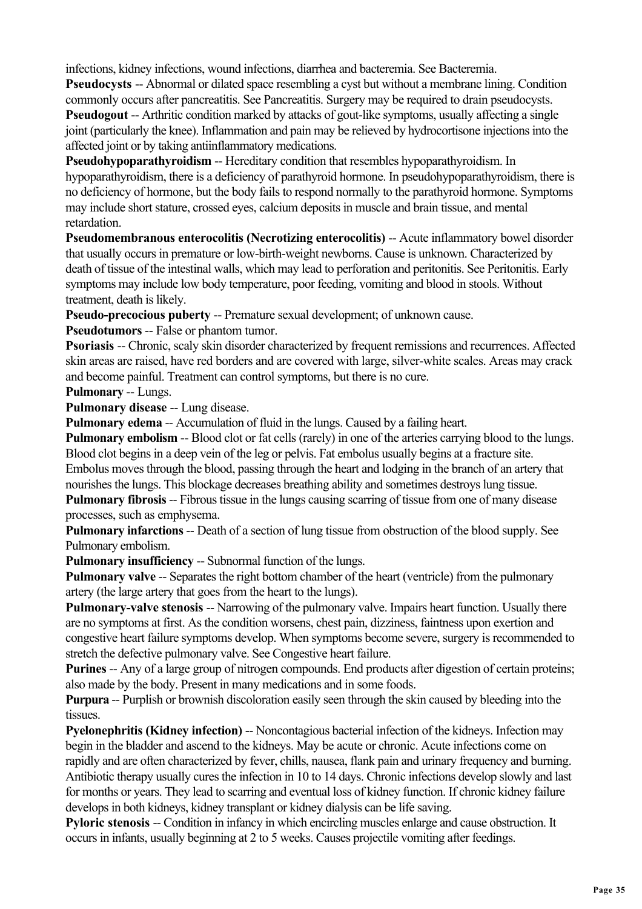infections, kidney infections, wound infections, diarrhea and bacteremia. See Bacteremia.

**Pseudocysts --** Abnormal or dilated space resembling a cyst but without a membrane lining. Condition commonly occurs after pancreatitis. See Pancreatitis. Surgery may be required to drain pseudocysts. **Pseudogout --** Arthritic condition marked by attacks of gout-like symptoms, usually affecting a single joint (particularly the knee). Inflammation and pain may be relieved by hydrocortisone injections into the affected joint or by taking antiinflammatory medications.

**Pseudohypoparathyroidism -- Hereditary condition that resembles hypoparathyroidism. In** hypoparathyroidism, there is a deficiency of parathyroid hormone. In pseudohypoparathyroidism, there is no deficiency of hormone, but the body fails to respond normally to the parathyroid hormone. Symptoms may include short stature, crossed eyes, calcium deposits in muscle and brain tissue, and mental retardation.

**Pseudomembranous enterocolitis (Necrotizing enterocolitis)** -- Acute inflammatory bowel disorder that usually occurs in premature or low-birth-weight newborns. Cause is unknown. Characterized by death of tissue of the intestinal walls, which may lead to perforation and peritonitis. See Peritonitis. Early symptoms may include low body temperature, poor feeding, vomiting and blood in stools. Without treatment, death is likely.

**Pseudo-precocious puberty -- Premature sexual development: of unknown cause.** 

**Pseudotumors** -- False or phantom tumor.

**Psoriasis --** Chronic, scaly skin disorder characterized by frequent remissions and recurrences. Affected skin areas are raised, have red borders and are covered with large, silver-white scales. Areas may crack and become painful. Treatment can control symptoms, but there is no cure.

**Pulmonary** -- Lungs.

**Pulmonary disease** -- Lung disease.

**Pulmonary edema** -- Accumulation of fluid in the lungs. Caused by a failing heart.

**Pulmonary embolism --** Blood clot or fat cells (rarely) in one of the arteries carrying blood to the lungs. Blood clot begins in a deep vein of the leg or pelvis. Fat embolus usually begins at a fracture site. Embolus moves through the blood, passing through the heart and lodging in the branch of an artery that

nourishes the lungs. This blockage decreases breathing ability and sometimes destroys lung tissue.

**Pulmonary fibrosis** -- Fibrous tissue in the lungs causing scarring of tissue from one of many disease processes, such as emphysema.

**Pulmonary infarctions** -- Death of a section of lung tissue from obstruction of the blood supply. See Pulmonary embolism.

**Pulmonary insufficiency** -- Subnormal function of the lungs.

**Pulmonary valve** -- Separates the right bottom chamber of the heart (ventricle) from the pulmonary artery (the large artery that goes from the heart to the lungs).

**Pulmonary-valve stenosis --** Narrowing of the pulmonary valve. Impairs heart function. Usually there are no symptoms at first. As the condition worsens, chest pain, dizziness, faintness upon exertion and congestive heart failure symptoms develop. When symptoms become severe, surgery is recommended to stretch the defective pulmonary valve. See Congestive heart failure.

**Purines** -- Any of a large group of nitrogen compounds. End products after digestion of certain proteins; also made by the body. Present in many medications and in some foods.

**Purpura** -- Purplish or brownish discoloration easily seen through the skin caused by bleeding into the tissues.

**Pyelonephritis (Kidney infection) --** Noncontagious bacterial infection of the kidneys. Infection may begin in the bladder and ascend to the kidneys. May be acute or chronic. Acute infections come on rapidly and are often characterized by fever, chills, nausea, flank pain and urinary frequency and burning. Antibiotic therapy usually cures the infection in 10 to 14 days. Chronic infections develop slowly and last for months or years. They lead to scarring and eventual loss of kidney function. If chronic kidney failure develops in both kidneys, kidney transplant or kidney dialysis can be life saving.

**Pyloric stenosis** -- Condition in infancy in which encircling muscles enlarge and cause obstruction. It occurs in infants, usually beginning at 2 to 5 weeks. Causes projectile vomiting after feedings.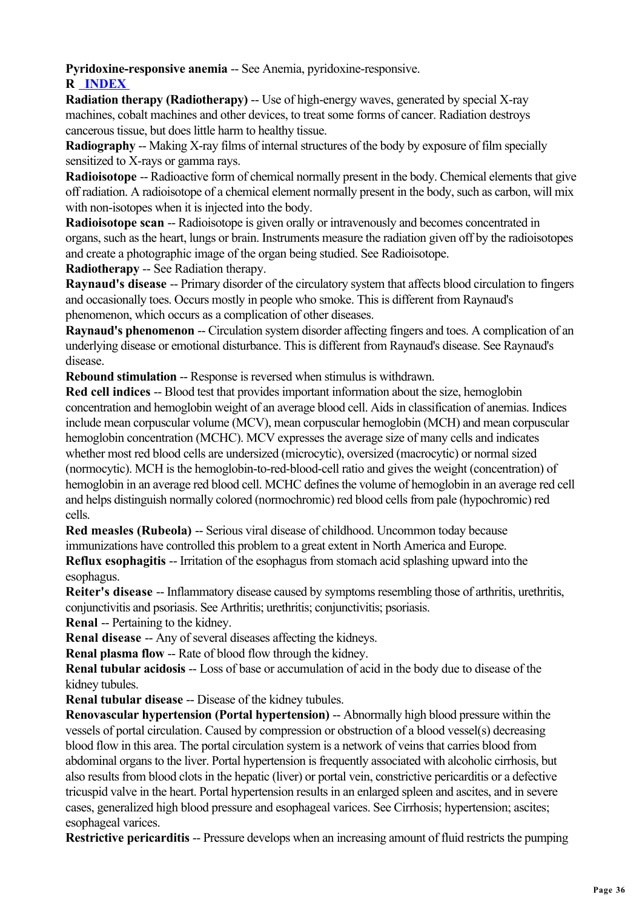**Pyridoxine-responsive anemia** -- See Anemia, pyridoxine-responsive.

**R INDEX** 

**Radiation therapy (Radiotherapy) --** Use of high-energy waves, generated by special X-ray machines, cobalt machines and other devices, to treat some forms of cancer. Radiation destroys cancerous tissue, but does little harm to healthy tissue.

**Radiography** -- Making X-ray films of internal structures of the body by exposure of film specially sensitized to X-rays or gamma rays.

**Radioisotope** -- Radioactive form of chemical normally present in the body. Chemical elements that give off radiation. A radioisotope of a chemical element normally present in the body, such as carbon, will mix with non-isotopes when it is injected into the body.

**Radioisotope scan** -- Radioisotope is given orally or intravenously and becomes concentrated in organs, such as the heart, lungs or brain. Instruments measure the radiation given off by the radioisotopes and create a photographic image of the organ being studied. See Radioisotope.

**Radiotherapy** -- See Radiation therapy.

**Raynaud's disease** -- Primary disorder of the circulatory system that affects blood circulation to fingers and occasionally toes. Occurs mostly in people who smoke. This is different from Raynaud's phenomenon, which occurs as a complication of other diseases.

**Raynaud's phenomenon** -- Circulation system disorder affecting fingers and toes. A complication of an underlying disease or emotional disturbance. This is different from Raynaud's disease. See Raynaud's disease.

**Rebound stimulation -- Response is reversed when stimulus is withdrawn.** 

**Red cell indices** -- Blood test that provides important information about the size, hemoglobin concentration and hemoglobin weight of an average blood cell. Aids in classification of anemias. Indices include mean corpuscular volume (MCV), mean corpuscular hemoglobin (MCH) and mean corpuscular hemoglobin concentration (MCHC). MCV expresses the average size of many cells and indicates whether most red blood cells are undersized (microcytic), oversized (macrocytic) or normal sized (normocytic). MCH is the hemoglobin-to-red-blood-cell ratio and gives the weight (concentration) of hemoglobin in an average red blood cell. MCHC defines the volume of hemoglobin in an average red cell and helps distinguish normally colored (normochromic) red blood cells from pale (hypochromic) red cells.

**Red measles (Rubeola) -- Serious viral disease of childhood. Uncommon today because** immunizations have controlled this problem to a great extent in North America and Europe. **Reflux esophagitis** -- Irritation of the esophagus from stomach acid splashing upward into the

esophagus.

**Reiter's disease** -- Inflammatory disease caused by symptoms resembling those of arthritis, urethritis, conjunctivitis and psoriasis. See Arthritis; urethritis; conjunctivitis; psoriasis.

**Renal** -- Pertaining to the kidney.

**Renal disease --** Any of several diseases affecting the kidneys.

**Renal plasma flow -- Rate of blood flow through the kidney.** 

**Renal tubular acidosis** -- Loss of base or accumulation of acid in the body due to disease of the kidney tubules.

**Renal tubular disease** -- Disease of the kidney tubules.

**Renovascular hypertension (Portal hypertension)** -- Abnormally high blood pressure within the vessels of portal circulation. Caused by compression or obstruction of a blood vessel(s) decreasing blood flow in this area. The portal circulation system is a network of veins that carries blood from abdominal organs to the liver. Portal hypertension is frequently associated with alcoholic cirrhosis, but also results from blood clots in the hepatic (liver) or portal vein, constrictive pericarditis or a defective tricuspid valve in the heart. Portal hypertension results in an enlarged spleen and ascites, and in severe cases, generalized high blood pressure and esophageal varices. See Cirrhosis; hypertension; ascites; esophageal varices.

**Restrictive pericarditis --** Pressure develops when an increasing amount of fluid restricts the pumping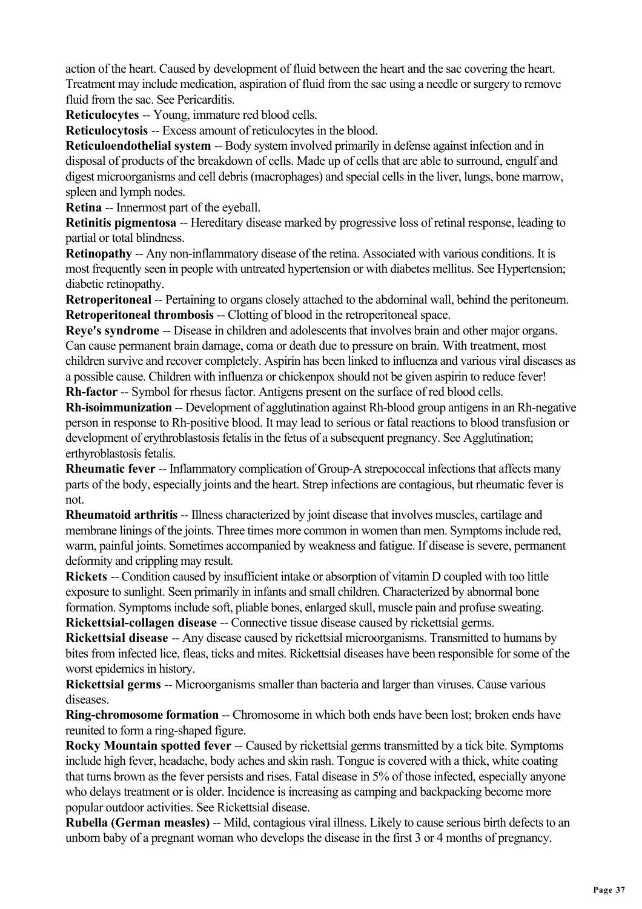action of the heart. Caused by development of fluid between the heart and the sac covering the heart. Treatment may include medication, aspiration of fluid from the sac using a needle or surgery to remove fluid from the sac. See Pericarditis.

**Reticulocytes** -- Young, immature red blood cells.

**Reticulocytosis** -- Excess amount of reticulocytes in the blood.

**Reticuloendothelial system -- Body system involved primarily in defense against infection and in** disposal of products of the breakdown of cells. Made up of cells that are able to surround, engulf and digest microorganisms and cell debris (macrophages) and special cells in the liver, lungs, bone marrow, spleen and lymph nodes.

**Retina** -- Innermost part of the eyeball.

**Retinitis pigmentosa** -- Hereditary disease marked by progressive loss of retinal response, leading to partial or total blindness.

**Retinopathy** -- Any non-inflammatory disease of the retina. Associated with various conditions. It is most frequently seen in people with untreated hypertension or with diabetes mellitus. See Hypertension; diabetic retinopathy.

**Retroperitoneal** -- Pertaining to organs closely attached to the abdominal wall, behind the peritoneum. **Retroperitoneal thrombosis --** Clotting of blood in the retroperitoneal space.

**Reye's syndrome** -- Disease in children and adolescents that involves brain and other major organs. Can cause permanent brain damage, coma or death due to pressure on brain. With treatment, most children survive and recover completely. Aspirin has been linked to influenza and various viral diseases as a possible cause. Children with influenza or chickenpox should not be given aspirin to reduce fever! **Rh-factor** -- Symbol for rhesus factor. Antigens present on the surface of red blood cells.

**Rh-isoimmunization** -- Development of agglutination against Rh-blood group antigens in an Rh-negative person in response to Rh-positive blood. It may lead to serious or fatal reactions to blood transfusion or development of erythroblastosis fetalis in the fetus of a subsequent pregnancy. See Agglutination; erthyroblastosis fetalis.

**Rheumatic fever** -- Inflammatory complication of Group-A strepococcal infections that affects many parts of the body, especially joints and the heart. Strep infections are contagious, but rheumatic fever is not.

**Rheumatoid arthritis --** Illness characterized by joint disease that involves muscles, cartilage and membrane linings of the joints. Three times more common in women than men. Symptoms include red, warm, painful joints. Sometimes accompanied by weakness and fatigue. If disease is severe, permanent deformity and crippling may result.

**Rickets** -- Condition caused by insufficient intake or absorption of vitamin D coupled with too little exposure to sunlight. Seen primarily in infants and small children. Characterized by abnormal bone formation. Symptoms include soft, pliable bones, enlarged skull, muscle pain and profuse sweating. **Rickettsial-collagen disease** -- Connective tissue disease caused by rickettsial germs.

**Rickettsial disease** -- Any disease caused by rickettsial microorganisms. Transmitted to humans by bites from infected lice, fleas, ticks and mites. Rickettsial diseases have been responsible for some of the worst epidemics in history.

**Rickettsial germs** -- Microorganisms smaller than bacteria and larger than viruses. Cause various diseases.

**Ring-chromosome formation --** Chromosome in which both ends have been lost; broken ends have reunited to form a ring-shaped figure.

**Rocky Mountain spotted fever -- Caused by rickettsial germs transmitted by a tick bite. Symptoms** include high fever, headache, body aches and skin rash. Tongue is covered with a thick, white coating that turns brown as the fever persists and rises. Fatal disease in 5% of those infected, especially anyone who delays treatment or is older. Incidence is increasing as camping and backpacking become more popular outdoor activities. See Rickettsial disease.

**Rubella (German measles)** -- Mild, contagious viral illness. Likely to cause serious birth defects to an unborn baby of a pregnant woman who develops the disease in the first 3 or 4 months of pregnancy.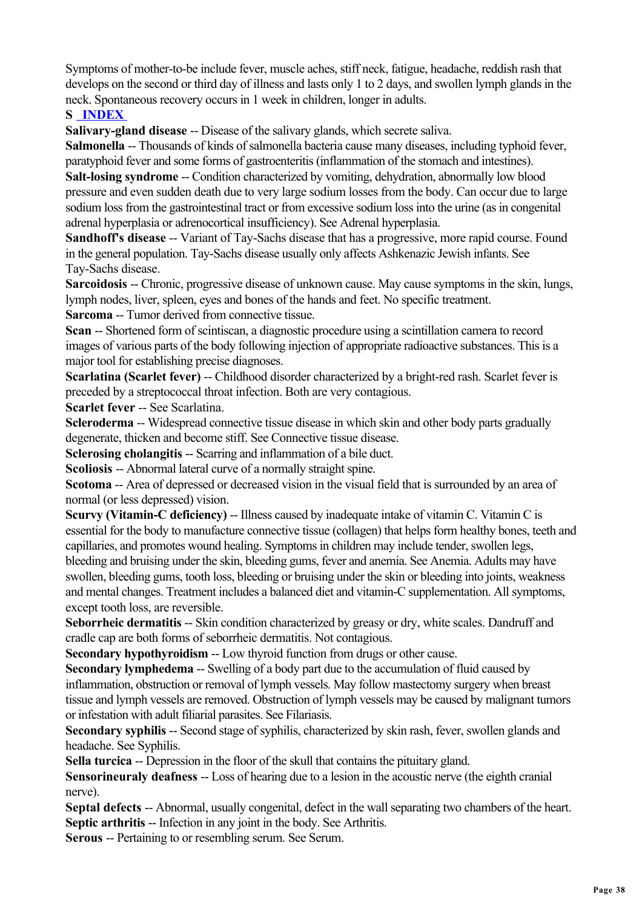Symptoms of mother-to-be include fever, muscle aches, stiff neck, fatigue, headache, reddish rash that develops on the second or third day of illness and lasts only 1 to 2 days, and swollen lymph glands in the neck. Spontaneous recovery occurs in 1 week in children, longer in adults.

## **S INDEX**

**Salivary-gland disease --** Disease of the salivary glands, which secrete saliva.

**Salmonella** -- Thousands of kinds of salmonella bacteria cause many diseases, including typhoid fever, paratyphoid fever and some forms of gastroenteritis (inflammation of the stomach and intestines).

**Salt-losing syndrome** -- Condition characterized by vomiting, dehydration, abnormally low blood pressure and even sudden death due to very large sodium losses from the body. Can occur due to large sodium loss from the gastrointestinal tract or from excessive sodium loss into the urine (as in congenital adrenal hyperplasia or adrenocortical insufficiency). See Adrenal hyperplasia.

**Sandhoff's disease** -- Variant of Tay-Sachs disease that has a progressive, more rapid course. Found in the general population. Tay-Sachs disease usually only affects Ashkenazic Jewish infants. See Tay-Sachs disease.

**Sarcoidosis** -- Chronic, progressive disease of unknown cause. May cause symptoms in the skin, lungs, lymph nodes, liver, spleen, eyes and bones of the hands and feet. No specific treatment.

**Sarcoma** -- Tumor derived from connective tissue.

**Scan** -- Shortened form of scintiscan, a diagnostic procedure using a scintillation camera to record images of various parts of the body following injection of appropriate radioactive substances. This is a major tool for establishing precise diagnoses.

**Scarlatina (Scarlet fever) --** Childhood disorder characterized by a bright-red rash. Scarlet fever is preceded by a streptococcal throat infection. Both are very contagious.

**Scarlet fever** -- See Scarlatina.

**Scleroderma** -- Widespread connective tissue disease in which skin and other body parts gradually degenerate, thicken and become stiff. See Connective tissue disease.

**Sclerosing cholangitis -- Scarring and inflammation of a bile duct.** 

**Scoliosis** -- Abnormal lateral curve of a normally straight spine.

**Scotoma** -- Area of depressed or decreased vision in the visual field that is surrounded by an area of normal (or less depressed) vision.

**Scurvy (Vitamin-C deficiency)** -- Illness caused by inadequate intake of vitamin C. Vitamin C is essential for the body to manufacture connective tissue (collagen) that helps form healthy bones, teeth and capillaries, and promotes wound healing. Symptoms in children may include tender, swollen legs, bleeding and bruising under the skin, bleeding gums, fever and anemia. See Anemia. Adults may have swollen, bleeding gums, tooth loss, bleeding or bruising under the skin or bleeding into joints, weakness and mental changes. Treatment includes a balanced diet and vitamin-C supplementation. All symptoms, except tooth loss, are reversible.

**Seborrheic dermatitis --** Skin condition characterized by greasy or dry, white scales. Dandruff and cradle cap are both forms of seborrheic dermatitis. Not contagious.

**Secondary hypothyroidism --** Low thyroid function from drugs or other cause.

**Secondary lymphedema** -- Swelling of a body part due to the accumulation of fluid caused by inflammation, obstruction or removal of lymph vessels. May follow mastectomy surgery when breast tissue and lymph vessels are removed. Obstruction of lymph vessels may be caused by malignant tumors or infestation with adult filiarial parasites. See Filariasis.

**Secondary syphilis --** Second stage of syphilis, characterized by skin rash, fever, swollen glands and headache. See Syphilis.

**Sella turcica** -- Depression in the floor of the skull that contains the pituitary gland.

**Sensorineuraly deafness** -- Loss of hearing due to a lesion in the acoustic nerve (the eighth cranial nerve).

**Septal defects** -- Abnormal, usually congenital, defect in the wall separating two chambers of the heart. **Septic arthritis --** Infection in any joint in the body. See Arthritis.

**Serous** -- Pertaining to or resembling serum. See Serum.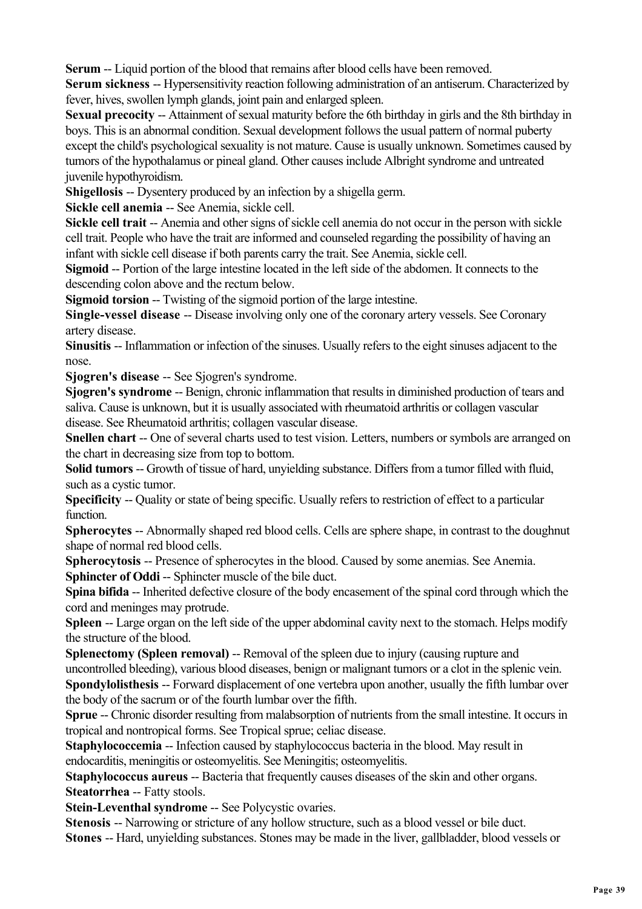**Serum** -- Liquid portion of the blood that remains after blood cells have been removed.

**Serum sickness** -- Hypersensitivity reaction following administration of an antiserum. Characterized by fever, hives, swollen lymph glands, joint pain and enlarged spleen.

**Sexual precocity --** Attainment of sexual maturity before the 6th birthday in girls and the 8th birthday in boys. This is an abnormal condition. Sexual development follows the usual pattern of normal puberty except the child's psychological sexuality is not mature. Cause is usually unknown. Sometimes caused by tumors of the hypothalamus or pineal gland. Other causes include Albright syndrome and untreated juvenile hypothyroidism.

**Shigellosis** -- Dysentery produced by an infection by a shigella germ.

**Sickle cell anemia** -- See Anemia, sickle cell.

**Sickle cell trait** -- Anemia and other signs of sickle cell anemia do not occur in the person with sickle cell trait. People who have the trait are informed and counseled regarding the possibility of having an infant with sickle cell disease if both parents carry the trait. See Anemia, sickle cell.

**Sigmoid** -- Portion of the large intestine located in the left side of the abdomen. It connects to the descending colon above and the rectum below.

**Sigmoid torsion --** Twisting of the sigmoid portion of the large intestine.

**Single-vessel disease** -- Disease involving only one of the coronary artery vessels. See Coronary artery disease.

**Sinusitis** -- Inflammation or infection of the sinuses. Usually refers to the eight sinuses adjacent to the nose.

**Sjogren's disease** -- See Sjogren's syndrome.

**Sjogren's syndrome** -- Benign, chronic inflammation that results in diminished production of tears and saliva. Cause is unknown, but it is usually associated with rheumatoid arthritis or collagen vascular disease. See Rheumatoid arthritis; collagen vascular disease.

**Snellen chart --** One of several charts used to test vision. Letters, numbers or symbols are arranged on the chart in decreasing size from top to bottom.

**Solid tumors** -- Growth of tissue of hard, unyielding substance. Differs from a tumor filled with fluid, such as a cystic tumor.

**Specificity --** Quality or state of being specific. Usually refers to restriction of effect to a particular function.

**Spherocytes** -- Abnormally shaped red blood cells. Cells are sphere shape, in contrast to the doughnut shape of normal red blood cells.

**Spherocytosis** -- Presence of spherocytes in the blood. Caused by some anemias. See Anemia. **Sphincter of Oddi -- Sphincter muscle of the bile duct.** 

**Spina bifida** -- Inherited defective closure of the body encasement of the spinal cord through which the cord and meninges may protrude.

**Spleen** -- Large organ on the left side of the upper abdominal cavity next to the stomach. Helps modify the structure of the blood.

**Splenectomy (Spleen removal) -- Removal of the spleen due to injury (causing rupture and** uncontrolled bleeding), various blood diseases, benign or malignant tumors or a clot in the splenic vein. **Spondylolisthesis** -- Forward displacement of one vertebra upon another, usually the fifth lumbar over the body of the sacrum or of the fourth lumbar over the fifth.

**Sprue** -- Chronic disorder resulting from malabsorption of nutrients from the small intestine. It occurs in tropical and nontropical forms. See Tropical sprue; celiac disease.

**Staphylococcemia** -- Infection caused by staphylococcus bacteria in the blood. May result in endocarditis, meningitis or osteomyelitis. See Meningitis; osteomyelitis.

**Staphylococcus aureus -- Bacteria that frequently causes diseases of the skin and other organs. Steatorrhea** -- Fatty stools.

**Stein-Leventhal syndrome -- See Polycystic ovaries.** 

**Stenosis** -- Narrowing or stricture of any hollow structure, such as a blood vessel or bile duct. **Stones** -- Hard, unyielding substances. Stones may be made in the liver, gallbladder, blood vessels or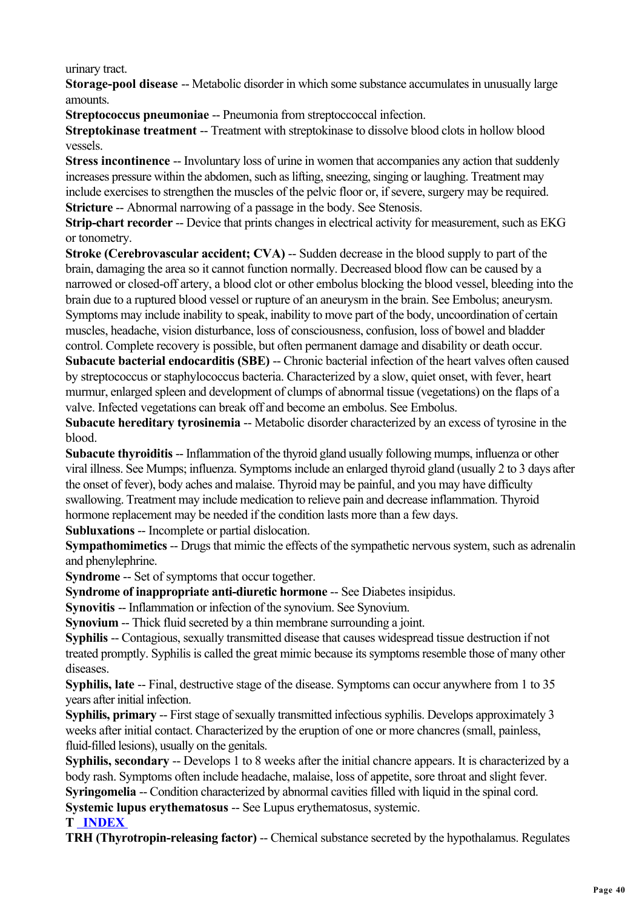urinary tract.

**Storage-pool disease** -- Metabolic disorder in which some substance accumulates in unusually large amounts.

**Streptococcus pneumoniae -- Pneumonia from streptoccoccal infection.** 

**Streptokinase treatment --** Treatment with streptokinase to dissolve blood clots in hollow blood vessels.

**Stress incontinence** -- Involuntary loss of urine in women that accompanies any action that suddenly increases pressure within the abdomen, such as lifting, sneezing, singing or laughing. Treatment may include exercises to strengthen the muscles of the pelvic floor or, if severe, surgery may be required. **Stricture --** Abnormal narrowing of a passage in the body. See Stenosis.

**Strip-chart recorder** -- Device that prints changes in electrical activity for measurement, such as EKG or tonometry.

**Stroke (Cerebrovascular accident; CVA) -- Sudden decrease in the blood supply to part of the** brain, damaging the area so it cannot function normally. Decreased blood flow can be caused by a narrowed or closed-off artery, a blood clot or other embolus blocking the blood vessel, bleeding into the brain due to a ruptured blood vessel or rupture of an aneurysm in the brain. See Embolus; aneurysm. Symptoms may include inability to speak, inability to move part of the body, uncoordination of certain muscles, headache, vision disturbance, loss of consciousness, confusion, loss of bowel and bladder control. Complete recovery is possible, but often permanent damage and disability or death occur.

**Subacute bacterial endocarditis (SBE) --** Chronic bacterial infection of the heart valves often caused by streptococcus or staphylococcus bacteria. Characterized by a slow, quiet onset, with fever, heart murmur, enlarged spleen and development of clumps of abnormal tissue (vegetations) on the flaps of a valve. Infected vegetations can break off and become an embolus. See Embolus.

**Subacute hereditary tyrosinemia --** Metabolic disorder characterized by an excess of tyrosine in the blood.

**Subacute thyroiditis --** Inflammation of the thyroid gland usually following mumps, influenza or other viral illness. See Mumps; influenza. Symptoms include an enlarged thyroid gland (usually 2 to 3 days after the onset of fever), body aches and malaise. Thyroid may be painful, and you may have difficulty swallowing. Treatment may include medication to relieve pain and decrease inflammation. Thyroid hormone replacement may be needed if the condition lasts more than a few days.

**Subluxations** -- Incomplete or partial dislocation.

**Sympathomimetics** -- Drugs that mimic the effects of the sympathetic nervous system, such as adrenalin and phenylephrine.

**Syndrome** -- Set of symptoms that occur together.

**Syndrome of inappropriate anti-diuretic hormone --** See Diabetes insipidus.

**Synovitis -- Inflammation or infection of the synovium. See Synovium.** 

**Synovium** -- Thick fluid secreted by a thin membrane surrounding a joint.

**Syphilis** -- Contagious, sexually transmitted disease that causes widespread tissue destruction if not treated promptly. Syphilis is called the great mimic because its symptoms resemble those of many other diseases.

**Syphilis, late** -- Final, destructive stage of the disease. Symptoms can occur anywhere from 1 to 35 years after initial infection.

**Syphilis, primary** -- First stage of sexually transmitted infectious syphilis. Develops approximately 3 weeks after initial contact. Characterized by the eruption of one or more chancres (small, painless, fluid-filled lesions), usually on the genitals.

**Syphilis, secondary --** Develops 1 to 8 weeks after the initial chancre appears. It is characterized by a body rash. Symptoms often include headache, malaise, loss of appetite, sore throat and slight fever. **Syringomelia** -- Condition characterized by abnormal cavities filled with liquid in the spinal cord. **Systemic lupus erythematosus** -- See Lupus erythematosus, systemic.

**T INDEX** 

**TRH (Thyrotropin-releasing factor) --** Chemical substance secreted by the hypothalamus. Regulates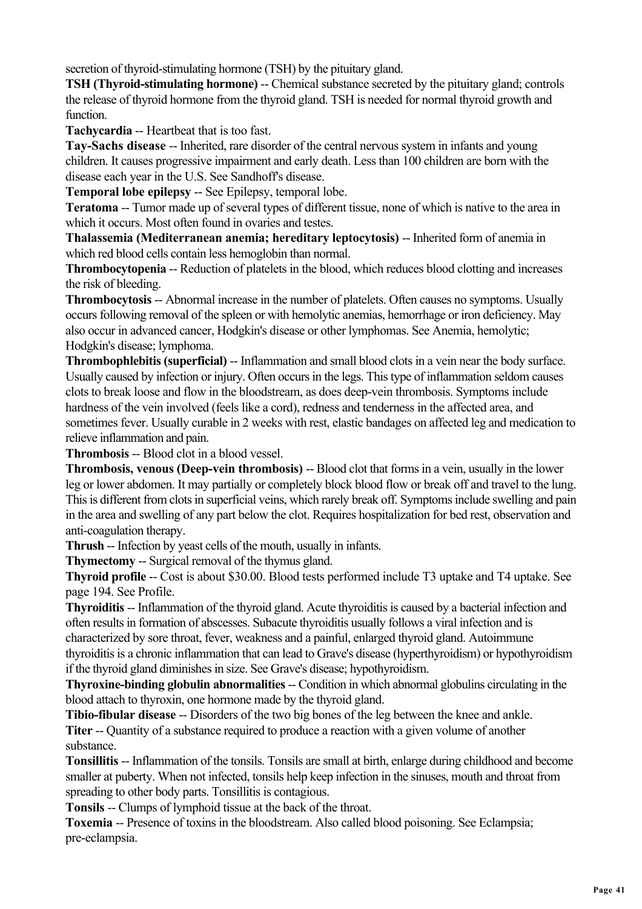secretion of thyroid-stimulating hormone (TSH) by the pituitary gland.

**TSH (Thyroid-stimulating hormone)** -- Chemical substance secreted by the pituitary gland; controls the release of thyroid hormone from the thyroid gland. TSH is needed for normal thyroid growth and function.

**Tachycardia** -- Heartbeat that is too fast.

**Tay-Sachs disease** -- Inherited, rare disorder of the central nervous system in infants and young children. It causes progressive impairment and early death. Less than 100 children are born with the disease each year in the U.S. See Sandhoff's disease.

**Temporal lobe epilepsy** -- See Epilepsy, temporal lobe.

**Teratoma** -- Tumor made up of several types of different tissue, none of which is native to the area in which it occurs. Most often found in ovaries and testes.

**Thalassemia (Mediterranean anemia; hereditary leptocytosis)** -- Inherited form of anemia in which red blood cells contain less hemoglobin than normal.

**Thrombocytopenia** -- Reduction of platelets in the blood, which reduces blood clotting and increases the risk of bleeding.

**Thrombocytosis** -- Abnormal increase in the number of platelets. Often causes no symptoms. Usually occurs following removal of the spleen or with hemolytic anemias, hemorrhage or iron deficiency. May also occur in advanced cancer, Hodgkin's disease or other lymphomas. See Anemia, hemolytic; Hodgkin's disease; lymphoma.

**Thrombophlebitis (superficial)** -- Inflammation and small blood clots in a vein near the body surface. Usually caused by infection or injury. Often occurs in the legs. This type of inflammation seldom causes clots to break loose and flow in the bloodstream, as does deep-vein thrombosis. Symptoms include hardness of the vein involved (feels like a cord), redness and tenderness in the affected area, and sometimes fever. Usually curable in 2 weeks with rest, elastic bandages on affected leg and medication to relieve inflammation and pain.

**Thrombosis** -- Blood clot in a blood vessel.

**Thrombosis, venous (Deep-vein thrombosis) -- Blood clot that forms in a vein, usually in the lower** leg or lower abdomen. It may partially or completely block blood flow or break off and travel to the lung. This is different from clots in superficial veins, which rarely break off. Symptoms include swelling and pain in the area and swelling of any part below the clot. Requires hospitalization for bed rest, observation and anti-coagulation therapy.

**Thrush** -- Infection by yeast cells of the mouth, usually in infants.

**Thymectomy** -- Surgical removal of the thymus gland.

**Thyroid profile** -- Cost is about \$30.00. Blood tests performed include T3 uptake and T4 uptake. See page 194. See Profile.

**Thyroiditis** -- Inflammation of the thyroid gland. Acute thyroiditis is caused by a bacterial infection and often results in formation of abscesses. Subacute thyroiditis usually follows a viral infection and is characterized by sore throat, fever, weakness and a painful, enlarged thyroid gland. Autoimmune thyroiditis is a chronic inflammation that can lead to Grave's disease (hyperthyroidism) or hypothyroidism if the thyroid gland diminishes in size. See Grave's disease; hypothyroidism.

**Thyroxine-binding globulin abnormalities --** Condition in which abnormal globulins circulating in the blood attach to thyroxin, one hormone made by the thyroid gland.

**Tibio-fibular disease** -- Disorders of the two big bones of the leg between the knee and ankle. **Titer --** Quantity of a substance required to produce a reaction with a given volume of another substance.

**Tonsillitis** -- Inflammation of the tonsils. Tonsils are small at birth, enlarge during childhood and become smaller at puberty. When not infected, tonsils help keep infection in the sinuses, mouth and throat from spreading to other body parts. Tonsillitis is contagious.

**Tonsils** -- Clumps of lymphoid tissue at the back of the throat.

**Toxemia** -- Presence of toxins in the bloodstream. Also called blood poisoning. See Eclampsia; pre-eclampsia.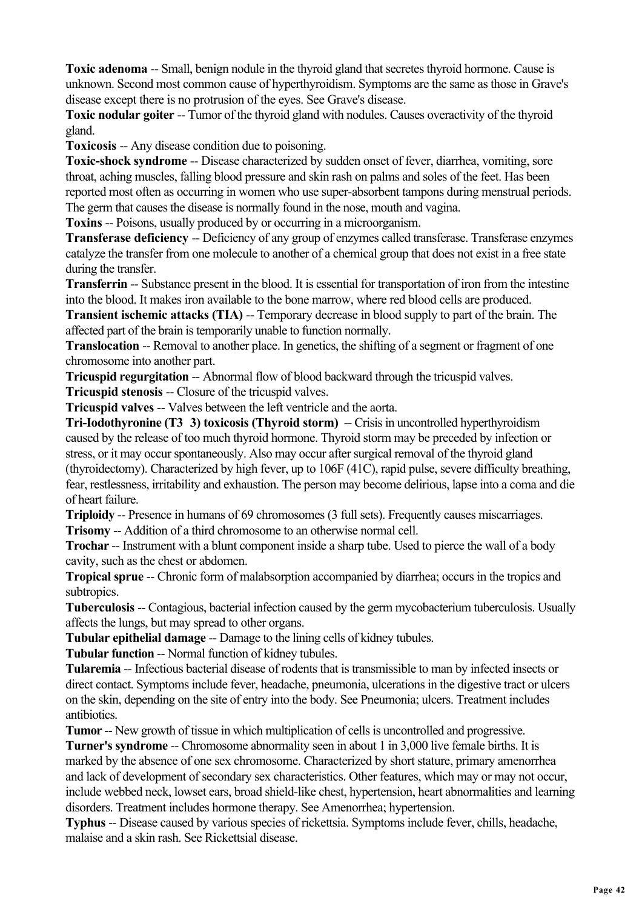**Toxic adenoma** -- Small, benign nodule in the thyroid gland that secretes thyroid hormone. Cause is unknown. Second most common cause of hyperthyroidism. Symptoms are the same as those in Grave's disease except there is no protrusion of the eyes. See Grave's disease.

**Toxic nodular goiter** -- Tumor of the thyroid gland with nodules. Causes overactivity of the thyroid gland.

**Toxicosis** -- Any disease condition due to poisoning.

**Toxic-shock syndrome** -- Disease characterized by sudden onset of fever, diarrhea, vomiting, sore throat, aching muscles, falling blood pressure and skin rash on palms and soles of the feet. Has been reported most often as occurring in women who use super-absorbent tampons during menstrual periods. The germ that causes the disease is normally found in the nose, mouth and vagina.

**Toxins** -- Poisons, usually produced by or occurring in a microorganism.

**Transferase deficiency** -- Deficiency of any group of enzymes called transferase. Transferase enzymes catalyze the transfer from one molecule to another of a chemical group that does not exist in a free state during the transfer.

**Transferrin** -- Substance present in the blood. It is essential for transportation of iron from the intestine into the blood. It makes iron available to the bone marrow, where red blood cells are produced.

**Transient ischemic attacks (TIA) -- Temporary decrease in blood supply to part of the brain. The** affected part of the brain is temporarily unable to function normally.

**Translocation** -- Removal to another place. In genetics, the shifting of a segment or fragment of one chromosome into another part.

**Tricuspid regurgitation --** Abnormal flow of blood backward through the tricuspid valves.

**Tricuspid stenosis --** Closure of the tricuspid valves.

**Tricuspid valves --** Valves between the left ventricle and the aorta.

**Tri-Iodothyronine (T3 3) toxicosis (Thyroid storm)** -- Crisis in uncontrolled hyperthyroidism caused by the release of too much thyroid hormone. Thyroid storm may be preceded by infection or stress, or it may occur spontaneously. Also may occur after surgical removal of the thyroid gland (thyroidectomy). Characterized by high fever, up to 106F (41C), rapid pulse, severe difficulty breathing, fear, restlessness, irritability and exhaustion. The person may become delirious, lapse into a coma and die of heart failure.

**Triploidy** -- Presence in humans of 69 chromosomes (3 full sets). Frequently causes miscarriages.

**Trisomy** -- Addition of a third chromosome to an otherwise normal cell.

**Trochar** -- Instrument with a blunt component inside a sharp tube. Used to pierce the wall of a body cavity, such as the chest or abdomen.

**Tropical sprue** -- Chronic form of malabsorption accompanied by diarrhea; occurs in the tropics and subtropics.

**Tuberculosis --** Contagious, bacterial infection caused by the germ mycobacterium tuberculosis. Usually affects the lungs, but may spread to other organs.

**Tubular epithelial damage -- Damage to the lining cells of kidney tubules.** 

**Tubular function** -- Normal function of kidney tubules.

**Tularemia** -- Infectious bacterial disease of rodents that is transmissible to man by infected insects or direct contact. Symptoms include fever, headache, pneumonia, ulcerations in the digestive tract or ulcers on the skin, depending on the site of entry into the body. See Pneumonia; ulcers. Treatment includes antibiotics.

**Tumor** -- New growth of tissue in which multiplication of cells is uncontrolled and progressive.

**Turner's syndrome** -- Chromosome abnormality seen in about 1 in 3,000 live female births. It is marked by the absence of one sex chromosome. Characterized by short stature, primary amenorrhea and lack of development of secondary sex characteristics. Other features, which may or may not occur, include webbed neck, lowset ears, broad shield-like chest, hypertension, heart abnormalities and learning disorders. Treatment includes hormone therapy. See Amenorrhea; hypertension.

**Typhus** -- Disease caused by various species of rickettsia. Symptoms include fever, chills, headache, malaise and a skin rash. See Rickettsial disease.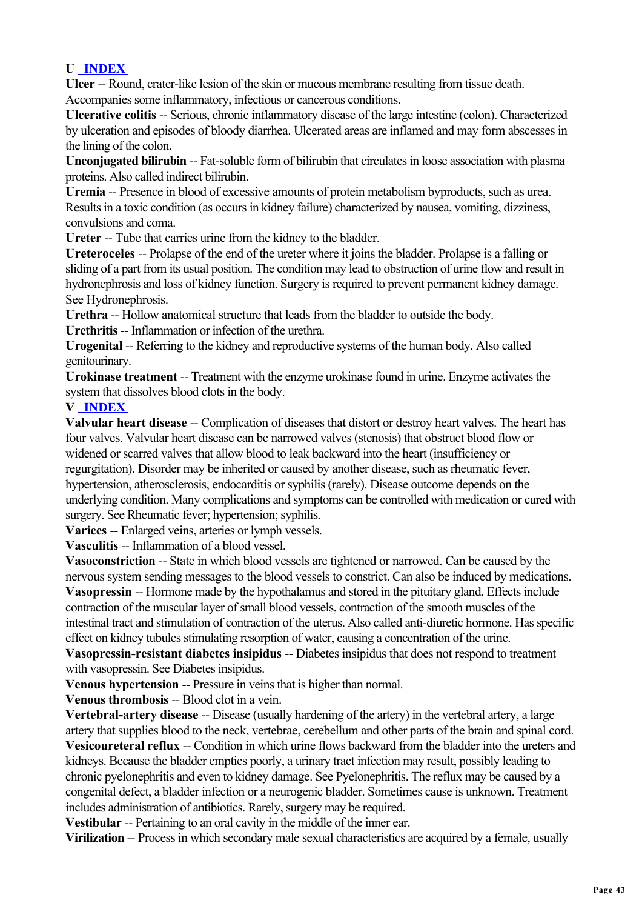#### **U INDEX**

**Ulcer** -- Round, crater-like lesion of the skin or mucous membrane resulting from tissue death. Accompanies some inflammatory, infectious or cancerous conditions.

**Ulcerative colitis** -- Serious, chronic inflammatory disease of the large intestine (colon). Characterized by ulceration and episodes of bloody diarrhea. Ulcerated areas are inflamed and may form abscesses in the lining of the colon.

**Unconjugated bilirubin** -- Fat-soluble form of bilirubin that circulates in loose association with plasma proteins. Also called indirect bilirubin.

**Uremia** -- Presence in blood of excessive amounts of protein metabolism byproducts, such as urea. Results in a toxic condition (as occurs in kidney failure) characterized by nausea, vomiting, dizziness, convulsions and coma.

**Ureter** -- Tube that carries urine from the kidney to the bladder.

**Ureteroceles** -- Prolapse of the end of the ureter where it joins the bladder. Prolapse is a falling or sliding of a part from its usual position. The condition may lead to obstruction of urine flow and result in hydronephrosis and loss of kidney function. Surgery is required to prevent permanent kidney damage. See Hydronephrosis.

**Urethra** -- Hollow anatomical structure that leads from the bladder to outside the body.

**Urethritis** -- Inflammation or infection of the urethra.

**Urogenital** -- Referring to the kidney and reproductive systems of the human body. Also called genitourinary.

**Urokinase treatment** -- Treatment with the enzyme urokinase found in urine. Enzyme activates the system that dissolves blood clots in the body.

#### **V INDEX**

**Valvular heart disease** -- Complication of diseases that distort or destroy heart valves. The heart has four valves. Valvular heart disease can be narrowed valves (stenosis) that obstruct blood flow or widened or scarred valves that allow blood to leak backward into the heart (insufficiency or regurgitation). Disorder may be inherited or caused by another disease, such as rheumatic fever, hypertension, atherosclerosis, endocarditis or syphilis (rarely). Disease outcome depends on the underlying condition. Many complications and symptoms can be controlled with medication or cured with surgery. See Rheumatic fever; hypertension; syphilis.

**Varices** -- Enlarged veins, arteries or lymph vessels.

**Vasculitis** -- Inflammation of a blood vessel.

**Vasoconstriction** -- State in which blood vessels are tightened or narrowed. Can be caused by the nervous system sending messages to the blood vessels to constrict. Can also be induced by medications. **Vasopressin** -- Hormone made by the hypothalamus and stored in the pituitary gland. Effects include

contraction of the muscular layer of small blood vessels, contraction of the smooth muscles of the intestinal tract and stimulation of contraction of the uterus. Also called anti-diuretic hormone. Has specific effect on kidney tubules stimulating resorption of water, causing a concentration of the urine.

**Vasopressin-resistant diabetes insipidus** -- Diabetes insipidus that does not respond to treatment with vasopressin. See Diabetes insipidus.

**Venous hypertension** -- Pressure in veins that is higher than normal.

**Venous thrombosis** -- Blood clot in a vein.

**Vertebral-artery disease** -- Disease (usually hardening of the artery) in the vertebral artery, a large artery that supplies blood to the neck, vertebrae, cerebellum and other parts of the brain and spinal cord. **Vesicoureteral reflux** -- Condition in which urine flows backward from the bladder into the ureters and kidneys. Because the bladder empties poorly, a urinary tract infection may result, possibly leading to chronic pyelonephritis and even to kidney damage. See Pyelonephritis. The reflux may be caused by a congenital defect, a bladder infection or a neurogenic bladder. Sometimes cause is unknown. Treatment includes administration of antibiotics. Rarely, surgery may be required.

**Vestibular** -- Pertaining to an oral cavity in the middle of the inner ear.

**Virilization** -- Process in which secondary male sexual characteristics are acquired by a female, usually